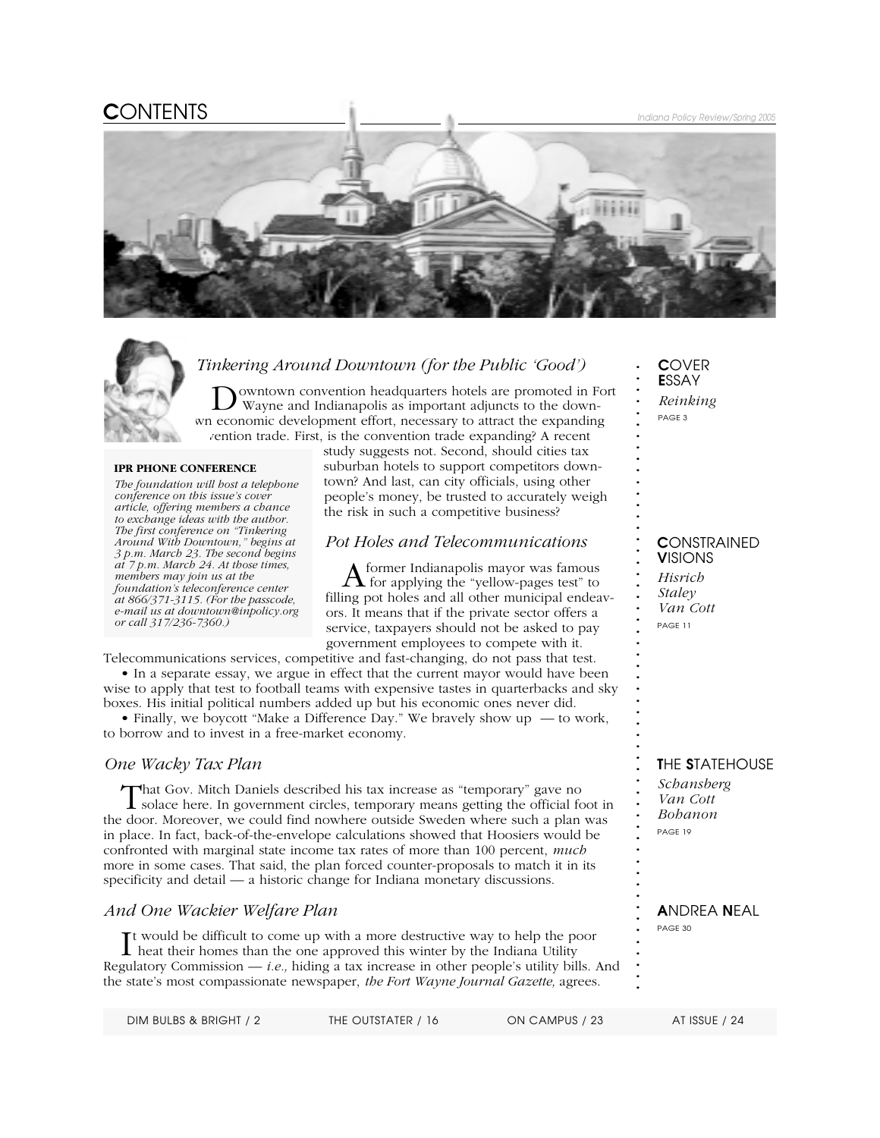# C*ONTENTS Indiana Policy Review/Spring 2005*



### *Tinkering Around Downtown (for the Public 'Good')*

owntown convention headquarters hotels are promoted in Fort Wayne and Indianapolis as important adjuncts to the downwn economic development effort, necessary to attract the expanding zention trade. First, is the convention trade expanding? A recent

#### **IPR PHONE CONFERENCE**

*The foundation will host a telephone conference on this issue's cover article, offering members a chance to exchange ideas with the author. The first conference on "Tinkering Around With Downtown," begins at 3 p.m. March 23. The second begins at 7 p.m. March 24. At those times, members may join us at the foundation's teleconference center at 866/371-3115. (For the passcode, e-mail us at downtown@inpolicy.org or call 317/236-7360.)*

study suggests not. Second, should cities tax suburban hotels to support competitors downtown? And last, can city officials, using other people's money, be trusted to accurately weigh the risk in such a competitive business?

#### *Pot Holes and Telecommunications*

Aformer Indianapolis mayor was famous for applying the "yellow-pages test" to filling pot holes and all other municipal endeavors. It means that if the private sector offers a service, taxpayers should not be asked to pay government employees to compete with it.

Telecommunications services, competitive and fast-changing, do not pass that test.

• In a separate essay, we argue in effect that the current mayor would have been wise to apply that test to football teams with expensive tastes in quarterbacks and sky boxes. His initial political numbers added up but his economic ones never did.

• Finally, we boycott "Make a Difference Day." We bravely show up — to work, to borrow and to invest in a free-market economy.

#### *One Wacky Tax Plan*

That Gov. Mitch Daniels described his tax increase as "temporary" gave no<br>solace here. In government circles, temporary means getting the official foot in the door. Moreover, we could find nowhere outside Sweden where such a plan was in place. In fact, back-of-the-envelope calculations showed that Hoosiers would be confronted with marginal state income tax rates of more than 100 percent, *much* more in some cases. That said, the plan forced counter-proposals to match it in its specificity and detail — a historic change for Indiana monetary discussions.

### *And One Wackier Welfare Plan*

It would be difficult to come up with a more destructive way to help the poor<br>heat their homes than the one approved this winter by the Indiana Utility heat their homes than the one approved this winter by the Indiana Utility Regulatory Commission — *i.e.,* hiding a tax increase in other people's utility bills. And the state's most compassionate newspaper, *the Fort Wayne Journal Gazette,* agrees.

C*OVER* E*SSAY Reinking PAGE 3*

**. . . . . . . . . . . . . . . . . . . . . . . . . . . . . . . . . . . . . . . . . . . . . . . . . . . . . . .**

#### C*ONSTRAINED* V*ISIONS*

*Hisrich Staley Van Cott PAGE 11*

T*HE* S*TATEHOUSE*

*Schansberg Van Cott Bohanon PAGE 19*

#### A*NDREA* N*EAL PAGE 30*

*DIM BULBS & BRIGHT / 2 THE OUTSTATER / 16 ON CAMPUS / 23 AT ISSUE / 24*

**.** *Indiana Policy Review*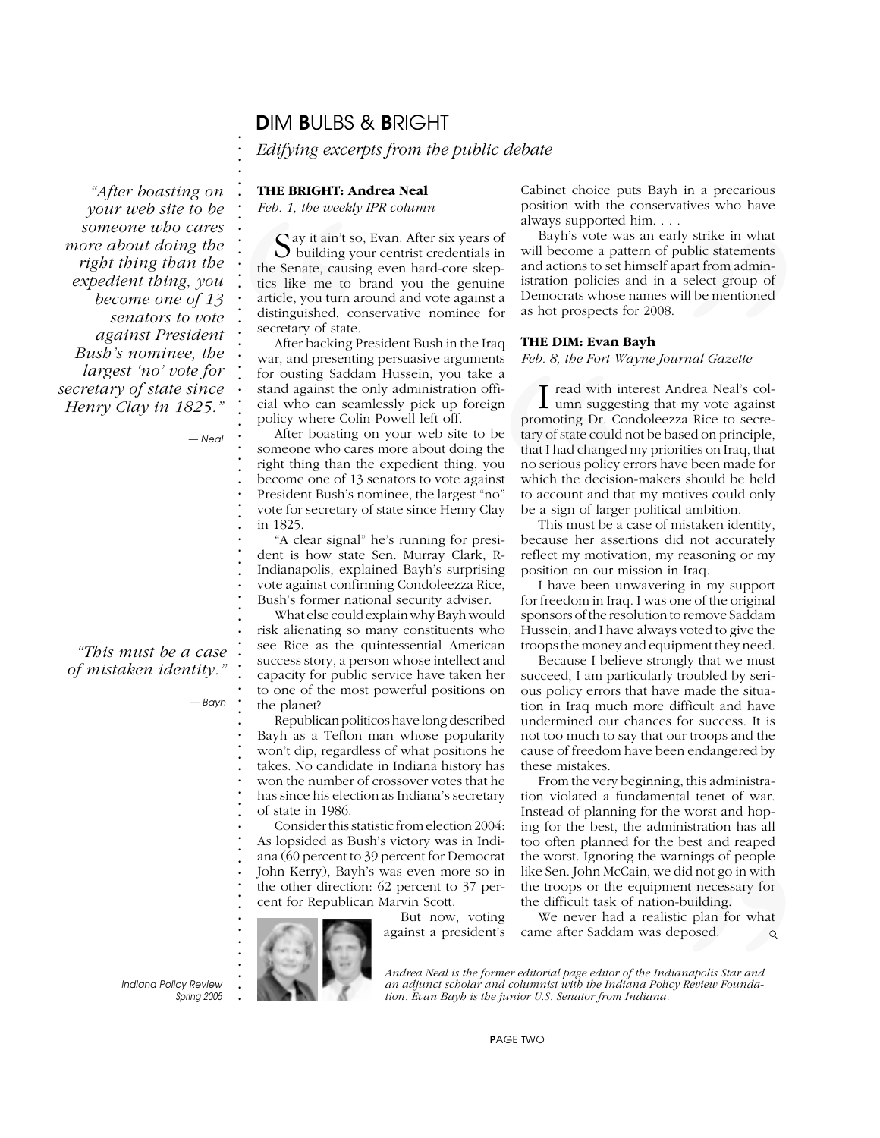### D*IM* B*ULBS &* B*RIGHT*

*Edifying excerpts from the public debate*

#### **THE BRIGHT: Andrea Neal**

*Feb. 1, the weekly IPR column*

**:** Feb. 1, the weekly<br>  $\therefore$  Feb. 1, the weekly<br>  $\therefore$  Suilding youth Suilding youth Suilding youth Suilding youth atticle, you turn at<br>
distinguished, connecting P war, and presenting P war, and presenting<br>  $\therefore$  Ker bac Say it ain't so, Evan. After six years of building your centrist credentials in the Senate, causing even hard-core skeptics like me to brand you the genuine article, you turn around and vote against a distinguished, conservative nominee for secretary of state.

After backing President Bush in the Iraq war, and presenting persuasive arguments for ousting Saddam Hussein, you take a stand against the only administration official who can seamlessly pick up foreign policy where Colin Powell left off.

After boasting on your web site to be someone who cares more about doing the right thing than the expedient thing, you become one of 13 senators to vote against President Bush's nominee, the largest "no" vote for secretary of state since Henry Clay in 1825.

"A clear signal" he's running for president is how state Sen. Murray Clark, R-Indianapolis, explained Bayh's surprising vote against confirming Condoleezza Rice, Bush's former national security adviser.

What else could explain why Bayh would risk alienating so many constituents who see Rice as the quintessential American success story, a person whose intellect and capacity for public service have taken her to one of the most powerful positions on the planet?

Republican politicos have long described Bayh as a Teflon man whose popularity won't dip, regardless of what positions he takes. No candidate in Indiana history has won the number of crossover votes that he has since his election as Indiana's secretary of state in 1986.

Consider this statistic from election 2004: As lopsided as Bush's victory was in Indiana (60 percent to 39 percent for Democrat John Kerry), Bayh's was even more so in the other direction: 62 percent to 37 percent for Republican Marvin Scott.

But now, voting against a president's Cabinet choice puts Bayh in a precarious position with the conservatives who have always supported him. . . .

Bayh's vote was an early strike in what will become a pattern of public statements and actions to set himself apart from administration policies and in a select group of Democrats whose names will be mentioned as hot prospects for 2008.

#### **THE DIM: Evan Bayh**

*Feb. 8, the Fort Wayne Journal Gazette*

q **HE DIM: EVAN**<br>
ts Feb. 8, the Fort W<br>
a<br>
a<br>
m a lumn sugges<br>
promoting Dr. Co<br>
tary of state could<br>
that I had change<br>
no serious policy<br>
which the decisic<br>
y be a sign of large<br>
This must be a<br>
i-because her asse<br>
refl call west who have<br>
the statements<br>
part from admin-<br>
part from admin-<br>
lelect group of<br>
will be mentioned<br>
will be mentioned<br>
urnal Gazette<br>
ndrea Neal's col-<br>
the my vote against<br>
za Rice to secre-<br>
seed on principle,<br>
r I read with interest Andrea Neal's col-<br>
umn suggesting that my vote against umn suggesting that my vote against promoting Dr. Condoleezza Rice to secretary of state could not be based on principle, that I had changed my priorities on Iraq, that no serious policy errors have been made for which the decision-makers should be held to account and that my motives could only be a sign of larger political ambition.

This must be a case of mistaken identity, because her assertions did not accurately reflect my motivation, my reasoning or my position on our mission in Iraq.

I have been unwavering in my support for freedom in Iraq. I was one of the original sponsors of the resolution to remove Saddam Hussein, and I have always voted to give the troops the money and equipment they need.

Because I believe strongly that we must succeed, I am particularly troubled by serious policy errors that have made the situation in Iraq much more difficult and have undermined our chances for success. It is not too much to say that our troops and the cause of freedom have been endangered by these mistakes.

Examples the set and reaped<br>arnings of people<br>did not go in with<br>ent necessary for<br>abilding.<br>tic plan for what<br>eposed.<br>*anapolis Star and*<br>*anapolis Star and*<br>*y Review Founda*-From the very beginning, this administration violated a fundamental tenet of war. Instead of planning for the worst and hoping for the best, the administration has all too often planned for the best and reaped the worst. Ignoring the warnings of people like Sen. John McCain, we did not go in with the troops or the equipment necessary for the difficult task of nation-building.

We never had a realistic plan for what came after Saddam was deposed.

**.** *Indiana Policy Review Spring 2005* *Andrea Neal is the former editorial page editor of the Indianapolis Star and an adjunct scholar and columnist with the Indiana Policy Review Foundation. Evan Bayh is the junior U.S. Senator from Indiana.*

*Henry Clay in 1825."*

*"After boasting on your web site to be someone who cares*

*"This must be a case of mistaken identity."*

*— Neal*

*— Bayh*

**. . . . . . . . . . . . . . . . . . . . . . . . . . . . . . . . . . . . . . . . . . . . . . . . . . . . . . . . . . . . . . . . . . . . . . . . . . .**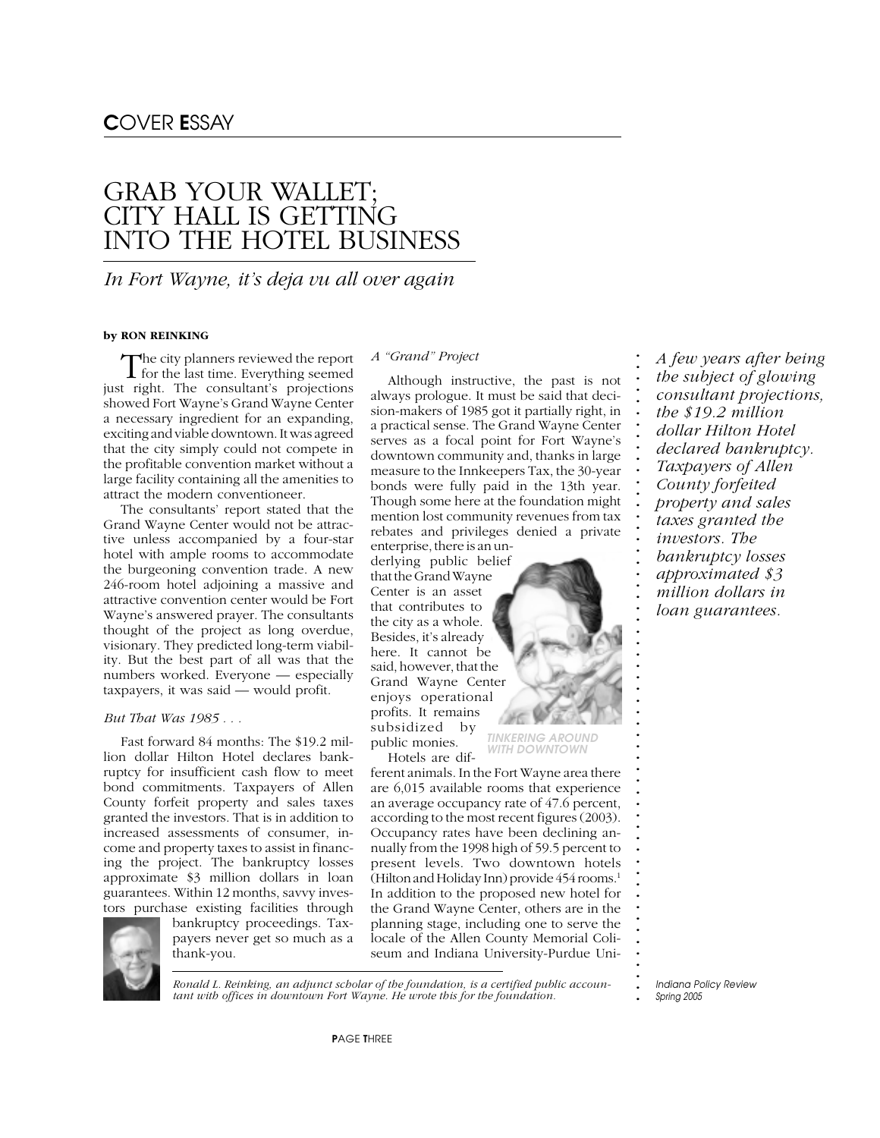# GRAB YOUR WALLET; CITY HALL IS GETTING INTO THE HOTEL BUSINESS

### *In Fort Wayne, it's deja vu all over again*

#### **by RON REINKING**

The city planners reviewed the report<br>for the last time. Everything seemed just right. The consultant's projections showed Fort Wayne's Grand Wayne Center a necessary ingredient for an expanding, exciting and viable downtown. It was agreed that the city simply could not compete in the profitable convention market without a large facility containing all the amenities to attract the modern conventioneer.

The consultants' report stated that the Grand Wayne Center would not be attractive unless accompanied by a four-star hotel with ample rooms to accommodate the burgeoning convention trade. A new 246-room hotel adjoining a massive and attractive convention center would be Fort Wayne's answered prayer. The consultants thought of the project as long overdue, visionary. They predicted long-term viability. But the best part of all was that the numbers worked. Everyone — especially taxpayers, it was said — would profit.

#### *But That Was 1985 . . .*

Fast forward 84 months: The \$19.2 million dollar Hilton Hotel declares bankruptcy for insufficient cash flow to meet bond commitments. Taxpayers of Allen County forfeit property and sales taxes granted the investors. That is in addition to increased assessments of consumer, income and property taxes to assist in financing the project. The bankruptcy losses approximate \$3 million dollars in loan guarantees. Within 12 months, savvy investors purchase existing facilities through



bankruptcy proceedings. Taxpayers never get so much as a thank-you.

#### *A "Grand" Project*

Although instructive, the past is not always prologue. It must be said that decision-makers of 1985 got it partially right, in a practical sense. The Grand Wayne Center serves as a focal point for Fort Wayne's downtown community and, thanks in large measure to the Innkeepers Tax, the 30-year bonds were fully paid in the 13th year. Though some here at the foundation might mention lost community revenues from tax rebates and privileges denied a private enterprise, there is an un-

derlying public belief that the Grand Wayne Center is an asset that contributes to the city as a whole. Besides, it's already here. It cannot be said, however, that the Grand Wayne Center enjoys operational profits. It remains subsidized by public monies.

Hotels are dif-

ferent animals. In the Fort Wayne area there are 6,015 available rooms that experience an average occupancy rate of 47.6 percent, according to the most recent figures (2003). Occupancy rates have been declining annually from the 1998 high of 59.5 percent to present levels. Two downtown hotels (Hilton and Holiday Inn) provide 454 rooms.<sup>1</sup> In addition to the proposed new hotel for the Grand Wayne Center, others are in the planning stage, including one to serve the locale of the Allen County Memorial Coliseum and Indiana University-Purdue Uni-

*A few years after being the subject of glowing consultant projections, the \$19.2 million dollar Hilton Hotel declared bankruptcy. Taxpayers of Allen County forfeited property and sales taxes granted the investors. The bankruptcy losses approximated \$3 million dollars in loan guarantees.*

**. . . . . . . . . . . . . . . . . . . . . . . . . . . . . . . . . . . . . . . . . . . . . . . . . . . . . . . .**

TINKERING AROUND WITH DOWNTOWN

*Ronald L. Reinking, an adjunct scholar of the foundation, is a certified public accountant with offices in downtown Fort Wayne. He wrote this for the foundation.*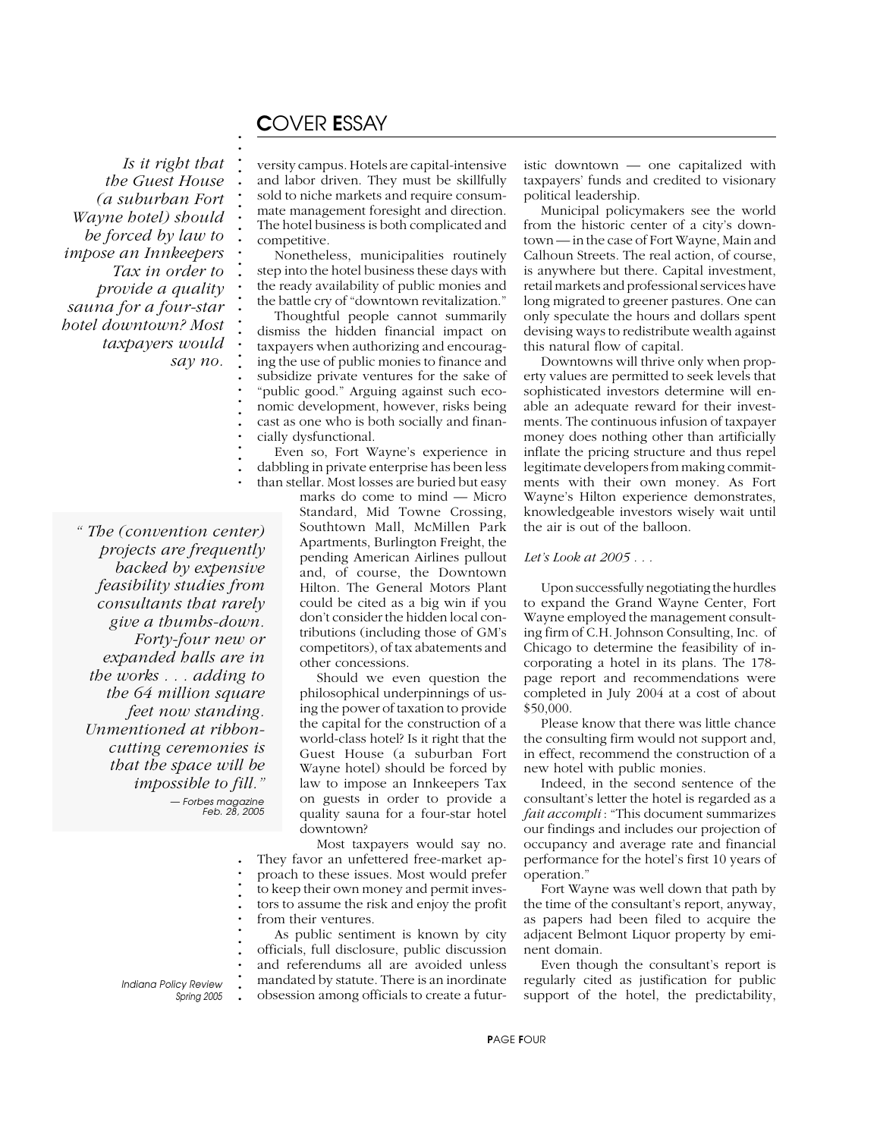# C*OVER* E*SSAY*

**. . . . . . . . . . . . . . . . . . . . . . . . . . . . . . .**

 *Is it right that the Guest House (a suburban Fort Wayne hotel) should be forced by law to impose an Innkeepers Tax in order to provide a quality sauna for a four-star hotel downtown? Most taxpayers would say no.*

**. .** *" The (convention center)* **.** *projects are frequently* **. .** *backed by expensive* **.** *feasibility studies from* **. .** *consultants that rarely* **. .** *give a thumbs-down.* **.** *Forty-four new or* **. .** *expanded halls are in* **.** *the works . . . adding to* **. .** *the 64 million square* **.** *feet now standing.* **. .** *Unmentioned at ribbon-***. .** *cutting ceremonies is* **.** *that the space will be* **. .** *impossible to fill."* **. .** *— Forbes magazine Feb. 28, 2005*

versity campus. Hotels are capital-intensive and labor driven. They must be skillfully sold to niche markets and require consummate management foresight and direction. The hotel business is both complicated and competitive.

Nonetheless, municipalities routinely step into the hotel business these days with the ready availability of public monies and the battle cry of "downtown revitalization."

Thoughtful people cannot summarily dismiss the hidden financial impact on taxpayers when authorizing and encouraging the use of public monies to finance and subsidize private ventures for the sake of "public good." Arguing against such economic development, however, risks being cast as one who is both socially and financially dysfunctional.

Even so, Fort Wayne's experience in dabbling in private enterprise has been less than stellar. Most losses are buried but easy

marks do come to mind — Micro Standard, Mid Towne Crossing, Southtown Mall, McMillen Park Apartments, Burlington Freight, the pending American Airlines pullout and, of course, the Downtown Hilton. The General Motors Plant could be cited as a big win if you don't consider the hidden local contributions (including those of GM's competitors), of tax abatements and other concessions.

Should we even question the philosophical underpinnings of using the power of taxation to provide the capital for the construction of a world-class hotel? Is it right that the Guest House (a suburban Fort Wayne hotel) should be forced by law to impose an Innkeepers Tax on guests in order to provide a quality sauna for a four-star hotel downtown?

Most taxpayers would say no. They favor an unfettered free-market approach to these issues. Most would prefer to keep their own money and permit investors to assume the risk and enjoy the profit from their ventures.

As public sentiment is known by city officials, full disclosure, public discussion and referendums all are avoided unless mandated by statute. There is an inordinate obsession among officials to create a futuristic downtown — one capitalized with taxpayers' funds and credited to visionary political leadership.

Municipal policymakers see the world from the historic center of a city's downtown — in the case of Fort Wayne, Main and Calhoun Streets. The real action, of course, is anywhere but there. Capital investment, retail markets and professional services have long migrated to greener pastures. One can only speculate the hours and dollars spent devising ways to redistribute wealth against this natural flow of capital.

Downtowns will thrive only when property values are permitted to seek levels that sophisticated investors determine will enable an adequate reward for their investments. The continuous infusion of taxpayer money does nothing other than artificially inflate the pricing structure and thus repel legitimate developers from making commitments with their own money. As Fort Wayne's Hilton experience demonstrates, knowledgeable investors wisely wait until the air is out of the balloon.

#### *Let's Look at 2005 . . .*

Upon successfully negotiating the hurdles to expand the Grand Wayne Center, Fort Wayne employed the management consulting firm of C.H. Johnson Consulting, Inc. of Chicago to determine the feasibility of incorporating a hotel in its plans. The 178 page report and recommendations were completed in July 2004 at a cost of about \$50,000.

Please know that there was little chance the consulting firm would not support and, in effect, recommend the construction of a new hotel with public monies.

Indeed, in the second sentence of the consultant's letter the hotel is regarded as a *fait accompli* : "This document summarizes our findings and includes our projection of occupancy and average rate and financial performance for the hotel's first 10 years of operation."

Fort Wayne was well down that path by the time of the consultant's report, anyway, as papers had been filed to acquire the adjacent Belmont Liquor property by eminent domain.

Even though the consultant's report is regularly cited as justification for public support of the hotel, the predictability,

**.** *Indiana Policy Review Spring 2005* **. . . . . . . . . . . .**

P*AGE* F*OUR*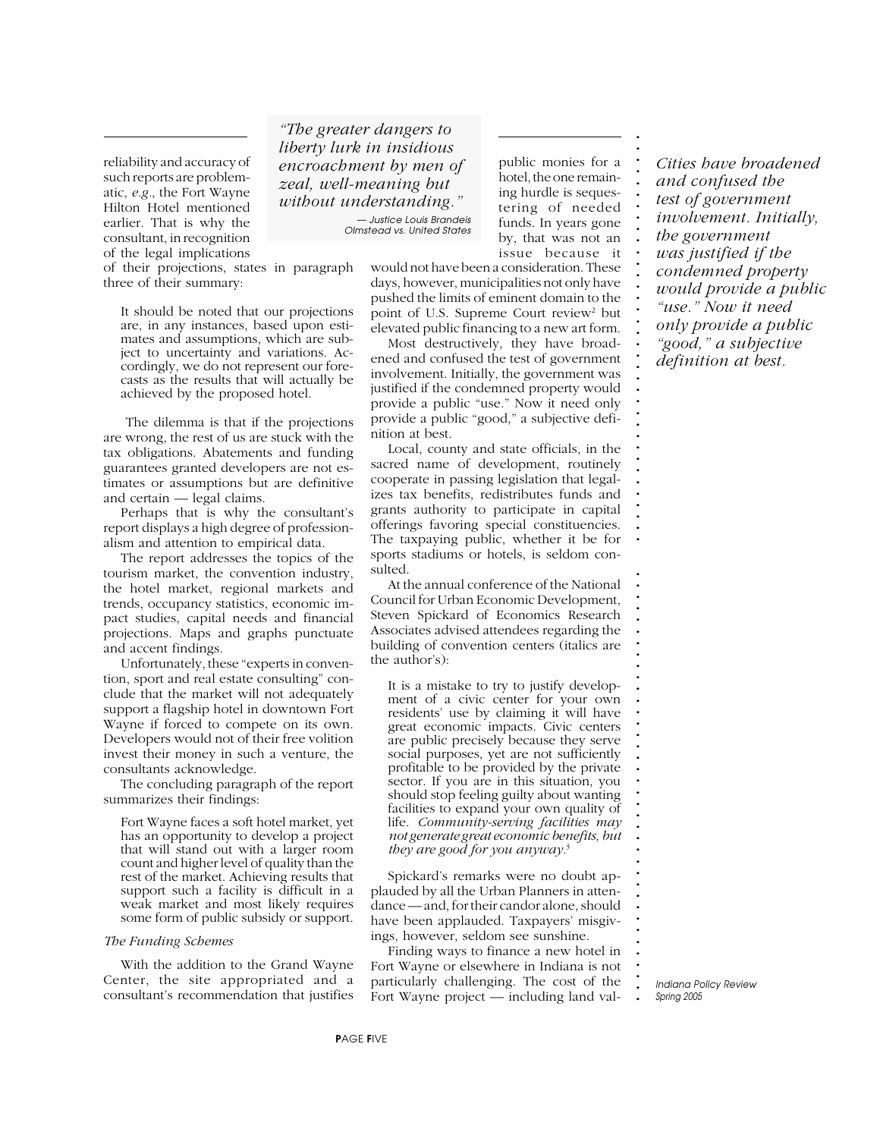reliability and accuracy of such reports are problematic, *e.g.*, the Fort Wayne Hilton Hotel mentioned earlier. That is why the consultant, in recognition of the legal implications

of their projections, states in paragraph three of their summary:

It should be noted that our projections are, in any instances, based upon estimates and assumptions, which are subject to uncertainty and variations. Accordingly, we do not represent our forecasts as the results that will actually be achieved by the proposed hotel.

 The dilemma is that if the projections are wrong, the rest of us are stuck with the tax obligations. Abatements and funding guarantees granted developers are not estimates or assumptions but are definitive and certain — legal claims.

Perhaps that is why the consultant's report displays a high degree of professionalism and attention to empirical data.

The report addresses the topics of the tourism market, the convention industry, the hotel market, regional markets and trends, occupancy statistics, economic impact studies, capital needs and financial projections. Maps and graphs punctuate and accent findings.

Unfortunately, these "experts in convention, sport and real estate consulting" conclude that the market will not adequately support a flagship hotel in downtown Fort Wayne if forced to compete on its own. Developers would not of their free volition invest their money in such a venture, the consultants acknowledge.

The concluding paragraph of the report summarizes their findings:

Fort Wayne faces a soft hotel market, yet has an opportunity to develop a project that will stand out with a larger room count and higher level of quality than the rest of the market. Achieving results that support such a facility is difficult in a weak market and most likely requires some form of public subsidy or support.

#### *The Funding Schemes*

With the addition to the Grand Wayne Center, the site appropriated and a consultant's recommendation that justifies

*"The greater dangers to liberty lurk in insidious encroachment by men of zeal, well-meaning but without understanding." — Justice Louis Brandeis Olmstead vs. United States*

public monies for a hotel, the one remaining hurdle is sequestering of needed funds. In years gone by, that was not an issue because it **. . . . . . . . . . . . . . . . . . . . . . . . . . . . . . . . . . . .**

**. . . . . . . . . . . . . . . . . . . . . . . . . . . . . . . . . . . . .**

would not have been a consideration. These days, however, municipalities not only have pushed the limits of eminent domain to the point of U.S. Supreme Court review<sup>2</sup> but elevated public financing to a new art form.

Most destructively, they have broadened and confused the test of government involvement. Initially, the government was justified if the condemned property would provide a public "use." Now it need only provide a public "good," a subjective definition at best.

Local, county and state officials, in the sacred name of development, routinely cooperate in passing legislation that legalizes tax benefits, redistributes funds and grants authority to participate in capital offerings favoring special constituencies. The taxpaying public, whether it be for sports stadiums or hotels, is seldom consulted.

At the annual conference of the National Council for Urban Economic Development, Steven Spickard of Economics Research Associates advised attendees regarding the building of convention centers (italics are the author's):

It is a mistake to try to justify development of a civic center for your own residents' use by claiming it will have great economic impacts. Civic centers are public precisely because they serve social purposes, yet are not sufficiently profitable to be provided by the private sector. If you are in this situation, you should stop feeling guilty about wanting facilities to expand your own quality of life. *Community-serving facilities may not generate great economic benefits, but they are good for you anyway.*<sup>3</sup>

Spickard's remarks were no doubt applauded by all the Urban Planners in attendance — and, for their candor alone, should have been applauded. Taxpayers' misgivings, however, seldom see sunshine.

Finding ways to finance a new hotel in Fort Wayne or elsewhere in Indiana is not particularly challenging. The cost of the Fort Wayne project — including land val*Cities have broadened and confused the test of government involvement. Initially, the government was justified if the condemned property would provide a public "use." Now it need only provide a public "good," a subjective definition at best.*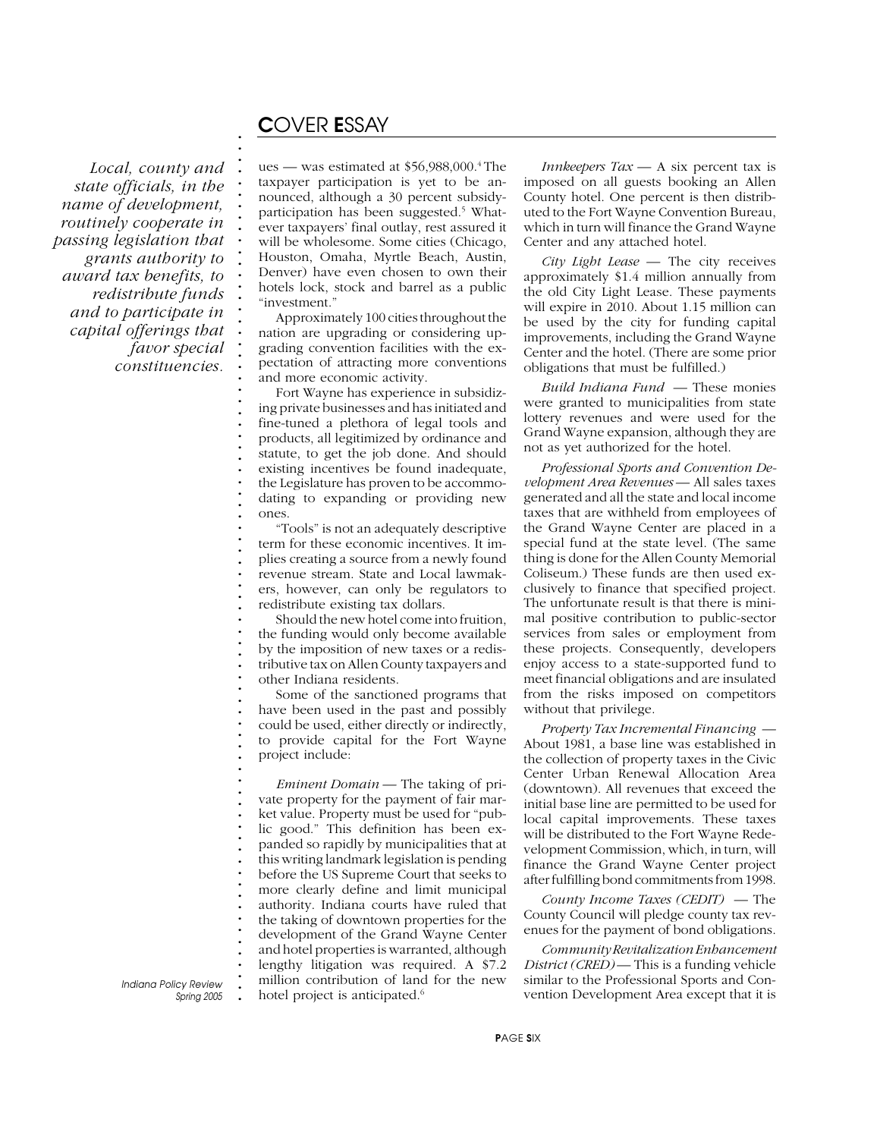### C*OVER* E*SSAY*

**. . . . . . . . . . . . . . . . . . . . . . . . . . . . . . . . . . . . . . . . . . . . . . . . . . . . . . . . . . . . . . . . . . . . . . . . . . .**

*Local, county and state officials, in the name of development, routinely cooperate in passing legislation that grants authority to award tax benefits, to redistribute funds and to participate in capital offerings that favor special constituencies.*

ues — was estimated at  $$56,988,000$ .<sup>4</sup> The taxpayer participation is yet to be announced, although a 30 percent subsidyparticipation has been suggested.<sup>5</sup> Whatever taxpayers' final outlay, rest assured it will be wholesome. Some cities (Chicago, Houston, Omaha, Myrtle Beach, Austin, Denver) have even chosen to own their hotels lock, stock and barrel as a public "investment."

Approximately 100 cities throughout the nation are upgrading or considering upgrading convention facilities with the expectation of attracting more conventions and more economic activity.

Fort Wayne has experience in subsidizing private businesses and has initiated and fine-tuned a plethora of legal tools and products, all legitimized by ordinance and statute, to get the job done. And should existing incentives be found inadequate, the Legislature has proven to be accommodating to expanding or providing new ones.

"Tools" is not an adequately descriptive term for these economic incentives. It implies creating a source from a newly found revenue stream. State and Local lawmakers, however, can only be regulators to redistribute existing tax dollars.

Should the new hotel come into fruition, the funding would only become available by the imposition of new taxes or a redistributive tax on Allen County taxpayers and other Indiana residents.

Some of the sanctioned programs that have been used in the past and possibly could be used, either directly or indirectly, to provide capital for the Fort Wayne project include:

*Eminent Domain* — The taking of private property for the payment of fair market value. Property must be used for "public good." This definition has been expanded so rapidly by municipalities that at this writing landmark legislation is pending before the US Supreme Court that seeks to more clearly define and limit municipal authority. Indiana courts have ruled that the taking of downtown properties for the development of the Grand Wayne Center and hotel properties is warranted, although lengthy litigation was required. A \$7.2 million contribution of land for the new hotel project is anticipated.<sup>6</sup>

*Innkeepers Tax* — A six percent tax is imposed on all guests booking an Allen County hotel. One percent is then distributed to the Fort Wayne Convention Bureau, which in turn will finance the Grand Wayne Center and any attached hotel.

*City Light Lease* — The city receives approximately \$1.4 million annually from the old City Light Lease. These payments will expire in 2010. About 1.15 million can be used by the city for funding capital improvements, including the Grand Wayne Center and the hotel. (There are some prior obligations that must be fulfilled.)

*Build Indiana Fund* — These monies were granted to municipalities from state lottery revenues and were used for the Grand Wayne expansion, although they are not as yet authorized for the hotel.

*Professional Sports and Convention Development Area Revenues* — All sales taxes generated and all the state and local income taxes that are withheld from employees of the Grand Wayne Center are placed in a special fund at the state level. (The same thing is done for the Allen County Memorial Coliseum.) These funds are then used exclusively to finance that specified project. The unfortunate result is that there is minimal positive contribution to public-sector services from sales or employment from these projects. Consequently, developers enjoy access to a state-supported fund to meet financial obligations and are insulated from the risks imposed on competitors without that privilege.

*Property Tax Incremental Financing* — About 1981, a base line was established in the collection of property taxes in the Civic Center Urban Renewal Allocation Area (downtown). All revenues that exceed the initial base line are permitted to be used for local capital improvements. These taxes will be distributed to the Fort Wayne Redevelopment Commission, which, in turn, will finance the Grand Wayne Center project after fulfilling bond commitments from 1998.

*County Income Taxes (CEDIT)* — The County Council will pledge county tax revenues for the payment of bond obligations.

*Community Revitalization Enhancement District (CRED)* — This is a funding vehicle similar to the Professional Sports and Convention Development Area except that it is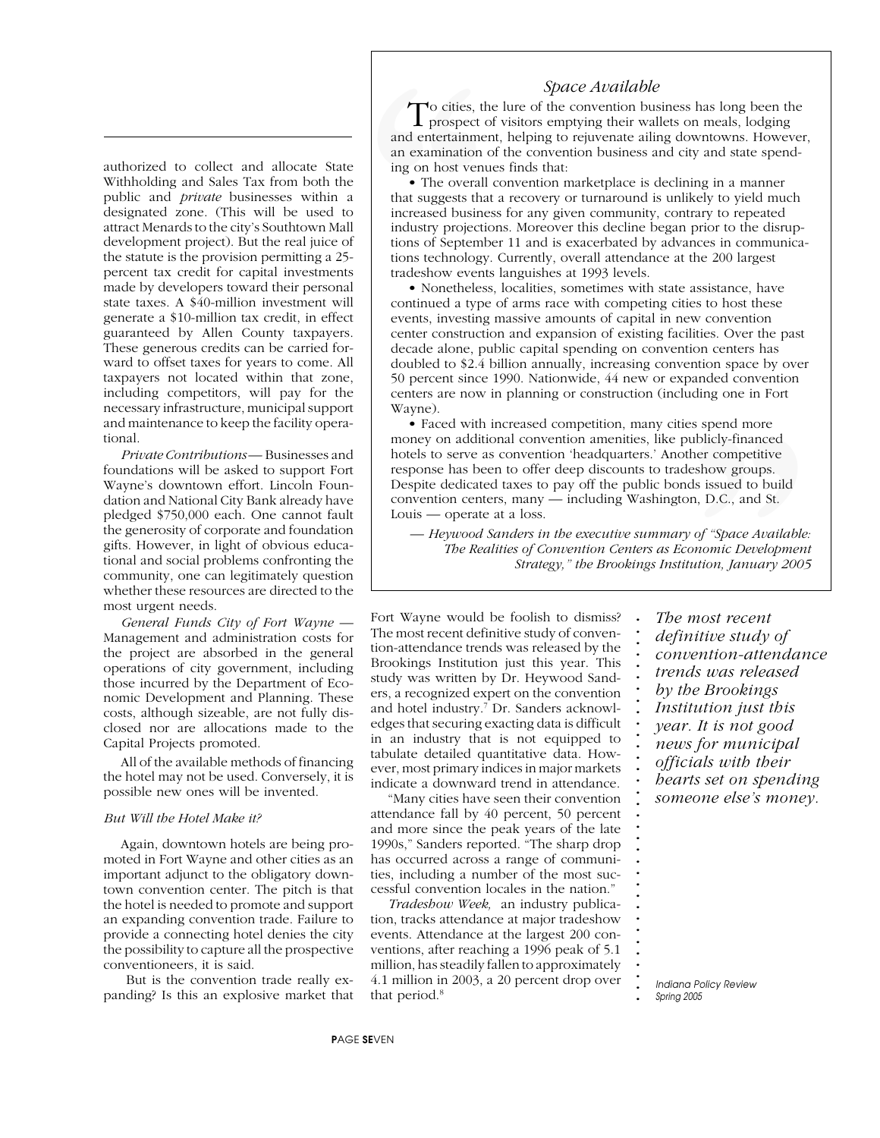### *Space Available*

authorized to collect and allocate State Withholding and Sales Tax from both the public and *private* businesses within a designated zone. (This will be used to attract Menards to the city's Southtown Mall development project). But the real juice of the statute is the provision permitting a 25 percent tax credit for capital investments made by developers toward their personal state taxes. A \$40-million investment will generate a \$10-million tax credit, in effect guaranteed by Allen County taxpayers. These generous credits can be carried forward to offset taxes for years to come. All taxpayers not located within that zone, including competitors, will pay for the necessary infrastructure, municipal support and maintenance to keep the facility operational.

*Private Contributions* — Businesses and foundations will be asked to support Fort Wayne's downtown effort. Lincoln Foundation and National City Bank already have pledged \$750,000 each. One cannot fault the generosity of corporate and foundation gifts. However, in light of obvious educational and social problems confronting the community, one can legitimately question whether these resources are directed to the most urgent needs.

*General Funds City of Fort Wayne* — Management and administration costs for the project are absorbed in the general operations of city government, including those incurred by the Department of Economic Development and Planning. These costs, although sizeable, are not fully disclosed nor are allocations made to the Capital Projects promoted.

All of the available methods of financing the hotel may not be used. Conversely, it is possible new ones will be invented.

#### *But Will the Hotel Make it?*

Again, downtown hotels are being promoted in Fort Wayne and other cities as an important adjunct to the obligatory downtown convention center. The pitch is that the hotel is needed to promote and support an expanding convention trade. Failure to provide a connecting hotel denies the city the possibility to capture all the prospective conventioneers, it is said.

 But is the convention trade really expanding? Is this an explosive market that

and entertainment, helping to rejuvenate ailing downtowns. However, and entertainment, helping to refuse all and state spend-<br>an examination of the convention business and city and state spend-To cities, the lure of the convention business has long been the prospect of visitors emptying their wallets on meals, lodging ing on host venues finds that:

**.** • The overall convention marketplace is declining in a manner **. .** that suggests that a recovery or turnaround is unlikely to yield much **.** increased business for any given community, contrary to repeated **.** industry projections. Moreover this decline began prior to the disrup-**.** tions of September 11 and is exacerbated by advances in communica-**. .** tions technology. Currently, overall attendance at the 200 largest **.** tradeshow events languishes at 1993 levels. To cities, the prospect c<br>
and entertainment<br>
an examination of<br>
ing on host venu<br> **The overall**<br>
that suggests tha<br>
increased busine<br>
industry projections<br>
itions of Septemb<br>
tions technology<br>
tradeshow event<br>
Nonetheless

• Nonetheless, localities, sometimes with state assistance, have **. .** continued a type of arms race with competing cities to host these **.** events, investing massive amounts of capital in new convention **.** center construction and expansion of existing facilities. Over the past **. .** decade alone, public capital spending on convention centers has **.** doubled to \$2.4 billion annually, increasing convention space by over **.** 50 percent since 1990. Nationwide, 44 new or expanded convention by percent since 1770, Nationwide, 11 new or expanded convenience terms are now in planning or construction (including one in Fort Wayne).

**.** • Faced with increased competition, many cities spend more **. .** money on additional convention amenities, like publicly-financed **.** hotels to serve as convention 'headquarters.' Another competitive **.** response has been to offer deep discounts to tradeshow groups. **. .** Despite dedicated taxes to pay off the public bonds issued to build **.** convention centers, many — including Washington, D.C., and St. es spend more<br>
sublicly-financed<br>
ther competitive<br>
leshow groups.<br>
ds issued to build<br>
on, D.C., and St.<br>
y of "Space Available:<br>
conomic Development<br>
tution, January 2005<br> **MOST FECT ANCE STARE SERVICE STARE SERVICE SERV** Louis — operate at a loss.

**. .** *— Heywood Sanders in the executive summary of "Space Available:* **.** *The Realities of Convention Centers as Economic Development* **. .** *Strategy," the Brookings Institution, January 2005*

**. . . . . . . . . . . . . . . . . . . . . . . . . . . . . . . . . . .**

Fort Wayne would be foolish to dismiss? The most recent definitive study of convention-attendance trends was released by the Brookings Institution just this year. This study was written by Dr. Heywood Sanders, a recognized expert on the convention and hotel industry.7 Dr. Sanders acknowledges that securing exacting data is difficult in an industry that is not equipped to tabulate detailed quantitative data. However, most primary indices in major markets indicate a downward trend in attendance.

"Many cities have seen their convention attendance fall by 40 percent, 50 percent and more since the peak years of the late 1990s," Sanders reported. "The sharp drop has occurred across a range of communities, including a number of the most successful convention locales in the nation."

*Tradeshow Week,* an industry publication, tracks attendance at major tradeshow events. Attendance at the largest 200 conventions, after reaching a 1996 peak of 5.1 million, has steadily fallen to approximately 4.1 million in 2003, a 20 percent drop over that period.<sup>8</sup>

*The most recent definitive study of convention-attendance trends was released by the Brookings Institution just this year. It is not good news for municipal officials with their hearts set on spending someone else's money.*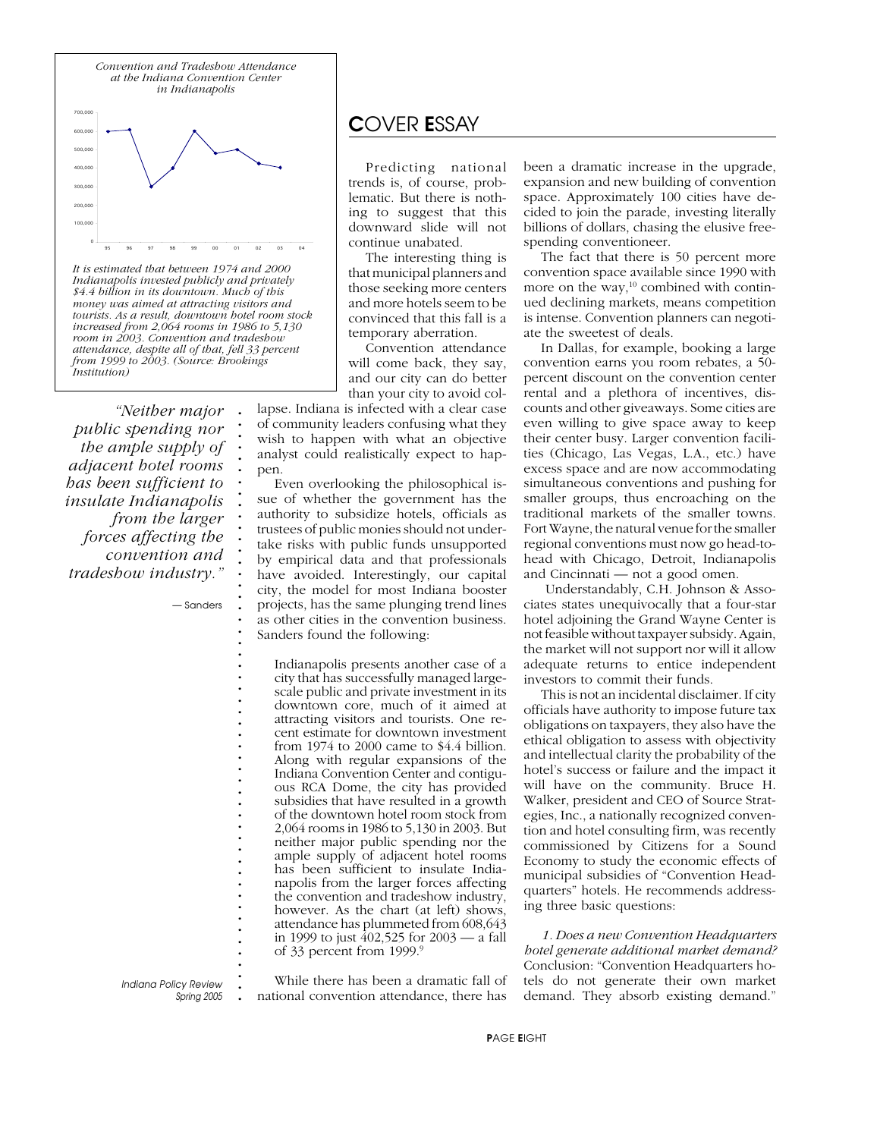

**.** *It is estimated that between 1974 and 2000* **.** *Indianapolis invested publicly and privately* **.** *\$4.4 billion in its downtown. Much of this* **.** *money was aimed at attracting visitors and* **.** *tourists. As a result, downtown hotel room stock* **.** *increased from 2,064 rooms in 1986 to 5,130* **.** *room in 2003. Convention and tradeshow* **.** *attendance, despite all of that, fell 33 percent* **.** *from 1999 to 2003. (Source: Brookings Institution)*

> **. . . . . . . . . . . . . . . . . . . . . . . . . . . . . . . . . . . . . . . . . . . . . . . . . . . .**

*"Neither major public spending nor the ample supply of adjacent hotel rooms has been sufficient to insulate Indianapolis from the larger forces affecting the convention and tradeshow industry."*

*— Sanders*

**.** *Indiana Policy Review Spring 2005*

## C*OVER* E*SSAY*

Predicting national trends is, of course, problematic. But there is nothing to suggest that this downward slide will not continue unabated.

The interesting thing is that municipal planners and those seeking more centers and more hotels seem to be convinced that this fall is a temporary aberration.

Convention attendance will come back, they say, and our city can do better than your city to avoid col-

lapse. Indiana is infected with a clear case of community leaders confusing what they wish to happen with what an objective analyst could realistically expect to happen.

Even overlooking the philosophical issue of whether the government has the authority to subsidize hotels, officials as trustees of public monies should not undertake risks with public funds unsupported by empirical data and that professionals have avoided. Interestingly, our capital city, the model for most Indiana booster projects, has the same plunging trend lines as other cities in the convention business. Sanders found the following:

Indianapolis presents another case of a city that has successfully managed largescale public and private investment in its downtown core, much of it aimed at attracting visitors and tourists. One recent estimate for downtown investment from 1974 to 2000 came to \$4.4 billion. Along with regular expansions of the Indiana Convention Center and contiguous RCA Dome, the city has provided subsidies that have resulted in a growth of the downtown hotel room stock from 2,064 rooms in 1986 to 5,130 in 2003. But neither major public spending nor the ample supply of adjacent hotel rooms has been sufficient to insulate Indianapolis from the larger forces affecting the convention and tradeshow industry, however. As the chart (at left) shows, attendance has plummeted from 608,643 in 1999 to just 402,525 for 2003 — a fall of 33 percent from 1999.<sup>9</sup>

While there has been a dramatic fall of national convention attendance, there has

been a dramatic increase in the upgrade, expansion and new building of convention space. Approximately 100 cities have decided to join the parade, investing literally billions of dollars, chasing the elusive freespending conventioneer.

The fact that there is 50 percent more convention space available since 1990 with more on the way,<sup>10</sup> combined with continued declining markets, means competition is intense. Convention planners can negotiate the sweetest of deals.

In Dallas, for example, booking a large convention earns you room rebates, a 50 percent discount on the convention center rental and a plethora of incentives, discounts and other giveaways. Some cities are even willing to give space away to keep their center busy. Larger convention facilities (Chicago, Las Vegas, L.A., etc.) have excess space and are now accommodating simultaneous conventions and pushing for smaller groups, thus encroaching on the traditional markets of the smaller towns. Fort Wayne, the natural venue for the smaller regional conventions must now go head-tohead with Chicago, Detroit, Indianapolis and Cincinnati — not a good omen.

 Understandably, C.H. Johnson & Associates states unequivocally that a four-star hotel adjoining the Grand Wayne Center is not feasible without taxpayer subsidy. Again, the market will not support nor will it allow adequate returns to entice independent investors to commit their funds.

This is not an incidental disclaimer. If city officials have authority to impose future tax obligations on taxpayers, they also have the ethical obligation to assess with objectivity and intellectual clarity the probability of the hotel's success or failure and the impact it will have on the community. Bruce H. Walker, president and CEO of Source Strategies, Inc., a nationally recognized convention and hotel consulting firm, was recently commissioned by Citizens for a Sound Economy to study the economic effects of municipal subsidies of "Convention Headquarters" hotels. He recommends addressing three basic questions:

*1. Does a new Convention Headquarters hotel generate additional market demand?* Conclusion: "Convention Headquarters hotels do not generate their own market demand. They absorb existing demand."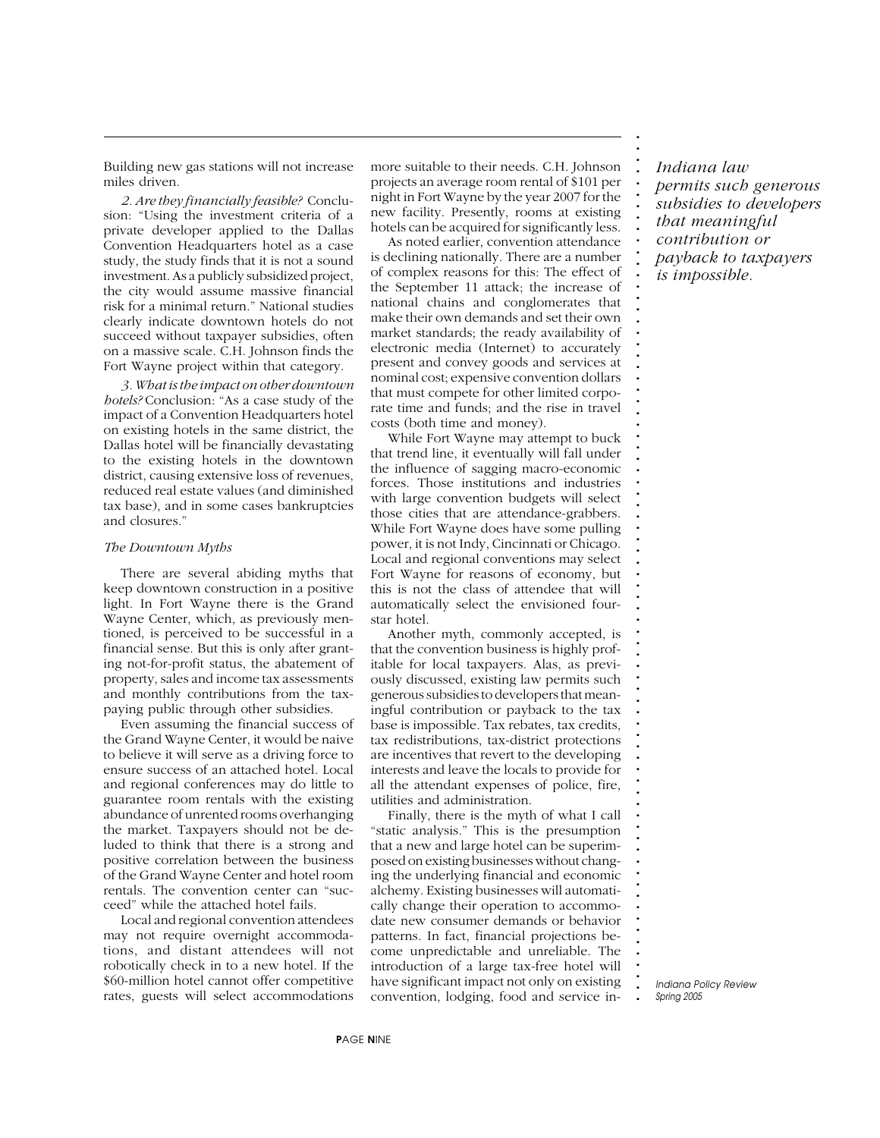Building new gas stations will not increase miles driven.

*2. Are they financially feasible?* Conclusion: "Using the investment criteria of a private developer applied to the Dallas Convention Headquarters hotel as a case study, the study finds that it is not a sound investment. As a publicly subsidized project, the city would assume massive financial risk for a minimal return." National studies clearly indicate downtown hotels do not succeed without taxpayer subsidies, often on a massive scale. C.H. Johnson finds the Fort Wayne project within that category.

*3. What is the impact on other downtown hotels?* Conclusion: "As a case study of the impact of a Convention Headquarters hotel on existing hotels in the same district, the Dallas hotel will be financially devastating to the existing hotels in the downtown district, causing extensive loss of revenues, reduced real estate values (and diminished tax base), and in some cases bankruptcies and closures."

#### *The Downtown Myths*

There are several abiding myths that keep downtown construction in a positive light. In Fort Wayne there is the Grand Wayne Center, which, as previously mentioned, is perceived to be successful in a financial sense. But this is only after granting not-for-profit status, the abatement of property, sales and income tax assessments and monthly contributions from the taxpaying public through other subsidies.

Even assuming the financial success of the Grand Wayne Center, it would be naive to believe it will serve as a driving force to ensure success of an attached hotel. Local and regional conferences may do little to guarantee room rentals with the existing abundance of unrented rooms overhanging the market. Taxpayers should not be deluded to think that there is a strong and positive correlation between the business of the Grand Wayne Center and hotel room rentals. The convention center can "succeed" while the attached hotel fails.

Local and regional convention attendees may not require overnight accommodations, and distant attendees will not robotically check in to a new hotel. If the \$60-million hotel cannot offer competitive rates, guests will select accommodations more suitable to their needs. C.H. Johnson projects an average room rental of \$101 per night in Fort Wayne by the year 2007 for the new facility. Presently, rooms at existing hotels can be acquired for significantly less.

As noted earlier, convention attendance is declining nationally. There are a number of complex reasons for this: The effect of the September 11 attack; the increase of national chains and conglomerates that make their own demands and set their own market standards; the ready availability of electronic media (Internet) to accurately present and convey goods and services at nominal cost; expensive convention dollars that must compete for other limited corporate time and funds; and the rise in travel costs (both time and money).

While Fort Wayne may attempt to buck that trend line, it eventually will fall under the influence of sagging macro-economic forces. Those institutions and industries with large convention budgets will select those cities that are attendance-grabbers. While Fort Wayne does have some pulling power, it is not Indy, Cincinnati or Chicago. Local and regional conventions may select Fort Wayne for reasons of economy, but this is not the class of attendee that will automatically select the envisioned fourstar hotel.

Another myth, commonly accepted, is that the convention business is highly profitable for local taxpayers. Alas, as previously discussed, existing law permits such generous subsidies to developers that meaningful contribution or payback to the tax base is impossible. Tax rebates, tax credits, tax redistributions, tax-district protections are incentives that revert to the developing interests and leave the locals to provide for all the attendant expenses of police, fire, utilities and administration.

Finally, there is the myth of what I call "static analysis." This is the presumption that a new and large hotel can be superimposed on existing businesses without changing the underlying financial and economic alchemy. Existing businesses will automatically change their operation to accommodate new consumer demands or behavior patterns. In fact, financial projections become unpredictable and unreliable. The introduction of a large tax-free hotel will have significant impact not only on existing convention, lodging, food and service in-

*Indiana law permits such generous subsidies to developers that meaningful contribution or payback to taxpayers is impossible.*

**. . . . . . . . . . . . . . . . . . . . . . . . . . . . . . . . . . . . . . . . . . . . . . . . . . . . . . . . . . . . . . . . . . . . . . . . . . .**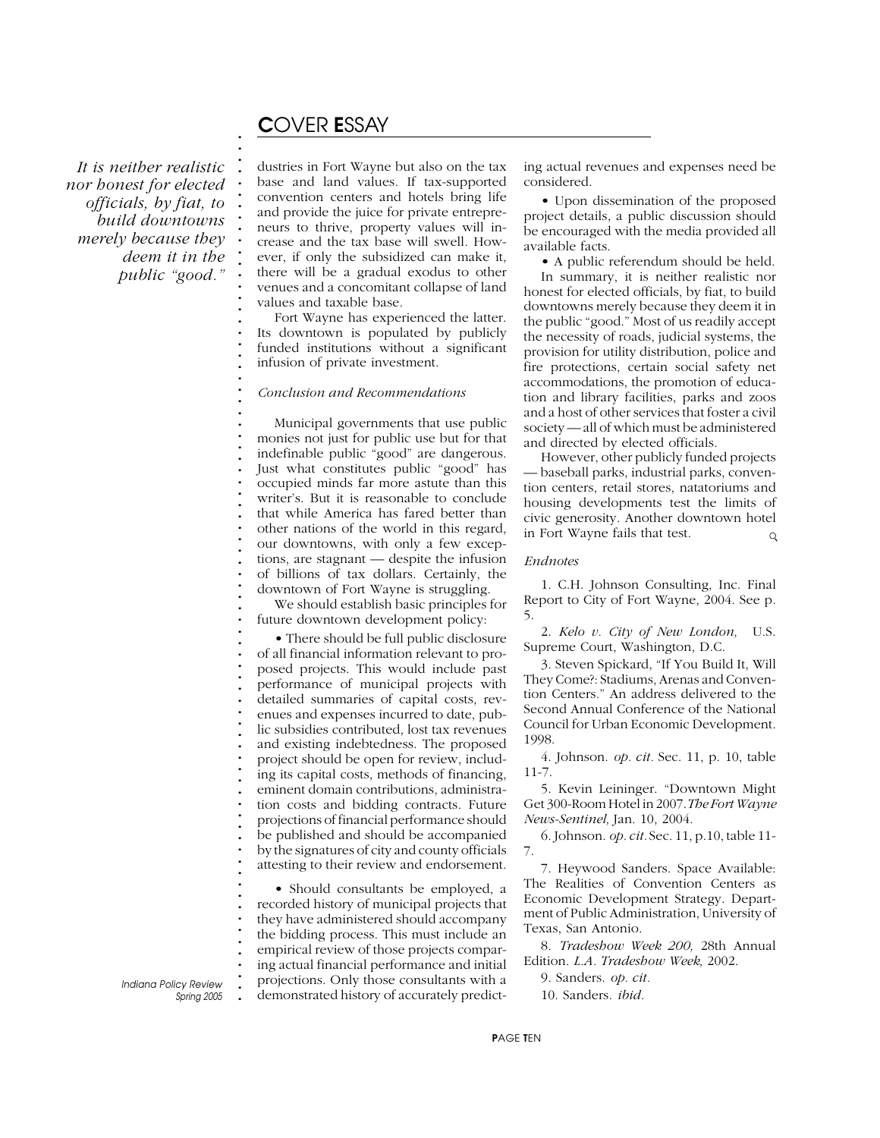### C*OVER* E*SSAY*

**. . . . . . . . . . . . . . . . . . . . . . . . . . . . . . . . . . . . . . . . . . . . . . . . . . . . . . . . . . . . . . . . . . . . . . . . . . .**

*It is neither realistic nor honest for elected officials, by fiat, to build downtowns merely because they deem it in the public "good."*

dustries in Fort Wayne but also on the tax base and land values. If tax-supported convention centers and hotels bring life and provide the juice for private entrepreneurs to thrive, property values will increase and the tax base will swell. However, if only the subsidized can make it, there will be a gradual exodus to other venues and a concomitant collapse of land values and taxable base.

Fort Wayne has experienced the latter. Its downtown is populated by publicly funded institutions without a significant infusion of private investment.

#### *Conclusion and Recommendations*

Municipal governments that use public monies not just for public use but for that indefinable public "good" are dangerous. Just what constitutes public "good" has occupied minds far more astute than this writer's. But it is reasonable to conclude that while America has fared better than other nations of the world in this regard, our downtowns, with only a few exceptions, are stagnant — despite the infusion of billions of tax dollars. Certainly, the downtown of Fort Wayne is struggling.

We should establish basic principles for future downtown development policy:

• There should be full public disclosure of all financial information relevant to proposed projects. This would include past performance of municipal projects with detailed summaries of capital costs, revenues and expenses incurred to date, public subsidies contributed, lost tax revenues and existing indebtedness. The proposed project should be open for review, including its capital costs, methods of financing, eminent domain contributions, administration costs and bidding contracts. Future projections of financial performance should be published and should be accompanied by the signatures of city and county officials attesting to their review and endorsement.

• Should consultants be employed, a recorded history of municipal projects that they have administered should accompany the bidding process. This must include an empirical review of those projects comparing actual financial performance and initial projections. Only those consultants with a demonstrated history of accurately predicting actual revenues and expenses need be considered.

• Upon dissemination of the proposed project details, a public discussion should be encouraged with the media provided all available facts.

• A public referendum should be held. In summary, it is neither realistic nor honest for elected officials, by fiat, to build downtowns merely because they deem it in the public "good." Most of us readily accept the necessity of roads, judicial systems, the provision for utility distribution, police and fire protections, certain social safety net accommodations, the promotion of education and library facilities, parks and zoos and a host of other services that foster a civil society — all of which must be administered and directed by elected officials.

However, other publicly funded projects — baseball parks, industrial parks, convention centers, retail stores, natatoriums and housing developments test the limits of civic generosity. Another downtown hotel in Fort Wayne fails that test.  $\circ$ 

#### *Endnotes*

1. C.H. Johnson Consulting, Inc. Final Report to City of Fort Wayne, 2004. See p. 5.

2. *Kelo v. City of New London,* U.S. Supreme Court, Washington, D.C.

3. Steven Spickard, "If You Build It, Will They Come?: Stadiums, Arenas and Convention Centers." An address delivered to the Second Annual Conference of the National Council for Urban Economic Development. 1998.

4. Johnson. *op. cit.* Sec. 11, p. 10, table 11-7.

5. Kevin Leininger. "Downtown Might Get 300-Room Hotel in 2007.*The Fort Wayne News-Sentinel,* Jan. 10, 2004.

6. Johnson. *op. cit.* Sec. 11, p.10, table 11- 7.

7. Heywood Sanders. Space Available: The Realities of Convention Centers as Economic Development Strategy. Department of Public Administration, University of Texas, San Antonio.

8. *Tradeshow Week 200,* 28th Annual Edition. *L.A. Tradeshow Week,* 2002.

9. Sanders. *op. cit.*

10. Sanders. *ibid.*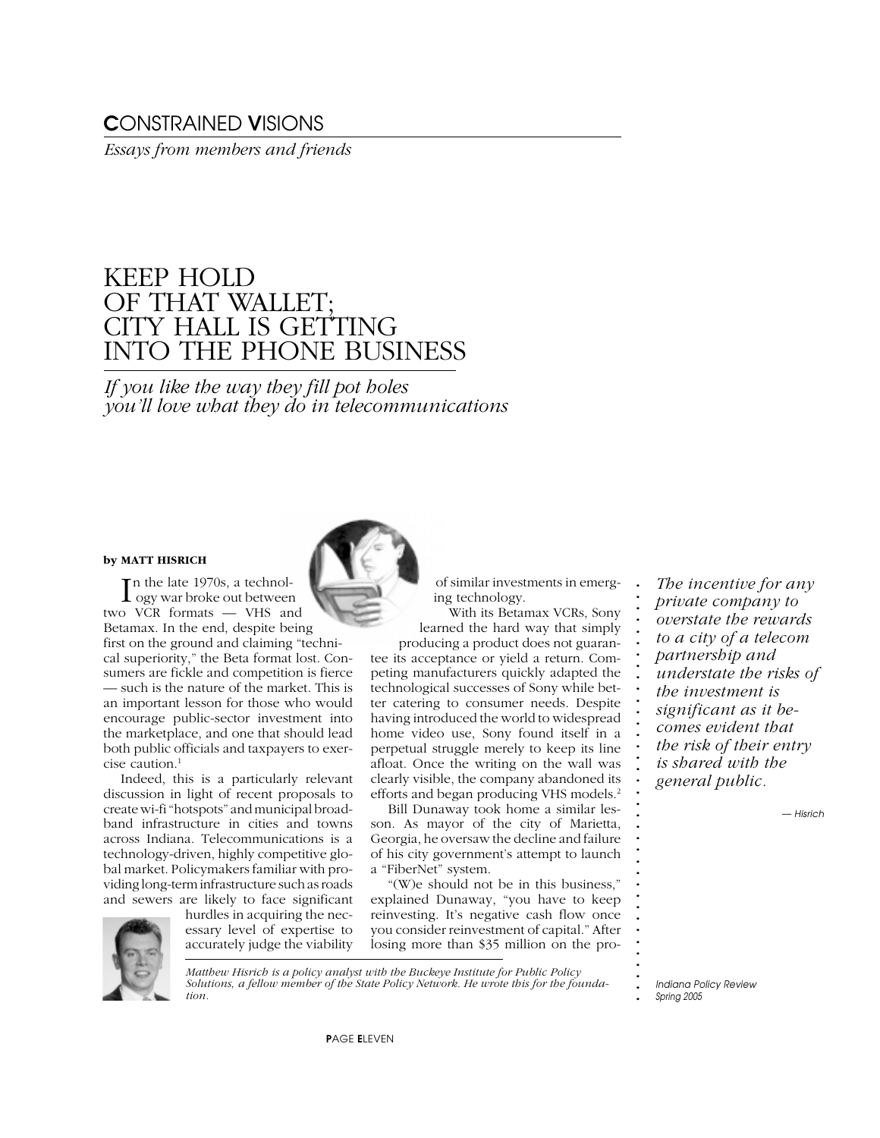# C*ONSTRAINED* V*ISIONS*

*Essays from members and friends*

# KEEP HOLD OF THAT WALLET; CITY HALL IS GETTING INTO THE PHONE BUSINESS

*If you like the way they fill pot holes you'll love what they do in telecommunications*

#### **by MATT HISRICH**

In the late 1970s, a technol-<br>
ogy war broke out betweer ogy war broke out between two VCR formats — VHS and Betamax. In the end, despite being first on the ground and claiming "technical superiority," the Beta format lost. Consumers are fickle and competition is fierce — such is the nature of the market. This is an important lesson for those who would encourage public-sector investment into the marketplace, and one that should lead both public officials and taxpayers to exercise caution.1

Indeed, this is a particularly relevant discussion in light of recent proposals to create wi-fi "hotspots" and municipal broadband infrastructure in cities and towns across Indiana. Telecommunications is a technology-driven, highly competitive global market. Policymakers familiar with providing long-term infrastructure such as roads and sewers are likely to face significant

> hurdles in acquiring the necessary level of expertise to accurately judge the viability



*Matthew Hisrich is a policy analyst with the Buckeye Institute for Public Policy Solutions, a fellow member of the State Policy Network. He wrote this for the foundation.*

of similar investments in emerging technology.

**. . . . . . . . . . . . . . . . . . . . . . . . . . . . . . . . . . . .**

With its Betamax VCRs, Sony learned the hard way that simply producing a product does not guaran-

tee its acceptance or yield a return. Competing manufacturers quickly adapted the technological successes of Sony while better catering to consumer needs. Despite having introduced the world to widespread home video use, Sony found itself in a perpetual struggle merely to keep its line afloat. Once the writing on the wall was clearly visible, the company abandoned its efforts and began producing VHS models.2

Bill Dunaway took home a similar lesson. As mayor of the city of Marietta, Georgia, he oversaw the decline and failure of his city government's attempt to launch a "FiberNet" system.

"(W)e should not be in this business," explained Dunaway, "you have to keep reinvesting. It's negative cash flow once you consider reinvestment of capital." After losing more than \$35 million on the pro-

*The incentive for any private company to overstate the rewards to a city of a telecom partnership and understate the risks of the investment is significant as it becomes evident that the risk of their entry is shared with the general public.*

*— Hisrich*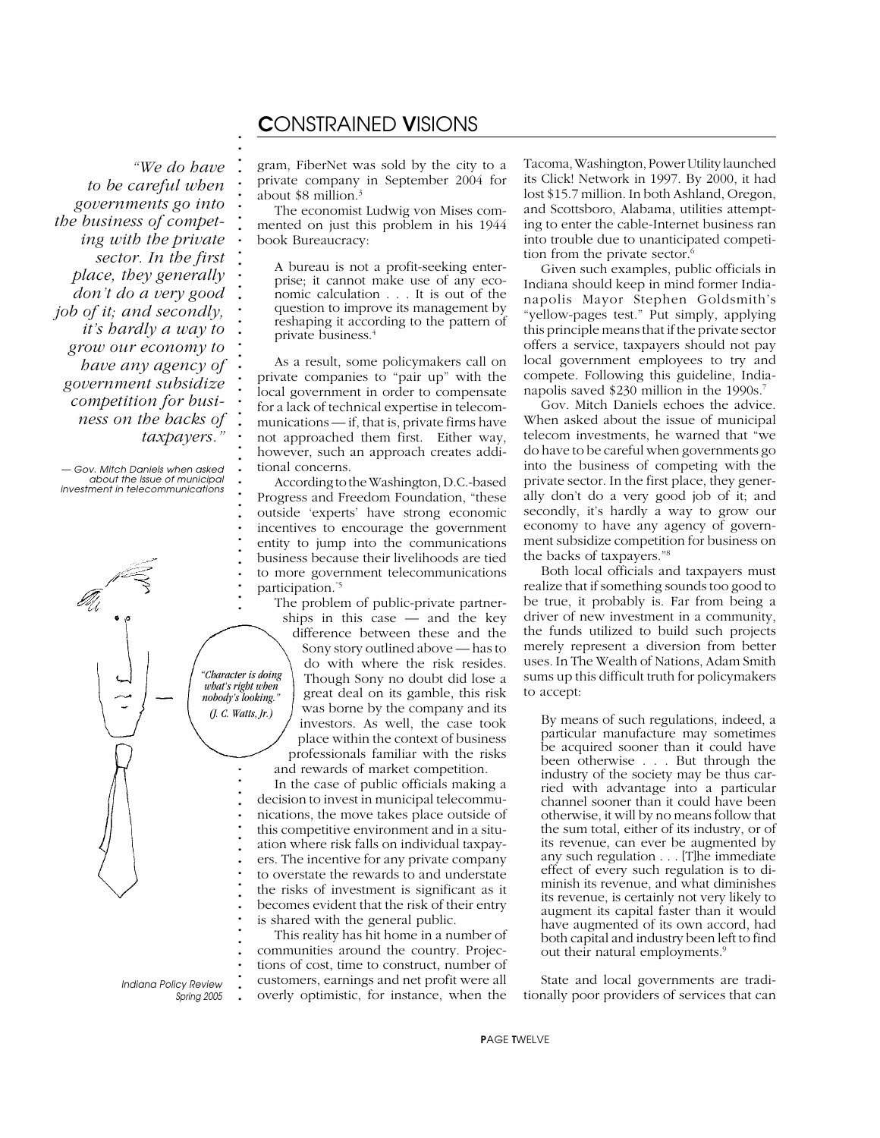### C*ONSTRAINED* V*ISIONS*

*"We do have to be careful when governments go into the business of competing with the private sector. In the first place, they generally don't do a very good job of it; and secondly, it's hardly a way to grow our economy to have any agency of government subsidize competition for business on the backs of taxpayers."*

**. . . . . . . . . . . . . . . . . . . . . . . . . . . . . . . . . . . . .**

*— Gov. Mitch Daniels when asked about the issue of municipal investment in telecommunications*



**.** *Indiana Policy Review Spring 2005* **. . . . .** gram, FiberNet was sold by the city to a private company in September 2004 for about \$8 million.3

The economist Ludwig von Mises commented on just this problem in his 1944 book Bureaucracy:

A bureau is not a profit-seeking enterprise; it cannot make use of any economic calculation . . . It is out of the question to improve its management by reshaping it according to the pattern of private business.4

As a result, some policymakers call on private companies to "pair up" with the local government in order to compensate for a lack of technical expertise in telecommunications — if, that is, private firms have not approached them first. Either way, however, such an approach creates additional concerns.

According to the Washington, D.C.-based Progress and Freedom Foundation, "these outside 'experts' have strong economic incentives to encourage the government entity to jump into the communications business because their livelihoods are tied to more government telecommunications participation."5

The problem of public-private partnerships in this case — and the key difference between these and the Sony story outlined above — has to do with where the risk resides. Though Sony no doubt did lose a great deal on its gamble, this risk was borne by the company and its investors. As well, the case took place within the context of business professionals familiar with the risks and rewards of market competition.

In the case of public officials making a decision to invest in municipal telecommunications, the move takes place outside of this competitive environment and in a situation where risk falls on individual taxpayers. The incentive for any private company to overstate the rewards to and understate the risks of investment is significant as it becomes evident that the risk of their entry is shared with the general public.

This reality has hit home in a number of communities around the country. Projections of cost, time to construct, number of customers, earnings and net profit were all overly optimistic, for instance, when the

Tacoma, Washington, Power Utility launched its Click! Network in 1997. By 2000, it had lost \$15.7 million. In both Ashland, Oregon, and Scottsboro, Alabama, utilities attempting to enter the cable-Internet business ran into trouble due to unanticipated competition from the private sector.6

Given such examples, public officials in Indiana should keep in mind former Indianapolis Mayor Stephen Goldsmith's "yellow-pages test." Put simply, applying this principle means that if the private sector offers a service, taxpayers should not pay local government employees to try and compete. Following this guideline, Indianapolis saved \$230 million in the 1990s.7

Gov. Mitch Daniels echoes the advice. When asked about the issue of municipal telecom investments, he warned that "we do have to be careful when governments go into the business of competing with the private sector. In the first place, they generally don't do a very good job of it; and secondly, it's hardly a way to grow our economy to have any agency of government subsidize competition for business on the backs of taxpayers."8

Both local officials and taxpayers must realize that if something sounds too good to be true, it probably is. Far from being a driver of new investment in a community, the funds utilized to build such projects merely represent a diversion from better uses. In The Wealth of Nations, Adam Smith sums up this difficult truth for policymakers to accept:

By means of such regulations, indeed, a particular manufacture may sometimes be acquired sooner than it could have been otherwise . . . But through the industry of the society may be thus carried with advantage into a particular channel sooner than it could have been otherwise, it will by no means follow that the sum total, either of its industry, or of its revenue, can ever be augmented by any such regulation . . . [T]he immediate effect of every such regulation is to diminish its revenue, and what diminishes its revenue, is certainly not very likely to augment its capital faster than it would have augmented of its own accord, had both capital and industry been left to find out their natural employments.<sup>9</sup>

State and local governments are traditionally poor providers of services that can

P*AGE* T*WELVE*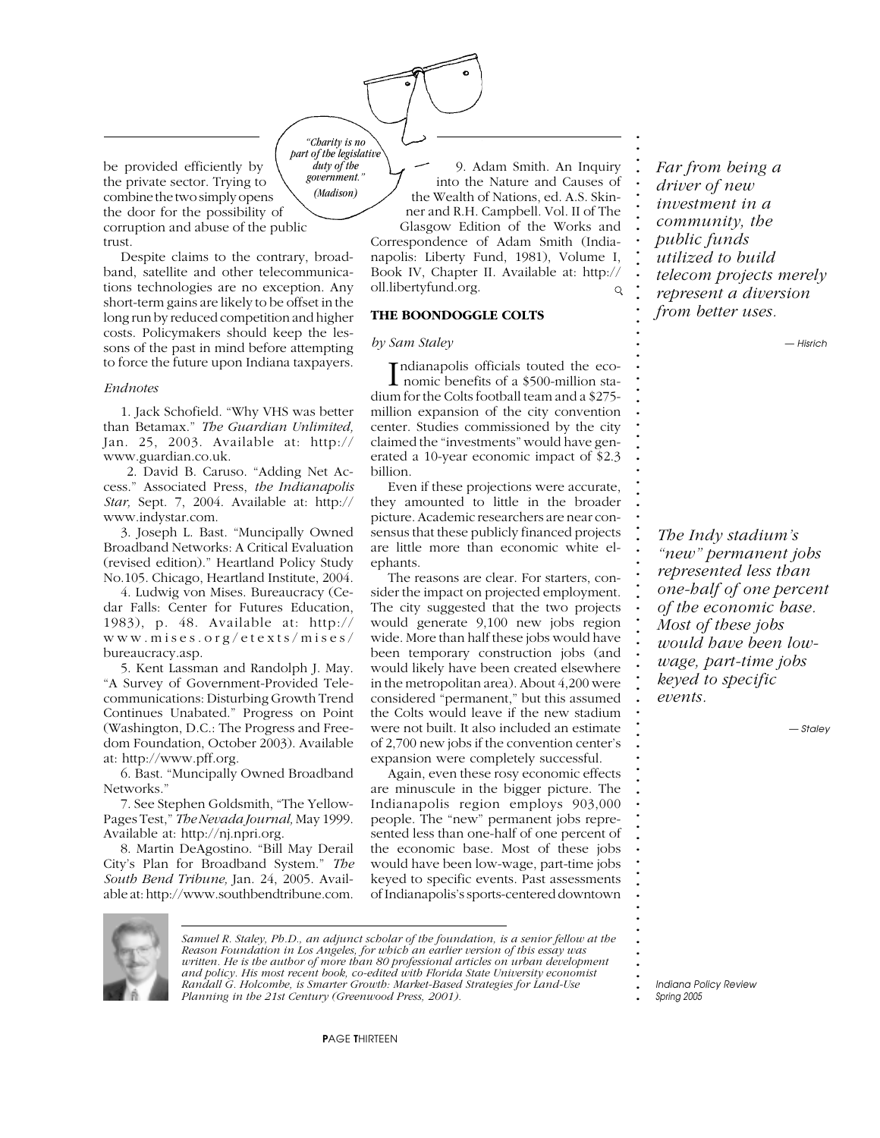be provided efficiently by the private sector. Trying to combine the two simply opens the door for the possibility of corruption and abuse of the public trust. *government."*

Despite claims to the contrary, broadband, satellite and other telecommunications technologies are no exception. Any short-term gains are likely to be offset in the long run by reduced competition and higher costs. Policymakers should keep the lessons of the past in mind before attempting to force the future upon Indiana taxpayers.

#### *Endnotes*

1. Jack Schofield. "Why VHS was better than Betamax." *The Guardian Unlimited,* Jan. 25, 2003. Available at: http:// www.guardian.co.uk.

 2. David B. Caruso. "Adding Net Access." Associated Press, *the Indianapolis Star,* Sept. 7, 2004. Available at: http:// www.indystar.com.

3. Joseph L. Bast. "Muncipally Owned Broadband Networks: A Critical Evaluation (revised edition)." Heartland Policy Study No.105. Chicago, Heartland Institute, 2004.

4. Ludwig von Mises. Bureaucracy (Cedar Falls: Center for Futures Education, 1983), p. 48. Available at: http:// www.mises.org/etexts/mises/ bureaucracy.asp.

5. Kent Lassman and Randolph J. May. "A Survey of Government-Provided Telecommunications: Disturbing Growth Trend Continues Unabated." Progress on Point (Washington, D.C.: The Progress and Freedom Foundation, October 2003). Available at: http://www.pff.org.

6. Bast. "Muncipally Owned Broadband Networks.'

7. See Stephen Goldsmith, "The Yellow-Pages Test," *The Nevada Journal,* May 1999. Available at: http://nj.npri.org.

8. Martin DeAgostino. "Bill May Derail City's Plan for Broadband System." *The South Bend Tribune,* Jan. 24, 2005. Available at: http://www.southbendtribune.com.

*part of the legislative* 9. Adam Smith. An Inquiry into the Nature and Causes of the Wealth of Nations, ed. A.S. Skinner and R.H. Campbell. Vol. II of The Glasgow Edition of the Works and Correspondence of Adam Smith (Indianapolis: Liberty Fund, 1981), Volume I, Book IV, Chapter II. Available at: http:// oll.libertyfund.org.  $\Omega$ 

#### **THE BOONDOGGLE COLTS**

#### *by Sam Staley*

*"Charity is no*

*duty of the*

*(Madison)*

Indianapolis officials touted the eco-<br>nomic benefits of a \$500-million standianapolis officials touted the eco dium for the Colts football team and a \$275 million expansion of the city convention center. Studies commissioned by the city claimed the "investments" would have generated a 10-year economic impact of \$2.3 billion.

Even if these projections were accurate, they amounted to little in the broader picture. Academic researchers are near consensus that these publicly financed projects are little more than economic white elephants.

The reasons are clear. For starters, consider the impact on projected employment. The city suggested that the two projects would generate 9,100 new jobs region wide. More than half these jobs would have been temporary construction jobs (and would likely have been created elsewhere in the metropolitan area). About 4,200 were considered "permanent," but this assumed the Colts would leave if the new stadium were not built. It also included an estimate of 2,700 new jobs if the convention center's expansion were completely successful.

Again, even these rosy economic effects are minuscule in the bigger picture. The Indianapolis region employs 903,000 people. The "new" permanent jobs represented less than one-half of one percent of the economic base. Most of these jobs would have been low-wage, part-time jobs keyed to specific events. Past assessments of Indianapolis's sports-centered downtown



**. . . . . . . . . . . . . . . . . . . . . . . . . . . . . . . . . . . . . . . . . . . . . . . . . . . . . . . . . . . . . . . . . . . . . . . . . . .**

*— Hisrich*

*The Indy stadium's "new" permanent jobs represented less than one-half of one percent of the economic base. Most of these jobs would have been lowwage, part-time jobs keyed to specific events.*

*— Staley*



*Samuel R. Staley, Ph.D., an adjunct scholar of the foundation, is a senior fellow at the Reason Foundation in Los Angeles, for which an earlier version of this essay was written. He is the author of more than 80 professional articles on urban development and policy. His most recent book, co-edited with Florida State University economist Randall G. Holcombe, is Smarter Growth: Market-Based Strategies for Land-Use Planning in the 21st Century (Greenwood Press, 2001).*

**.** *Indiana Policy Review*

*Spring 2005*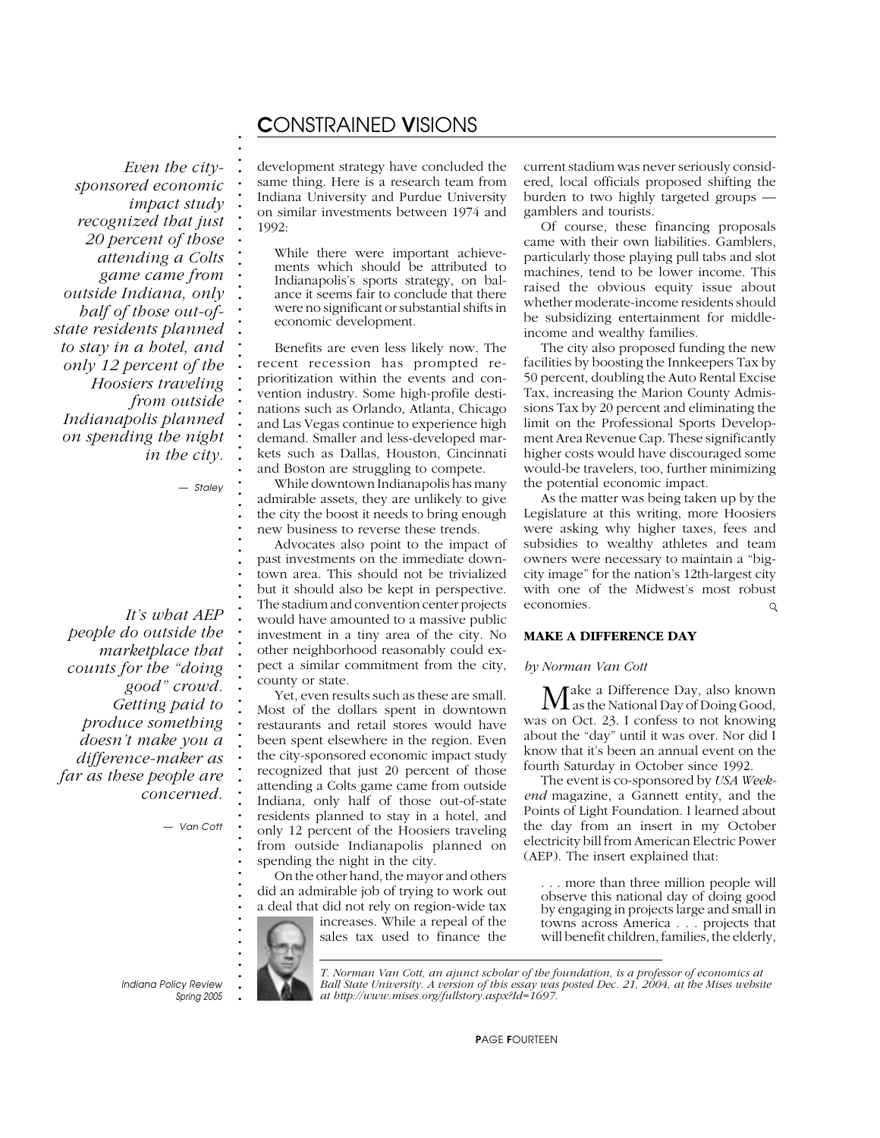### C*ONSTRAINED* V*ISIONS*

*Even the citysponsored economic impact study recognized that just 20 percent of those attending a Colts game came from outside Indiana, only half of those out-ofstate residents planned to stay in a hotel, and only 12 percent of the Hoosiers traveling from outside Indianapolis planned on spending the night in the city.*

*— Staley*

**. . . . . . . . . . . . . . . . . . . . . . . . . . . . . . . . . . . . . . . . . . . . . . . . . . . . . . . . . . . . . . . . . . . . . . . . . . .**

*It's what AEP people do outside the marketplace that counts for the "doing good" crowd. Getting paid to produce something doesn't make you a difference-maker as far as these people are concerned.*

*— Van Cott*

development strategy have concluded the same thing. Here is a research team from Indiana University and Purdue University on similar investments between 1974 and 1992:

While there were important achievements which should be attributed to Indianapolis's sports strategy, on balance it seems fair to conclude that there were no significant or substantial shifts in economic development.

Benefits are even less likely now. The recent recession has prompted reprioritization within the events and convention industry. Some high-profile destinations such as Orlando, Atlanta, Chicago and Las Vegas continue to experience high demand. Smaller and less-developed markets such as Dallas, Houston, Cincinnati and Boston are struggling to compete.

While downtown Indianapolis has many admirable assets, they are unlikely to give the city the boost it needs to bring enough new business to reverse these trends.

Advocates also point to the impact of past investments on the immediate downtown area. This should not be trivialized but it should also be kept in perspective. The stadium and convention center projects would have amounted to a massive public investment in a tiny area of the city. No other neighborhood reasonably could expect a similar commitment from the city, county or state.

Yet, even results such as these are small. Most of the dollars spent in downtown restaurants and retail stores would have been spent elsewhere in the region. Even the city-sponsored economic impact study recognized that just 20 percent of those attending a Colts game came from outside Indiana, only half of those out-of-state residents planned to stay in a hotel, and only 12 percent of the Hoosiers traveling from outside Indianapolis planned on spending the night in the city.

On the other hand, the mayor and others did an admirable job of trying to work out a deal that did not rely on region-wide tax

increases. While a repeal of the sales tax used to finance the current stadium was never seriously considered, local officials proposed shifting the burden to two highly targeted groups gamblers and tourists.

Of course, these financing proposals came with their own liabilities. Gamblers, particularly those playing pull tabs and slot machines, tend to be lower income. This raised the obvious equity issue about whether moderate-income residents should be subsidizing entertainment for middleincome and wealthy families.

The city also proposed funding the new facilities by boosting the Innkeepers Tax by 50 percent, doubling the Auto Rental Excise Tax, increasing the Marion County Admissions Tax by 20 percent and eliminating the limit on the Professional Sports Development Area Revenue Cap. These significantly higher costs would have discouraged some would-be travelers, too, further minimizing the potential economic impact.

As the matter was being taken up by the Legislature at this writing, more Hoosiers were asking why higher taxes, fees and subsidies to wealthy athletes and team owners were necessary to maintain a "bigcity image" for the nation's 12th-largest city with one of the Midwest's most robust economies.  $\mathsf{Q}$ 

#### **MAKE A DIFFERENCE DAY**

#### *by Norman Van Cott*

 $M$ ake a Difference Day, also known<br>as the National Day of Doing Good, was on Oct. 23. I confess to not knowing about the "day" until it was over. Nor did I know that it's been an annual event on the fourth Saturday in October since 1992.

The event is co-sponsored by *USA Weekend* magazine, a Gannett entity, and the Points of Light Foundation. I learned about the day from an insert in my October electricity bill from American Electric Power (AEP). The insert explained that:

. . . more than three million people will observe this national day of doing good by engaging in projects large and small in towns across America . . . projects that will benefit children, families, the elderly,

**.** *Indiana Policy Review Spring 2005* *T. Norman Van Cott, an ajunct scholar of the foundation, is a professor of economics at Ball State University. A version of this essay was posted Dec. 21, 2004, at the Mises website at http://www.mises.org/fullstory.aspx?Id=1697.*

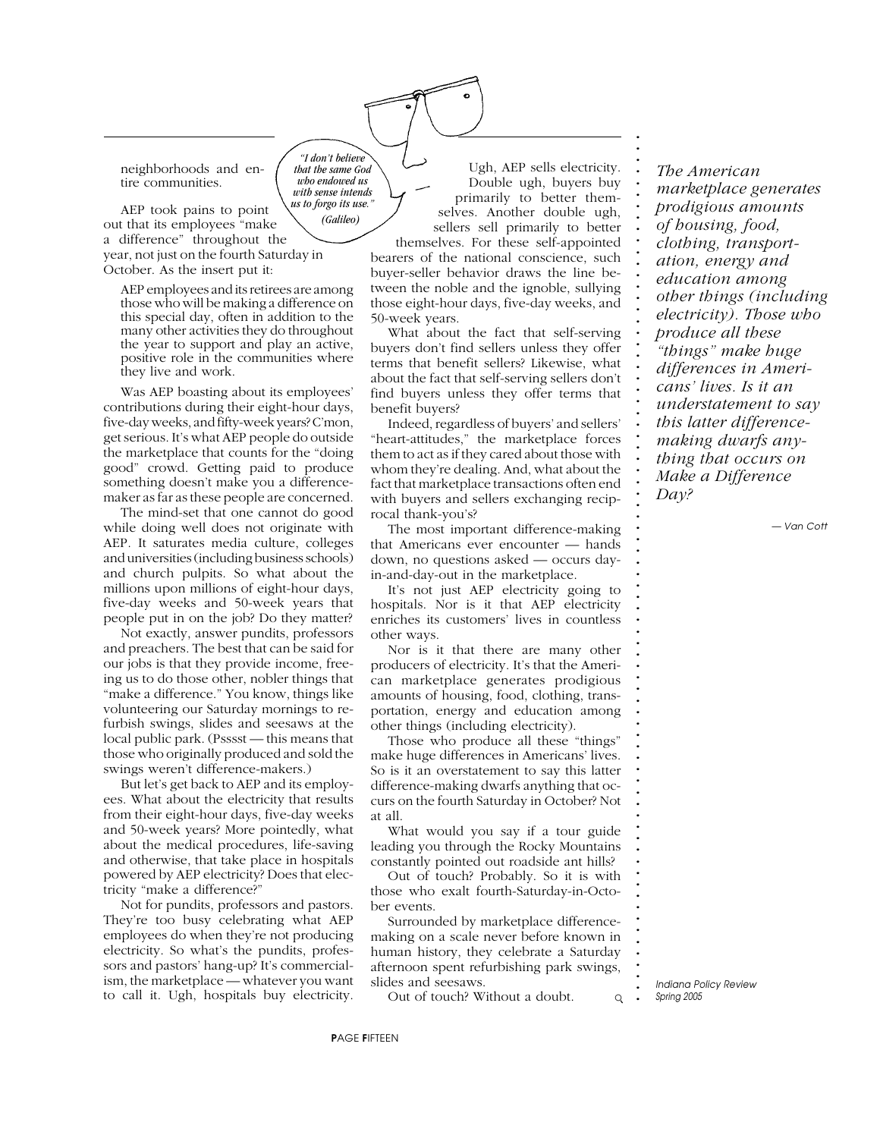neighborhoods and entire communities.

AEP took pains to point out that its employees "make a difference" throughout the year, not just on the fourth Saturday in October. As the insert put it: *us to forgo its use." (Galileo)*

*"I don't believe that the same God who endowed us with sense intends*

AEP employees and its retirees are among those who will be making a difference on this special day, often in addition to the many other activities they do throughout the year to support and play an active, positive role in the communities where they live and work.

Was AEP boasting about its employees' contributions during their eight-hour days, five-day weeks, and fifty-week years? C'mon, get serious. It's what AEP people do outside the marketplace that counts for the "doing good" crowd. Getting paid to produce something doesn't make you a differencemaker as far as these people are concerned.

The mind-set that one cannot do good while doing well does not originate with AEP. It saturates media culture, colleges and universities (including business schools) and church pulpits. So what about the millions upon millions of eight-hour days, five-day weeks and 50-week years that people put in on the job? Do they matter?

Not exactly, answer pundits, professors and preachers. The best that can be said for our jobs is that they provide income, freeing us to do those other, nobler things that "make a difference." You know, things like volunteering our Saturday mornings to refurbish swings, slides and seesaws at the local public park. (Psssst — this means that those who originally produced and sold the swings weren't difference-makers.)

But let's get back to AEP and its employees. What about the electricity that results from their eight-hour days, five-day weeks and 50-week years? More pointedly, what about the medical procedures, life-saving and otherwise, that take place in hospitals powered by AEP electricity? Does that electricity "make a difference?"

Not for pundits, professors and pastors. They're too busy celebrating what AEP employees do when they're not producing electricity. So what's the pundits, professors and pastors' hang-up? It's commercialism, the marketplace — whatever you want to call it. Ugh, hospitals buy electricity.

Ugh, AEP sells electricity. Double ugh, buyers buy primarily to better themselves. Another double ugh, sellers sell primarily to better **. . . . . . . . . . . . . . . . . . . . . . . . . . . . . . . . . . . . . . . . . . . . . . . . . . . . . . . . . . . . . . . . . . . . . . . . . . .**

themselves. For these self-appointed bearers of the national conscience, such buyer-seller behavior draws the line between the noble and the ignoble, sullying those eight-hour days, five-day weeks, and 50-week years.

What about the fact that self-serving buyers don't find sellers unless they offer terms that benefit sellers? Likewise, what about the fact that self-serving sellers don't find buyers unless they offer terms that benefit buyers?

Indeed, regardless of buyers' and sellers' "heart-attitudes," the marketplace forces them to act as if they cared about those with whom they're dealing. And, what about the fact that marketplace transactions often end with buyers and sellers exchanging reciprocal thank-you's?

The most important difference-making that Americans ever encounter — hands down, no questions asked — occurs dayin-and-day-out in the marketplace.

It's not just AEP electricity going to hospitals. Nor is it that AEP electricity enriches its customers' lives in countless other ways.

Nor is it that there are many other producers of electricity. It's that the American marketplace generates prodigious amounts of housing, food, clothing, transportation, energy and education among other things (including electricity).

Those who produce all these "things" make huge differences in Americans' lives. So is it an overstatement to say this latter difference-making dwarfs anything that occurs on the fourth Saturday in October? Not at all.

What would you say if a tour guide leading you through the Rocky Mountains constantly pointed out roadside ant hills?

Out of touch? Probably. So it is with those who exalt fourth-Saturday-in-October events.

Surrounded by marketplace differencemaking on a scale never before known in human history, they celebrate a Saturday afternoon spent refurbishing park swings, slides and seesaws.

Out of touch? Without a doubt.

*The American marketplace generates prodigious amounts of housing, food, clothing, transportation, energy and education among other things (including electricity). Those who produce all these "things" make huge differences in Americans' lives. Is it an understatement to say this latter differencemaking dwarfs anything that occurs on Make a Difference Day?*

*— Van Cott*

**.** *Indiana Policy Review Spring 2005*

 $\mathsf{Q}$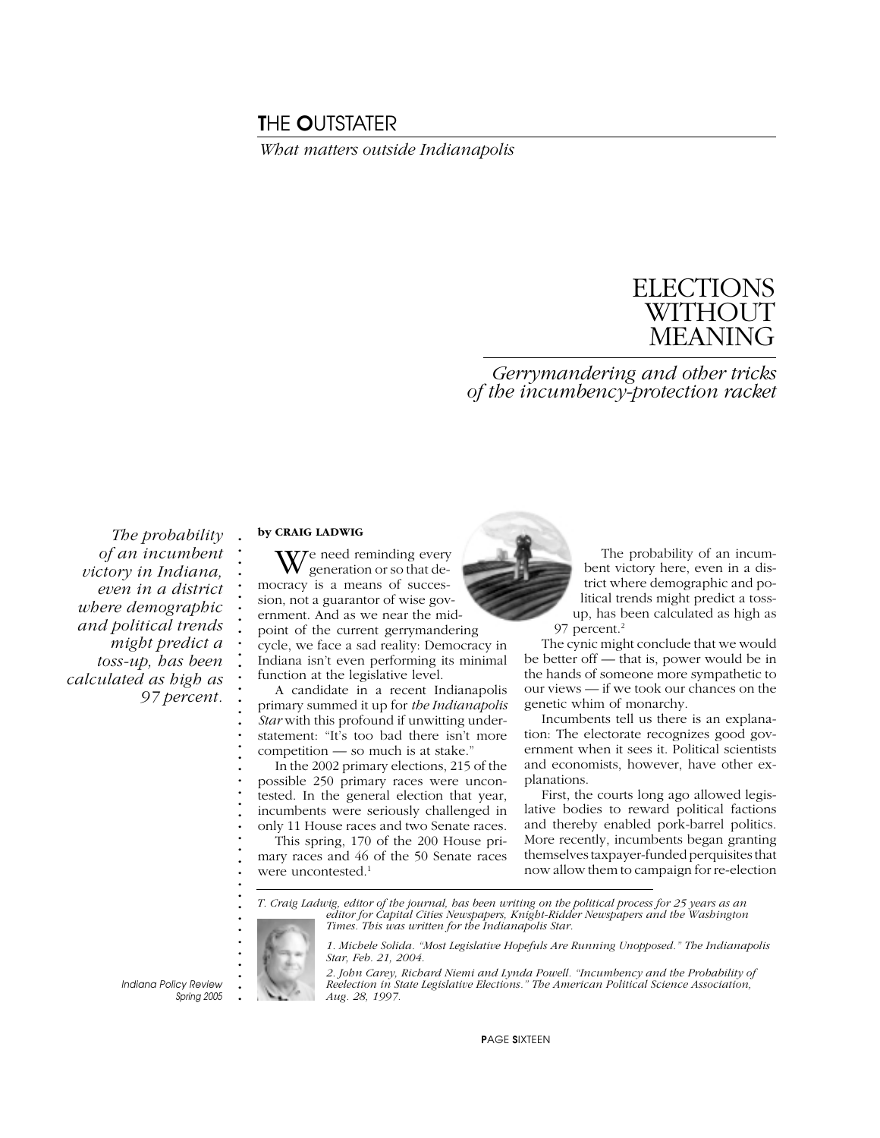## T*HE* O*UTSTATER*

*What matters outside Indianapolis*

# ELECTIONS **WITHOUT** MEANING

*Gerrymandering and other tricks of the incumbency-protection racket*

*The probability of an incumbent victory in Indiana, even in a district where demographic and political trends might predict a toss-up, has been calculated as high as 97 percent.*

#### **by CRAIG LADWIG**

**. . . . . . . . . . . . . . . . . . . . . . . . . . . . . . . . . . . . . . . .**

 $\mathbf{W}$ <sup>e</sup> need reminding every generation or so that democracy is a means of succession, not a guarantor of wise government. And as we near the midpoint of the current gerrymandering cycle, we face a sad reality: Democracy in Indiana isn't even performing its minimal function at the legislative level.

A candidate in a recent Indianapolis primary summed it up for *the Indianapolis Star* with this profound if unwitting understatement: "It's too bad there isn't more competition — so much is at stake."

In the 2002 primary elections, 215 of the possible 250 primary races were uncontested. In the general election that year, incumbents were seriously challenged in only 11 House races and two Senate races.

This spring, 170 of the 200 House primary races and 46 of the 50 Senate races were uncontested.<sup>1</sup>



The probability of an incumbent victory here, even in a district where demographic and political trends might predict a tossup, has been calculated as high as 97 percent.<sup>2</sup>

The cynic might conclude that we would be better off — that is, power would be in the hands of someone more sympathetic to our views — if we took our chances on the genetic whim of monarchy.

Incumbents tell us there is an explanation: The electorate recognizes good government when it sees it. Political scientists and economists, however, have other explanations.

First, the courts long ago allowed legislative bodies to reward political factions and thereby enabled pork-barrel politics. More recently, incumbents began granting themselves taxpayer-funded perquisites that now allow them to campaign for re-election

*T. Craig Ladwig, editor of the journal, has been writing on the political process for 25 years as an editor for Capital Cities Newspapers, Knight-Ridder Newspapers and the Washington Times. This was written for the Indianapolis Star.*

> *1. Michele Solida. "Most Legislative Hopefuls Are Running Unopposed." The Indianapolis Star, Feb. 21, 2004.*

*2. John Carey, Richard Niemi and Lynda Powell. "Incumbency and the Probability of Reelection in State Legislative Elections." The American Political Science Association, Aug. 28, 1997.*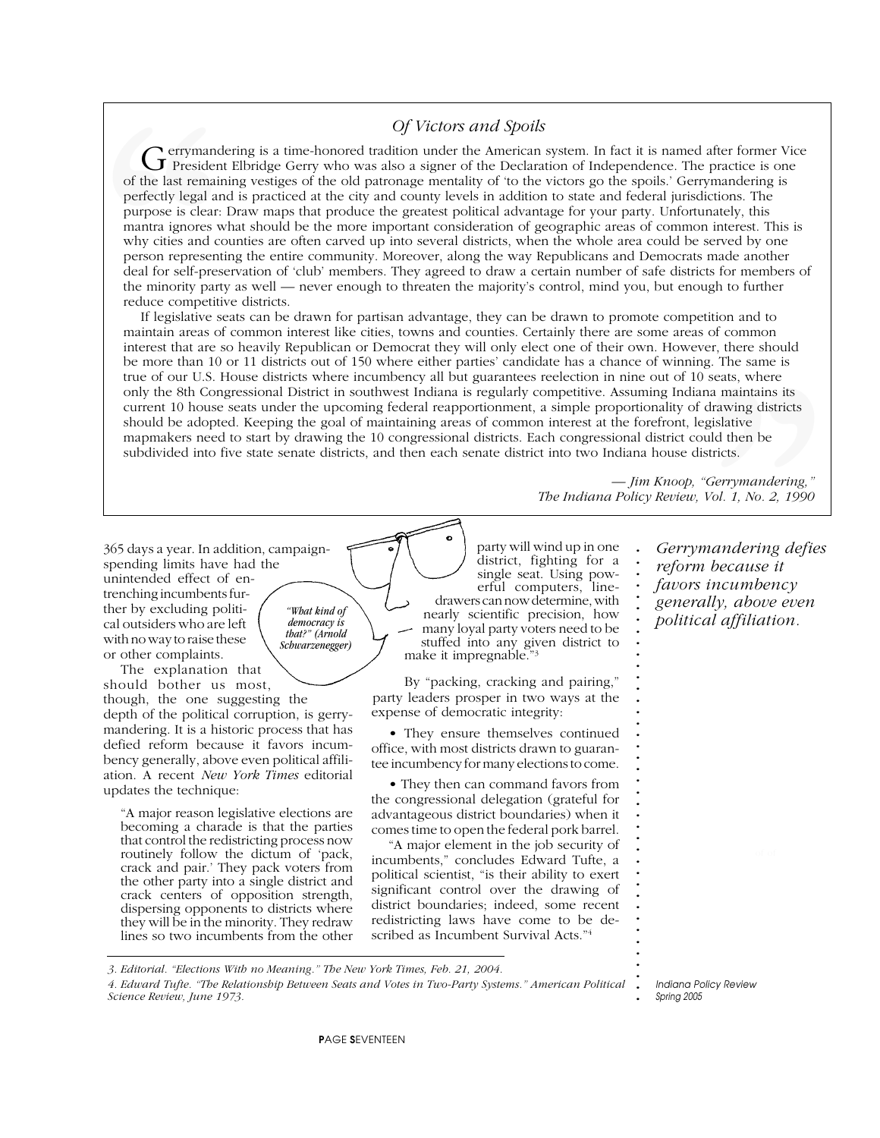**rerymandering is a time-honored tradition under the American system. In fact it is named after former Vice .** Gerrymandering is a time-honored tradition under the American system. In fact it is named after former Vice<br>President Elbridge Gerry who was also a signer of the Declaration of Independence. The practice is one **.** of the last remaining vestiges of the old patronage mentality of 'to the victors go the spoils.' Gerrymandering is **.** perfectly legal and is practiced at the city and county levels in addition to state and federal jurisdictions. The **. .** purpose is clear: Draw maps that produce the greatest political advantage for your party. Unfortunately, this **.** mantra ignores what should be the more important consideration of geographic areas of common interest. This is why cities and counties are often carved up into several districts, when the whole area could be served by one why clues and countes are oncen carved up mto several districts, when the whole area could be served by one person representing the entire community. Moreover, along the way Republicans and Democrats made another **.** deal for self-preservation of 'club' members. They agreed to draw a certain number of safe districts for members of the minority party as well — never enough to threaten the majority's control, mind you, but enough to further *Of Victors and Spoils*<br> **Cology**<br> **Cology**<br> **Cology**<br> **Cology**<br> **Cology**<br> **Cology**<br> **Cology**<br> **Cology**<br> **Cology**<br> **Cology**<br> **Cology**<br> **Cology**<br> **Cology**<br> **Cology**<br> **Cology**<br> **Cology**<br> **Cology**<br> **Cology**<br> **Cology**<br> **Cology** reduce competitive districts.

**.** If legislative seats can be drawn for partisan advantage, they can be drawn to promote competition and to maintain areas of common interest like cities, towns and counties. Certainly there are some areas of common **. .** interest that are so heavily Republican or Democrat they will only elect one of their own. However, there should **.** be more than 10 or 11 districts out of 150 where either parties' candidate has a chance of winning. The same is **.** true of our U.S. House districts where incumbency all but guarantees reelection in nine out of 10 seats, where only the 8th Congressional District in southwest Indiana is regularly competitive. Assuming Indiana maintains its<br>
only the 8th Congressional District in southwest Indiana is regularly competitive. Assuming Indiana maintai **.** current 10 house seats under the upcoming federal reapportionment, a simple proportionality of drawing districts **.** should be adopted. Keeping the goal of maintaining areas of common interest at the forefront, legislative **.** mapmakers need to start by drawing the 10 congressional districts. Each congressional district could then be **. .** subdivided into five state senate districts, and then each senate district into two Indiana house districts.g. The same is<br> **"** seats, where<br>
ma maintains its<br>
drawing districts<br>
egislative<br>
uld then be<br>
stricts.<br>
"Gerrymandering,"<br>
Vol. 1, No. 2, 1990<br> **mandering defies**<br> **"because it<br>
incumbency**<br>
ully, above even<br>
al affiliat

**.** *— Jim Knoop, "Gerrymandering,"* **. .** *The Indiana Policy Review, Vol. 1, No. 2, 1990*

> *Gerrymandering defies reform because it favors incumbency generally, above even political affiliation.*

**.**

**. . . . . . . . . . . . . . . . . . . . . . . . . . . . . . . . . . . . .**

365 days a year. In addition, campaignspending limits have had the unintended effect of entrenching incumbents further by excluding political outsiders who are left with no way to raise these or other complaints. *"What kind of democracy is that?" (Arnold Schwarzenegger)*

The explanation that should bother us most,

though, the one suggesting the depth of the political corruption, is gerrymandering. It is a historic process that has

defied reform because it favors incumbency generally, above even political affiliation. A recent *New York Times* editorial updates the technique:

"A major reason legislative elections are becoming a charade is that the parties that control the redistricting process now routinely follow the dictum of 'pack, crack and pair.' They pack voters from the other party into a single district and crack centers of opposition strength, dispersing opponents to districts where they will be in the minority. They redraw lines so two incumbents from the other

party will wind up in one district, fighting for a single seat. Using powerful computers, linedrawers can now determine, with nearly scientific precision, how many loyal party voters need to be stuffed into any given district to make it impregnable."3

By "packing, cracking and pairing," party leaders prosper in two ways at the expense of democratic integrity:

• They ensure themselves continued office, with most districts drawn to guarantee incumbency for many elections to come.

• They then can command favors from the congressional delegation (grateful for advantageous district boundaries) when it comes time to open the federal pork barrel.

"A major element in the job security of incumbents," concludes Edward Tufte, a political scientist, "is their ability to exert significant control over the drawing of district boundaries; indeed, some recent redistricting laws have come to be described as Incumbent Survival Acts."4

*3. Editorial. "Elections With no Meaning." The New York Times, Feb. 21, 2004.*

**. .** *4. Edward Tufte. "The Relationship Between Seats and Votes in Two-Party Systems." American Political Science Review, June 1973.*

**.** *Indiana Policy Review Spring 2005*

P*AGE* S*EVENTEEN*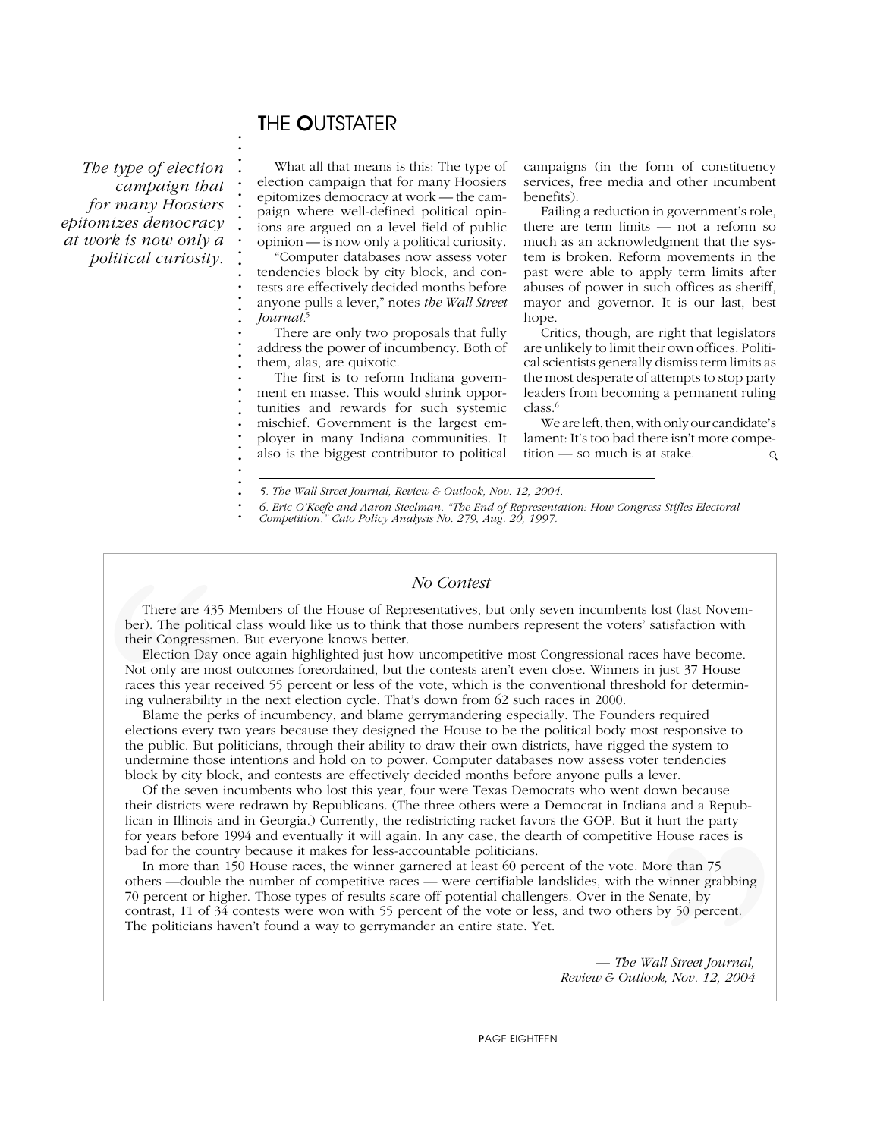# T*HE* O*UTSTATER*

**. . . . . . . . . . . . . . . . . . . . . . . . . . . . . . . .**

**. .**

**.** *Indiana Policy Review*

*The type of election campaign that for many Hoosiers epitomizes democracy at work is now only a political curiosity.*

What all that means is this: The type of election campaign that for many Hoosiers epitomizes democracy at work — the campaign where well-defined political opinions are argued on a level field of public opinion — is now only a political curiosity. "Computer databases now assess voter tendencies block by city block, and con-

tests are effectively decided months before anyone pulls a lever," notes *the Wall Street Journal.*<sup>5</sup>

There are only two proposals that fully address the power of incumbency. Both of them, alas, are quixotic.

The first is to reform Indiana government en masse. This would shrink opportunities and rewards for such systemic mischief. Government is the largest employer in many Indiana communities. It also is the biggest contributor to political campaigns (in the form of constituency services, free media and other incumbent benefits).

Failing a reduction in government's role, there are term limits — not a reform so much as an acknowledgment that the system is broken. Reform movements in the past were able to apply term limits after abuses of power in such offices as sheriff, mayor and governor. It is our last, best hope.

Critics, though, are right that legislators are unlikely to limit their own offices. Political scientists generally dismiss term limits as the most desperate of attempts to stop party leaders from becoming a permanent ruling class.6

We are left, then, with only our candidate's lament: It's too bad there isn't more competition — so much is at stake.  $Q$ 

**. .** *6. Eric O'Keefe and Aaron Steelman. "The End of Representation: How Congress Stifles Electoral Competition." Cato Policy Analysis No. 279, Aug. 20, 1997.*

#### *No Contest*

**.** There are 435 Members of the House of Representatives, but only seven incumbents lost (last Novem-<br>Conditional class would like us to think that those numbers represent the veters' satisfaction with **.** ber). The political class would like us to think that those numbers represent the voters' satisfaction with **.** their Congressmen. But everyone knows better.

**.** Election Day once again highlighted just how uncompetitive most Congressional races have become. **Exection Bay once again inginigined just now uncompetitive most congressional races have become<br>Not only are most outcomes foreordained, but the contests aren't even close. Winners in just 37 House .** races this year received 55 percent or less of the vote, which is the conventional threshold for determin-**.** ing vulnerability in the next election cycle. That's down from 62 such races in 2000.

**.** Blame the perks of incumbency, and blame gerrymandering especially. The Founders required **.** elections every two years because they designed the House to be the political body most responsive to **.** the public. But politicians, through their ability to draw their own districts, have rigged the system to **. .** undermine those intentions and hold on to power. Computer databases now assess voter tendencies **.** block by city block, and contests are effectively decided months before anyone pulls a lever. There are 435<br>ber). The politica<br>their Congressme<br>Election Day c<br>Not only are mos<br>races this year re<br>ing vulnerability<br>Blame the per<br>elections every tv<br>the public. But p<br>undermine those<br>block by city bloom<br>of the seven i<br>t

**.** Of the seven incumbents who lost this year, four were Texas Democrats who went down because **their districts were redrawn by Republicans. (The three others were a Democrat in Indiana and a Repub-<br>ligan in Illingia and in Georgia) Currently, the redistriction resolute forces the GOD. But it has the pertur .** lican in Illinois and in Georgia.) Currently, the redistricting racket favors the GOP. But it hurt the party **.** for years before 1994 and eventually it will again. In any case, the dearth of competitive House races is **. bad for the country because it makes for less-accountable politicians.**<br> **In more than 150 House measure the primer germand at least 60 point** 

**.** In more than 150 House races, the winner garnered at least 60 percent of the vote. More than 75 **.** others —double the number of competitive races — were certifiable landslides, with the winner grabbing **.** 70 percent or higher. Those types of results scare off potential challengers. Over in the Senate, by **. .** contrast, 11 of 34 contests were won with 55 percent of the vote or less, and two others by 50 percent. **.** The politicians haven't found a way to gerrymander an entire state. Yet.hurt the party<br>
House races is<br>
iore than 75<br> **:** winner grabbing<br>
Senate, by<br>
by 50 percent.<br> *Sall Street Journal*,<br> *ok, Nov. 12, 2004* 

*— The Wall Street Journal, Review & Outlook, Nov. 12, 2004*

*<sup>5.</sup> The Wall Street Journal, Review & Outlook, Nov. 12, 2004.*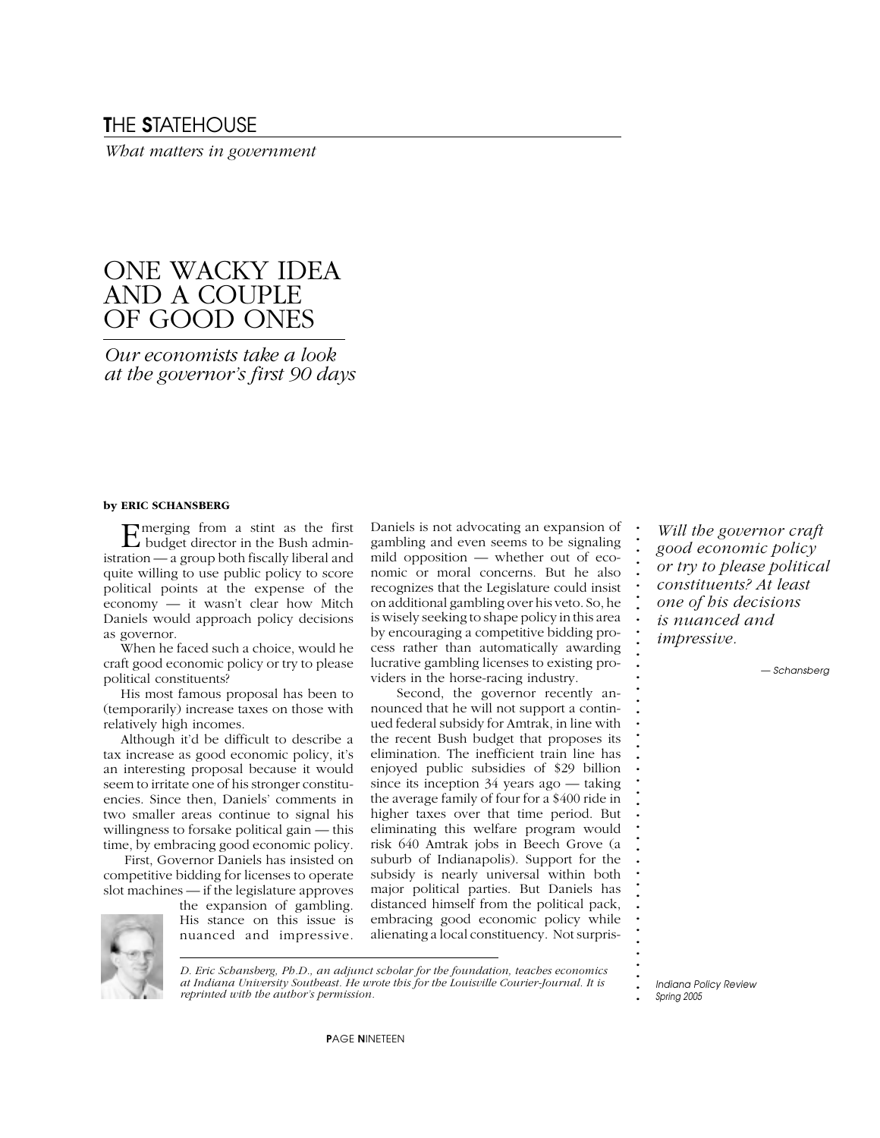### T*HE* S*TATEHOUSE*

*What matters in government*

# ONE WACKY IDEA AND A COUPLE OF GOOD ONES

*Our economists take a look at the governor's first 90 days*

#### **by ERIC SCHANSBERG**

Emerging from a stint as the first budget director in the Bush administration — a group both fiscally liberal and quite willing to use public policy to score political points at the expense of the economy — it wasn't clear how Mitch Daniels would approach policy decisions as governor.

When he faced such a choice, would he craft good economic policy or try to please political constituents?

His most famous proposal has been to (temporarily) increase taxes on those with relatively high incomes.

Although it'd be difficult to describe a tax increase as good economic policy, it's an interesting proposal because it would seem to irritate one of his stronger constituencies. Since then, Daniels' comments in two smaller areas continue to signal his willingness to forsake political gain — this time, by embracing good economic policy.

 First, Governor Daniels has insisted on competitive bidding for licenses to operate slot machines — if the legislature approves

> the expansion of gambling. His stance on this issue is nuanced and impressive.

Daniels is not advocating an expansion of gambling and even seems to be signaling mild opposition — whether out of economic or moral concerns. But he also recognizes that the Legislature could insist on additional gambling over his veto. So, he is wisely seeking to shape policy in this area by encouraging a competitive bidding process rather than automatically awarding lucrative gambling licenses to existing providers in the horse-racing industry.

 Second, the governor recently announced that he will not support a continued federal subsidy for Amtrak, in line with the recent Bush budget that proposes its elimination. The inefficient train line has enjoyed public subsidies of \$29 billion since its inception 34 years ago — taking the average family of four for a \$400 ride in higher taxes over that time period. But eliminating this welfare program would risk 640 Amtrak jobs in Beech Grove (a suburb of Indianapolis). Support for the subsidy is nearly universal within both major political parties. But Daniels has distanced himself from the political pack, embracing good economic policy while alienating a local constituency. Not surpris-

*Will the governor craft good economic policy or try to please political constituents? At least one of his decisions is nuanced and impressive.*

**. . . . . . . . . . . . . . . . . . . . . . . . . . . . . . . . . . . . . . . . .**

*— Schansberg*

*D. Eric Schansberg, Ph.D., an adjunct scholar for the foundation, teaches economics at Indiana University Southeast. He wrote this for the Louisville Courier-Journal. It is reprinted with the author's permission.*

**.** *Indiana Policy Review Spring 2005*

P*AGE* N*INETEEN*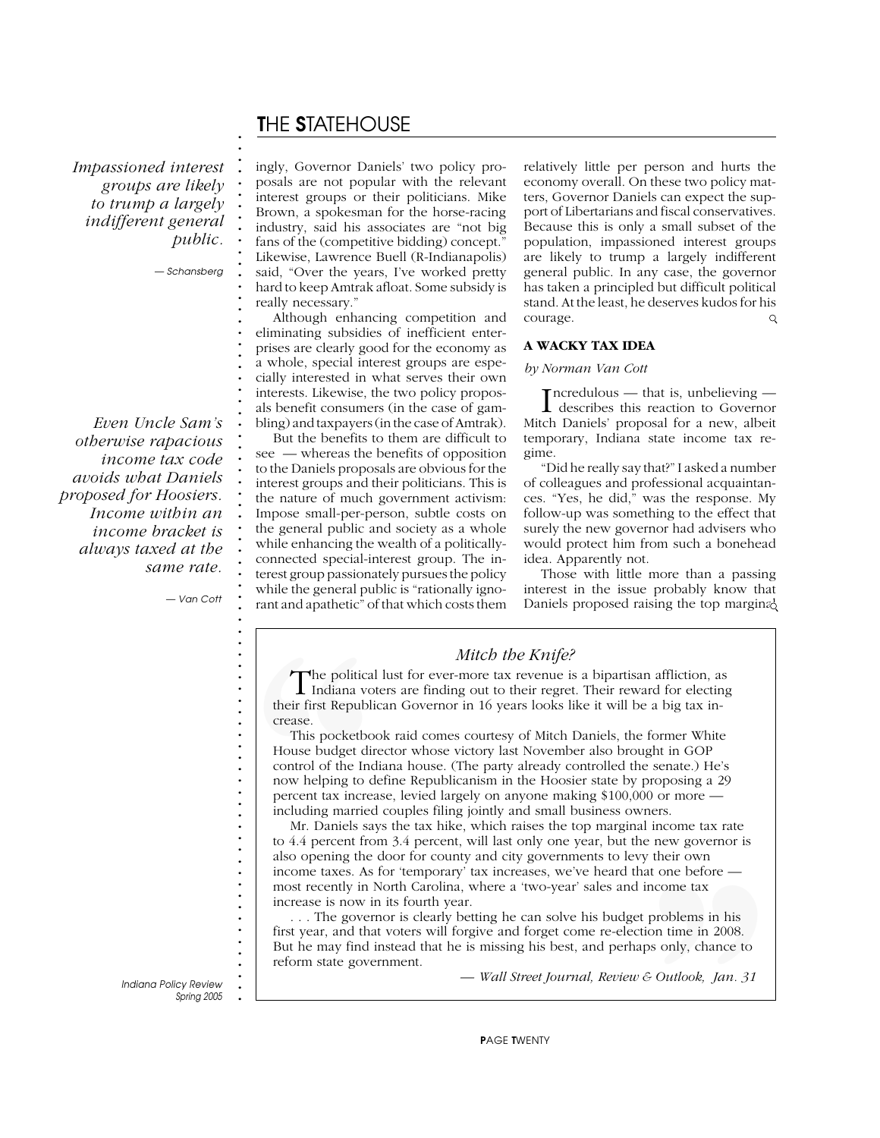# T*HE* S*TATEHOUSE*

*Impassioned interest groups are likely to trump a largely indifferent general public.*

*— Schansberg*

**. . . . . . . . . . . . . . . . . . . . . . . . . . . . . . . . . . . . . . . . . . . . . . . . . . . . . . . . . . . . . . . . . . . . . . . . . . .**

*Even Uncle Sam's otherwise rapacious income tax code avoids what Daniels proposed for Hoosiers. Income within an income bracket is always taxed at the same rate.*

*— Van Cott*

ingly, Governor Daniels' two policy proposals are not popular with the relevant interest groups or their politicians. Mike Brown, a spokesman for the horse-racing industry, said his associates are "not big fans of the (competitive bidding) concept." Likewise, Lawrence Buell (R-Indianapolis) said, "Over the years, I've worked pretty hard to keep Amtrak afloat. Some subsidy is really necessary."

Although enhancing competition and eliminating subsidies of inefficient enterprises are clearly good for the economy as a whole, special interest groups are especially interested in what serves their own interests. Likewise, the two policy proposals benefit consumers (in the case of gambling) and taxpayers (in the case of Amtrak).

But the benefits to them are difficult to see — whereas the benefits of opposition to the Daniels proposals are obvious for the interest groups and their politicians. This is the nature of much government activism: Impose small-per-person, subtle costs on the general public and society as a whole while enhancing the wealth of a politicallyconnected special-interest group. The interest group passionately pursues the policy while the general public is "rationally ignorant and apathetic" of that which costs them relatively little per person and hurts the economy overall. On these two policy matters, Governor Daniels can expect the support of Libertarians and fiscal conservatives. Because this is only a small subset of the population, impassioned interest groups are likely to trump a largely indifferent general public. In any case, the governor has taken a principled but difficult political stand. At the least, he deserves kudos for his courage.  $\mathsf{Q}$ 

#### **A WACKY TAX IDEA**

#### *by Norman Van Cott*

 $\sum_{n=1}^{\infty} \frac{1}{n}$  describes this reaction to Governor ncredulous — that is, unbelieving — Mitch Daniels' proposal for a new, albeit temporary, Indiana state income tax regime.

"Did he really say that?" I asked a number of colleagues and professional acquaintances. "Yes, he did," was the response. My follow-up was something to the effect that surely the new governor had advisers who would protect him from such a bonehead idea. Apparently not.

Those with little more than a passing interest in the issue probably know that Daniels proposed raising the top marginal

### *Mitch the Knife?*

The political lust for ever-more tax revenue is a bipartisan affliction, as<br>Indiana voters are finding out to their regret. Their reward for electing their first Republican Governor in 16 years looks like it will be a big tax increase.

This pocketbook raid comes courtesy of Mitch Daniels, the former White House budget director whose victory last November also brought in GOP control of the Indiana house. (The party already controlled the senate.) He's now helping to define Republicanism in the Hoosier state by proposing a 29 percent tax increase, levied largely on anyone making \$100,000 or more including married couples filing jointly and small business owners.

**The political**<br>
Indiana vo<br>
their first Republi<br>
crease.<br>
This pocketbo<br>
House budget dir<br>
control of the Inc<br>
now helping to d<br>
percent tax increase<br>
including married<br>
Mr. Daniels say<br>
to 4.4 percent fro<br>
also opening t Mr. Daniels says the tax hike, which raises the top marginal income tax rate to 4.4 percent from 3.4 percent, will last only one year, but the new governor is also opening the door for county and city governments to levy their own income taxes. As for 'temporary' tax increases, we've heard that one before most recently in North Carolina, where a 'two-year' sales and income tax increase is now in its fourth year.

their own<br>at one before —<br>income tax<br>problems in his<br>post only, chance to<br>5 *Outlook, Jan. 31* . . . The governor is clearly betting he can solve his budget problems in his first year, and that voters will forgive and forget come re-election time in 2008. But he may find instead that he is missing his best, and perhaps only, chance to reform state government.

*— Wall Street Journal, Review & Outlook, Jan. 31*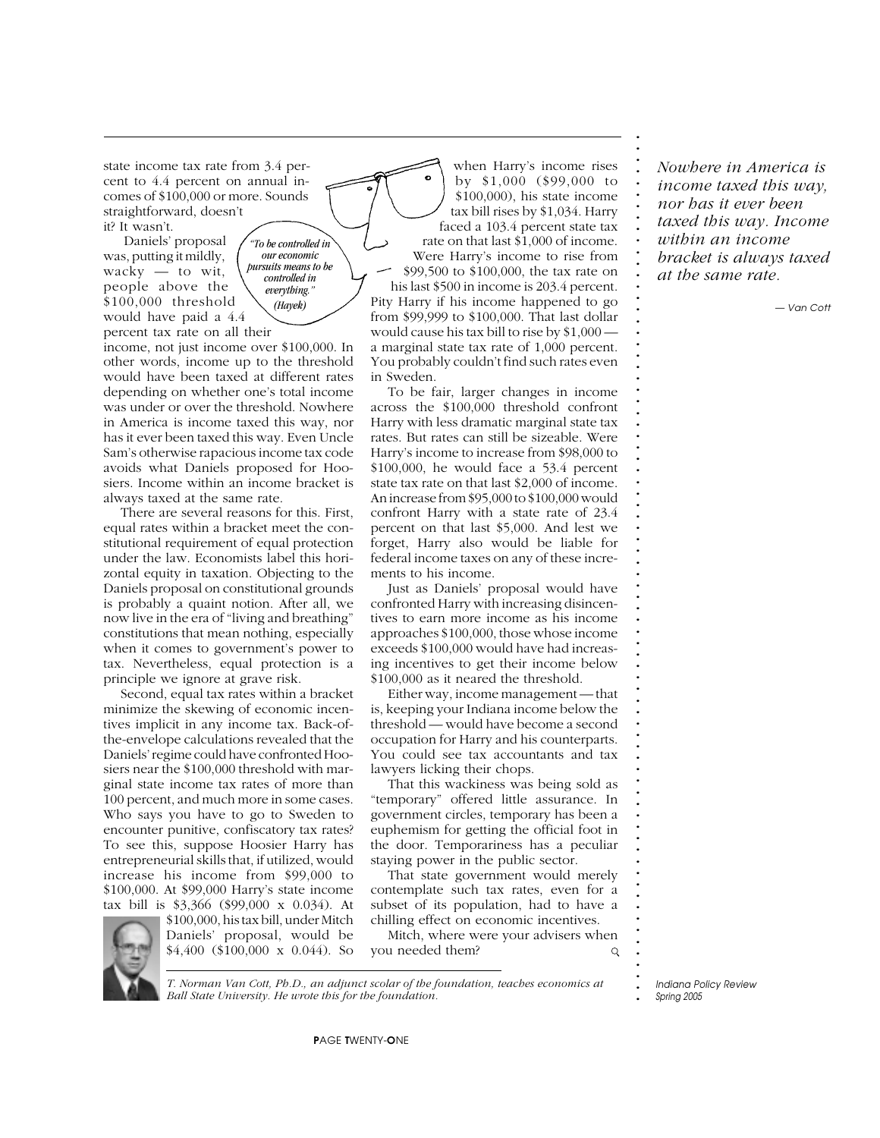state income tax rate from 3.4 percent to 4.4 percent on annual incomes of \$100,000 or more. Sounds straightforward, doesn't it? It wasn't.

 Daniels' proposal was, putting it mildly, wacky — to wit, people above the \$100,000 threshold would have paid a 4.4 percent tax rate on all their *"To be controlled in our economic pursuits means to be controlled in everything."*

income, not just income over \$100,000. In other words, income up to the threshold would have been taxed at different rates depending on whether one's total income was under or over the threshold. Nowhere in America is income taxed this way, nor has it ever been taxed this way. Even Uncle Sam's otherwise rapacious income tax code avoids what Daniels proposed for Hoosiers. Income within an income bracket is always taxed at the same rate.

*(Hayek)*

There are several reasons for this. First, equal rates within a bracket meet the constitutional requirement of equal protection under the law. Economists label this horizontal equity in taxation. Objecting to the Daniels proposal on constitutional grounds is probably a quaint notion. After all, we now live in the era of "living and breathing" constitutions that mean nothing, especially when it comes to government's power to tax. Nevertheless, equal protection is a principle we ignore at grave risk.

Second, equal tax rates within a bracket minimize the skewing of economic incentives implicit in any income tax. Back-ofthe-envelope calculations revealed that the Daniels' regime could have confronted Hoosiers near the \$100,000 threshold with marginal state income tax rates of more than 100 percent, and much more in some cases. Who says you have to go to Sweden to encounter punitive, confiscatory tax rates? To see this, suppose Hoosier Harry has entrepreneurial skills that, if utilized, would increase his income from \$99,000 to \$100,000. At \$99,000 Harry's state income tax bill is \$3,366 (\$99,000 x 0.034). At



\$100,000, his tax bill, under Mitch Daniels' proposal, would be \$4,400 (\$100,000 x 0.044). So

when Harry's income rises by \$1,000 (\$99,000 to \$100,000), his state income tax bill rises by \$1,034. Harry faced a 103.4 percent state tax rate on that last \$1,000 of income. Were Harry's income to rise from \$99,500 to \$100,000, the tax rate on his last \$500 in income is 203.4 percent. Pity Harry if his income happened to go from \$99,999 to \$100,000. That last dollar would cause his tax bill to rise by \$1,000 a marginal state tax rate of 1,000 percent. You probably couldn't find such rates even in Sweden.

To be fair, larger changes in income across the \$100,000 threshold confront Harry with less dramatic marginal state tax rates. But rates can still be sizeable. Were Harry's income to increase from \$98,000 to \$100,000, he would face a 53.4 percent state tax rate on that last \$2,000 of income. An increase from \$95,000 to \$100,000 would confront Harry with a state rate of 23.4 percent on that last \$5,000. And lest we forget, Harry also would be liable for federal income taxes on any of these increments to his income.

Just as Daniels' proposal would have confronted Harry with increasing disincentives to earn more income as his income approaches \$100,000, those whose income exceeds \$100,000 would have had increasing incentives to get their income below \$100,000 as it neared the threshold.

Either way, income management — that is, keeping your Indiana income below the threshold — would have become a second occupation for Harry and his counterparts. You could see tax accountants and tax lawyers licking their chops.

That this wackiness was being sold as "temporary" offered little assurance. In government circles, temporary has been a euphemism for getting the official foot in the door. Temporariness has a peculiar staying power in the public sector.

That state government would merely contemplate such tax rates, even for a subset of its population, had to have a chilling effect on economic incentives.

Mitch, where were your advisers when you needed them?  $\mathsf{Q}$  *Nowhere in America is income taxed this way, nor has it ever been taxed this way. Income within an income bracket is always taxed at the same rate.*

**. . . . . . . . . . . . . . . . . . . . . . . . . . . . . . . . . . . . . . . . . . . . . . . . . . . . . . . . . . . . . . . . . . . . . . . . .**

*— Van Cott*

**. . .** *Indiana Policy Review Spring 2005*

*T. Norman Van Cott, Ph.D., an adjunct scolar of the foundation, teaches economics at Ball State University. He wrote this for the foundation.*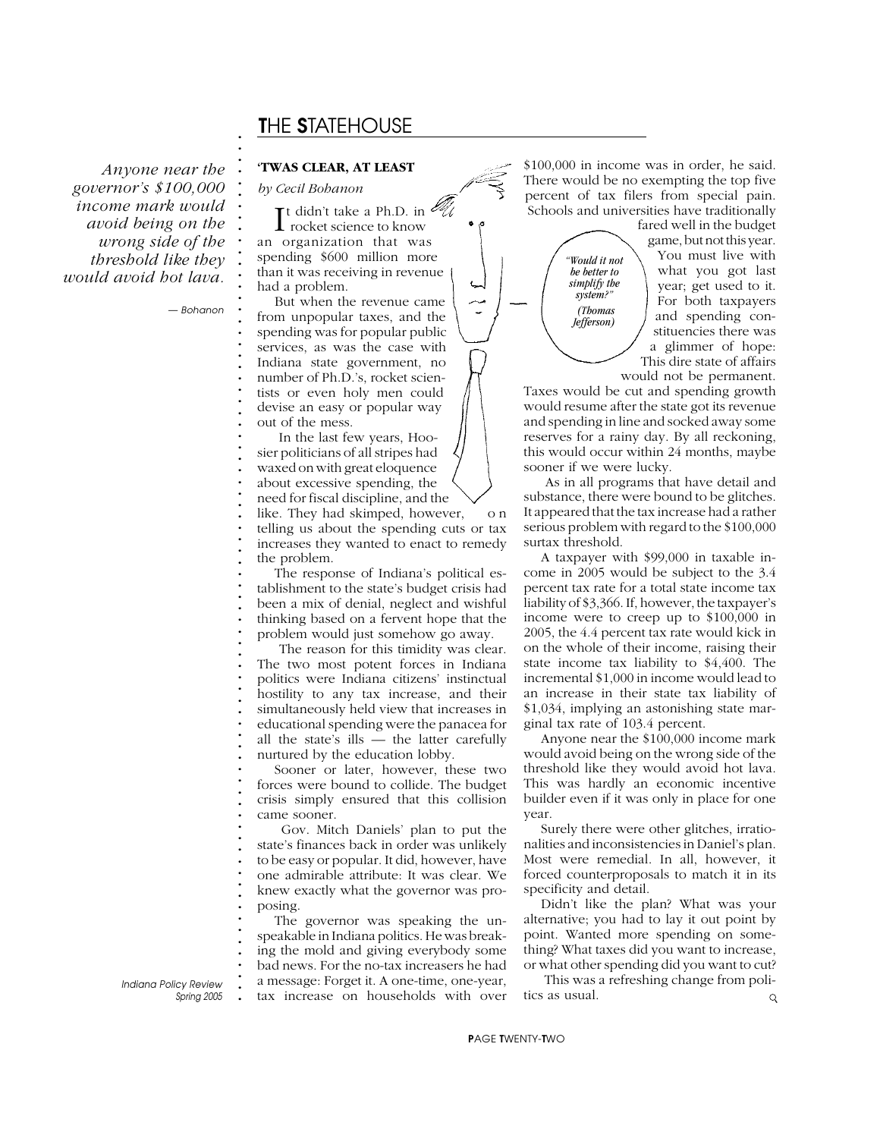# T*HE* S*TATEHOUSE*

*Anyone near the governor's \$100,000 income mark would avoid being on the wrong side of the threshold like they would avoid hot lava.*

*— Bohanon*

**. . . . . . . . . . . . . . . . . . . . . . . . . . . . . . . . . . . . . . . . . . . . . . . . . . . . . . . . . . . . . . . . . . . . . . . . . . .**

#### **'TWAS CLEAR, AT LEAST**

*by Cecil Bohanon*

It didn't take a Ph.D. in<br>
rocket science to know t didn't take a Ph.D. in an organization that was spending \$600 million more than it was receiving in revenue had a problem.

But when the revenue came from unpopular taxes, and the spending was for popular public services, as was the case with Indiana state government, no number of Ph.D.'s, rocket scientists or even holy men could devise an easy or popular way out of the mess.

 In the last few years, Hoosier politicians of all stripes had waxed on with great eloquence about excessive spending, the

need for fiscal discipline, and the

like. They had skimped, however, o n telling us about the spending cuts or tax increases they wanted to enact to remedy the problem.

The response of Indiana's political establishment to the state's budget crisis had been a mix of denial, neglect and wishful thinking based on a fervent hope that the problem would just somehow go away.

 The reason for this timidity was clear. The two most potent forces in Indiana politics were Indiana citizens' instinctual hostility to any tax increase, and their simultaneously held view that increases in educational spending were the panacea for all the state's ills — the latter carefully nurtured by the education lobby.

Sooner or later, however, these two forces were bound to collide. The budget crisis simply ensured that this collision came sooner.

 Gov. Mitch Daniels' plan to put the state's finances back in order was unlikely to be easy or popular. It did, however, have one admirable attribute: It was clear. We knew exactly what the governor was proposing.

The governor was speaking the unspeakable in Indiana politics. He was breaking the mold and giving everybody some bad news. For the no-tax increasers he had a message: Forget it. A one-time, one-year, tax increase on households with over

\$100,000 in income was in order, he said. There would be no exempting the top five percent of tax filers from special pain. Schools and universities have traditionally

> *"Would it not be better to simplify the system?" (Thomas Jefferson)*

fared well in the budget game, but not this year. You must live with what you got last year; get used to it. For both taxpayers and spending constituencies there was a glimmer of hope: This dire state of affairs

would not be permanent. Taxes would be cut and spending growth would resume after the state got its revenue and spending in line and socked away some reserves for a rainy day. By all reckoning, this would occur within 24 months, maybe sooner if we were lucky.

 As in all programs that have detail and substance, there were bound to be glitches. It appeared that the tax increase had a rather serious problem with regard to the \$100,000 surtax threshold.

A taxpayer with \$99,000 in taxable income in 2005 would be subject to the 3.4 percent tax rate for a total state income tax liability of \$3,366. If, however, the taxpayer's income were to creep up to \$100,000 in 2005, the 4.4 percent tax rate would kick in on the whole of their income, raising their state income tax liability to \$4,400. The incremental \$1,000 in income would lead to an increase in their state tax liability of \$1,034, implying an astonishing state marginal tax rate of 103.4 percent.

Anyone near the \$100,000 income mark would avoid being on the wrong side of the threshold like they would avoid hot lava. This was hardly an economic incentive builder even if it was only in place for one year.

Surely there were other glitches, irrationalities and inconsistencies in Daniel's plan. Most were remedial. In all, however, it forced counterproposals to match it in its specificity and detail.

Didn't like the plan? What was your alternative; you had to lay it out point by point. Wanted more spending on something? What taxes did you want to increase, or what other spending did you want to cut?

 This was a refreshing change from politics as usual.  $\mathsf{Q}$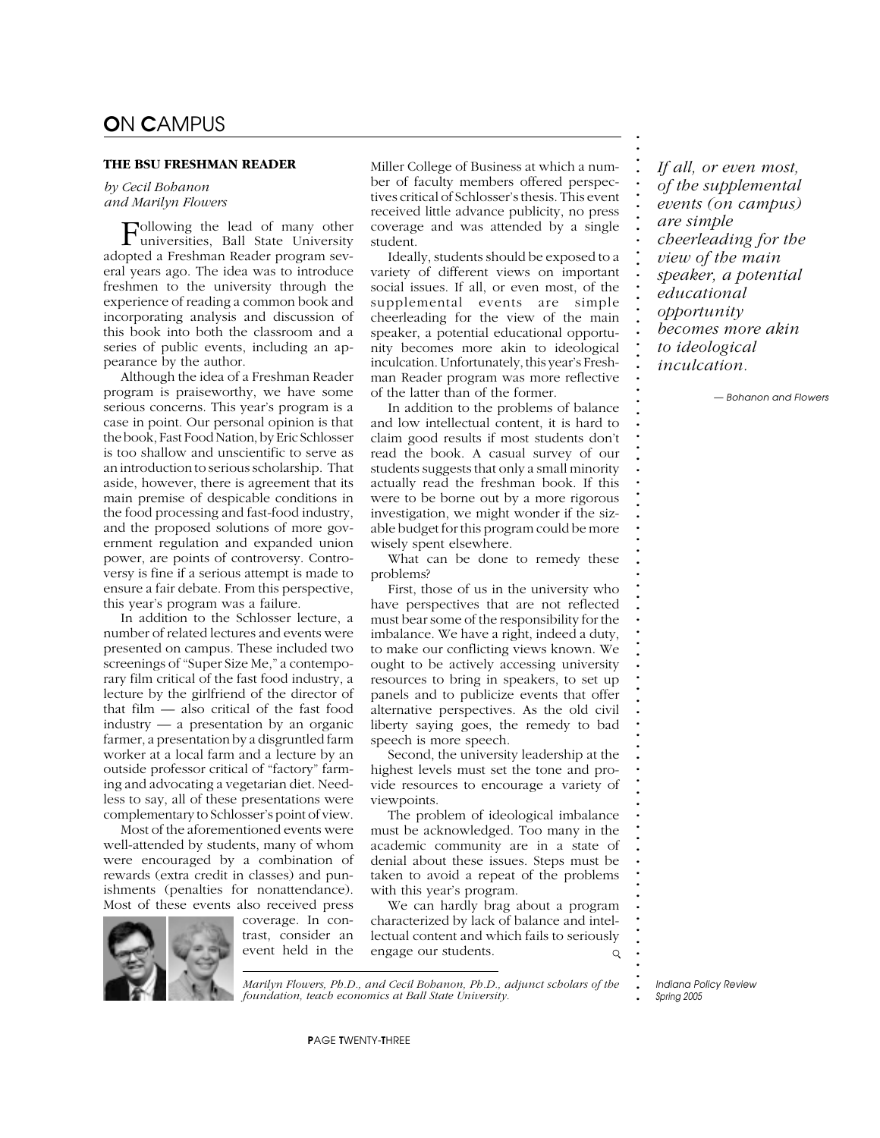#### **THE BSU FRESHMAN READER**

*by Cecil Bohanon and Marilyn Flowers*

Following the lead of many other universities, Ball State University adopted a Freshman Reader program several years ago. The idea was to introduce freshmen to the university through the experience of reading a common book and incorporating analysis and discussion of this book into both the classroom and a series of public events, including an appearance by the author.

Although the idea of a Freshman Reader program is praiseworthy, we have some serious concerns. This year's program is a case in point. Our personal opinion is that the book, Fast Food Nation, by Eric Schlosser is too shallow and unscientific to serve as an introduction to serious scholarship. That aside, however, there is agreement that its main premise of despicable conditions in the food processing and fast-food industry, and the proposed solutions of more government regulation and expanded union power, are points of controversy. Controversy is fine if a serious attempt is made to ensure a fair debate. From this perspective, this year's program was a failure.

In addition to the Schlosser lecture, a number of related lectures and events were presented on campus. These included two screenings of "Super Size Me," a contemporary film critical of the fast food industry, a lecture by the girlfriend of the director of that film — also critical of the fast food industry — a presentation by an organic farmer, a presentation by a disgruntled farm worker at a local farm and a lecture by an outside professor critical of "factory" farming and advocating a vegetarian diet. Needless to say, all of these presentations were complementary to Schlosser's point of view.

Most of the aforementioned events were well-attended by students, many of whom were encouraged by a combination of rewards (extra credit in classes) and punishments (penalties for nonattendance). Most of these events also received press



coverage. In contrast, consider an event held in the Miller College of Business at which a number of faculty members offered perspectives critical of Schlosser's thesis. This event received little advance publicity, no press coverage and was attended by a single student.

Ideally, students should be exposed to a variety of different views on important social issues. If all, or even most, of the supplemental events are simple cheerleading for the view of the main speaker, a potential educational opportunity becomes more akin to ideological inculcation. Unfortunately, this year's Freshman Reader program was more reflective of the latter than of the former.

In addition to the problems of balance and low intellectual content, it is hard to claim good results if most students don't read the book. A casual survey of our students suggests that only a small minority actually read the freshman book. If this were to be borne out by a more rigorous investigation, we might wonder if the sizable budget for this program could be more wisely spent elsewhere.

What can be done to remedy these problems?

First, those of us in the university who have perspectives that are not reflected must bear some of the responsibility for the imbalance. We have a right, indeed a duty, to make our conflicting views known. We ought to be actively accessing university resources to bring in speakers, to set up panels and to publicize events that offer alternative perspectives. As the old civil liberty saying goes, the remedy to bad speech is more speech.

Second, the university leadership at the highest levels must set the tone and provide resources to encourage a variety of viewpoints.

The problem of ideological imbalance must be acknowledged. Too many in the academic community are in a state of denial about these issues. Steps must be taken to avoid a repeat of the problems with this year's program.

We can hardly brag about a program characterized by lack of balance and intellectual content and which fails to seriously engage our students.  $\circ$ 

> **.** *Indiana Policy Review Spring 2005*

*Marilyn Flowers, Ph.D., and Cecil Bohanon, Ph.D., adjunct scholars of the foundation, teach economics at Ball State University.*

*If all, or even most, of the supplemental events (on campus) are simple cheerleading for the view of the main speaker, a potential educational opportunity becomes more akin to ideological inculcation.*

**. . . . . . . . . . . . . . . . . . . . . . . . . . . . . . . . . . . . . . . . . . . . . . . . . . . . . . . . . . . . . . . . . . . . . . . . . . .**

*— Bohanon and Flowers*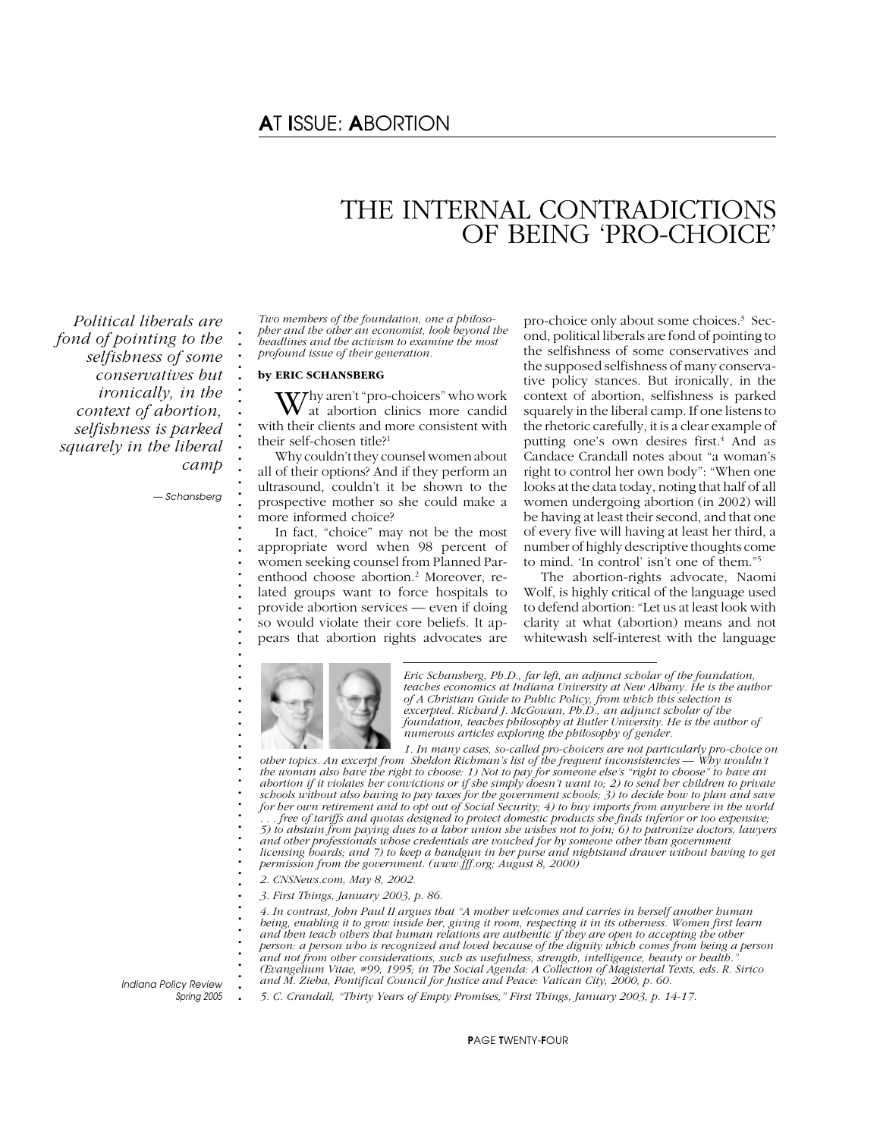# A*T* I*SSUE:* A*BORTION*

# THE INTERNAL CONTRADICTIONS OF BEING 'PRO-CHOICE'

*Political liberals are fond of pointing to the selfishness of some conservatives but ironically, in the context of abortion, selfishness is parked squarely in the liberal camp*

*— Schansberg*

**. . . . . . . . . . . . . . . . . . . . . . . . . . . . . . . . . . . . . . . . . . . . . . . . . . . . . . . . . .**

*Two members of the foundation, one a philosopher and the other an economist, look beyond the headlines and the activism to examine the most profound issue of their generation.*

#### **by ERIC SCHANSBERG**

 $\mathbf{W}^{\text{hy aren't "pro-choices" who work}}$  at abortion clinics more candid with their clients and more consistent with their self-chosen title?<sup>1</sup>

Why couldn't they counsel women about all of their options? And if they perform an ultrasound, couldn't it be shown to the prospective mother so she could make a more informed choice?

In fact, "choice" may not be the most appropriate word when 98 percent of women seeking counsel from Planned Parenthood choose abortion.<sup>2</sup> Moreover, related groups want to force hospitals to provide abortion services — even if doing so would violate their core beliefs. It appears that abortion rights advocates are

pro-choice only about some choices.3 Second, political liberals are fond of pointing to the selfishness of some conservatives and the supposed selfishness of many conservative policy stances. But ironically, in the context of abortion, selfishness is parked squarely in the liberal camp. If one listens to the rhetoric carefully, it is a clear example of putting one's own desires first.<sup>4</sup> And as Candace Crandall notes about "a woman's right to control her own body": "When one looks at the data today, noting that half of all women undergoing abortion (in 2002) will be having at least their second, and that one of every five will having at least her third, a number of highly descriptive thoughts come to mind. 'In control' isn't one of them."5

The abortion-rights advocate, Naomi Wolf, is highly critical of the language used to defend abortion: "Let us at least look with clarity at what (abortion) means and not whitewash self-interest with the language



*Eric Schansberg, Ph.D., far left, an adjunct scholar of the foundation, teaches economics at Indiana University at New Albany. He is the author of A Christian Guide to Public Policy, from which this selection is excerpted. Richard J. McGowan, Ph.D., an adjunct scholar of the foundation, teaches philosophy at Butler University. He is the author of numerous articles exploring the philosophy of gender.*

*1. In many cases, so-called pro-choicers are not particularly pro-choice on other topics. An excerpt from Sheldon Richman's list of the frequent inconsistencies — Why wouldn't the woman also have the right to choose: 1) Not to pay for someone else's "right to choose" to have an abortion if it violates her convictions or if she simply doesn't want to; 2) to send her children to private schools without also having to pay taxes for the government schools; 3) to decide how to plan and save for her own retirement and to opt out of Social Security; 4) to buy imports from anywhere in the world . . . free of tariffs and quotas designed to protect domestic products she finds inferior or too expensive; 5) to abstain from paying dues to a labor union she wishes not to join; 6) to patronize doctors, lawyers and other professionals whose credentials are vouched for by someone other than government licensing boards; and 7) to keep a handgun in her purse and nightstand drawer without having to get permission from the government. (www.fff.org; August 8, 2000)*

*2. CNSNews.com, May 8, 2002.*

*3. First Things, January 2003, p. 86.*

*4. In contrast, John Paul II argues that "A mother welcomes and carries in herself another human being, enabling it to grow inside her, giving it room, respecting it in its otherness. Women first learn and then teach others that human relations are authentic if they are open to accepting the other person: a person who is recognized and loved because of the dignity which comes from being a person and not from other considerations, such as usefulness, strength, intelligence, beauty or health." (Evangelium Vitae, #99, 1995; in The Social Agenda: A Collection of Magisterial Texts, eds. R. Sirico and M. Zieba, Pontifical Council for Justice and Peace: Vatican City, 2000, p. 60.*

**.** *Indiana Policy Review Spring 2005*

*5. C. Crandall, "Thirty Years of Empty Promises," First Things, January 2003, p. 14-17.*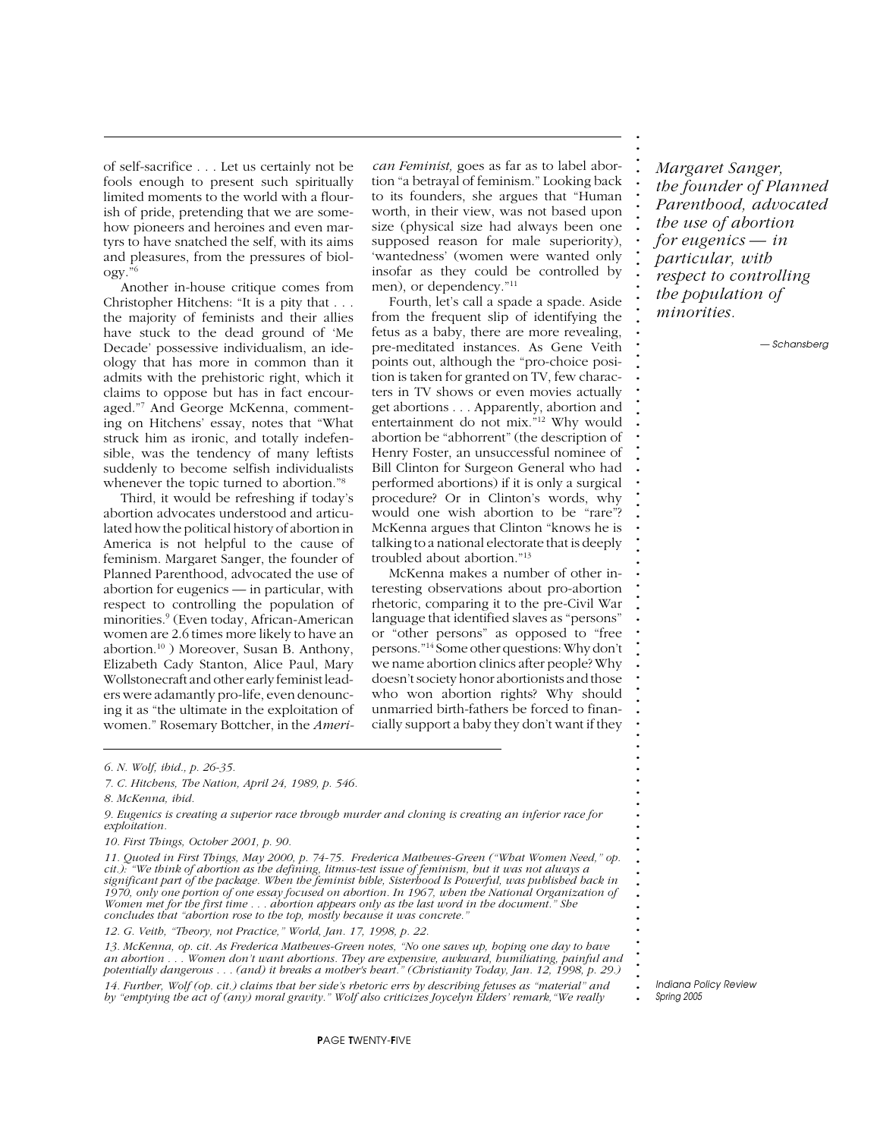of self-sacrifice . . . Let us certainly not be fools enough to present such spiritually limited moments to the world with a flourish of pride, pretending that we are somehow pioneers and heroines and even martyrs to have snatched the self, with its aims and pleasures, from the pressures of biology.

Another in-house critique comes from Christopher Hitchens: "It is a pity that . . . the majority of feminists and their allies have stuck to the dead ground of 'Me Decade' possessive individualism, an ideology that has more in common than it admits with the prehistoric right, which it claims to oppose but has in fact encouraged."7 And George McKenna, commenting on Hitchens' essay, notes that "What struck him as ironic, and totally indefensible, was the tendency of many leftists suddenly to become selfish individualists whenever the topic turned to abortion."8

Third, it would be refreshing if today's abortion advocates understood and articulated how the political history of abortion in America is not helpful to the cause of feminism. Margaret Sanger, the founder of Planned Parenthood, advocated the use of abortion for eugenics — in particular, with respect to controlling the population of minorities.9 (Even today, African-American women are 2.6 times more likely to have an abortion.10 ) Moreover, Susan B. Anthony, Elizabeth Cady Stanton, Alice Paul, Mary Wollstonecraft and other early feminist leaders were adamantly pro-life, even denouncing it as "the ultimate in the exploitation of women." Rosemary Bottcher, in the *Ameri-* *can Feminist,* goes as far as to label abortion "a betrayal of feminism." Looking back to its founders, she argues that "Human worth, in their view, was not based upon size (physical size had always been one supposed reason for male superiority), 'wantedness' (women were wanted only insofar as they could be controlled by men), or dependency."11

Fourth, let's call a spade a spade. Aside from the frequent slip of identifying the fetus as a baby, there are more revealing, pre-meditated instances. As Gene Veith points out, although the "pro-choice position is taken for granted on TV, few characters in TV shows or even movies actually get abortions . . . Apparently, abortion and entertainment do not mix."12 Why would abortion be "abhorrent" (the description of Henry Foster, an unsuccessful nominee of Bill Clinton for Surgeon General who had performed abortions) if it is only a surgical procedure? Or in Clinton's words, why would one wish abortion to be "rare"? McKenna argues that Clinton "knows he is talking to a national electorate that is deeply troubled about abortion."13

McKenna makes a number of other interesting observations about pro-abortion rhetoric, comparing it to the pre-Civil War language that identified slaves as "persons" or "other persons" as opposed to "free persons."14 Some other questions: Why don't we name abortion clinics after people? Why doesn't society honor abortionists and those who won abortion rights? Why should unmarried birth-fathers be forced to financially support a baby they don't want if they *Margaret Sanger, the founder of Planned Parenthood, advocated the use of abortion for eugenics — in particular, with respect to controlling the population of minorities.*

**. . . . . . . . . . . . . . . . . . . . . . . . . . . . . . . . . . . . . . . . . . . . . . . . . . . . . . . . . . . . . . . . . . . . . . . . . . .**

*— Schansberg*

*6. N. Wolf, ibid., p. 26-35.*

*9. Eugenics is creating a superior race through murder and cloning is creating an inferior race for exploitation.*

*10. First Things, October 2001, p. 90.*

*11. Quoted in First Things, May 2000, p. 74-75. Frederica Mathewes-Green ("What Women Need," op. cit.): "We think of abortion as the defining, litmus-test issue of feminism, but it was not always a significant part of the package. When the feminist bible, Sisterhood Is Powerful, was published back in 1970, only one portion of one essay focused on abortion. In 1967, when the National Organization of Women met for the first time . . . abortion appears only as the last word in the document." She concludes that "abortion rose to the top, mostly because it was concrete."*

*12. G. Veith, "Theory, not Practice," World, Jan. 17, 1998, p. 22.*

*13. McKenna, op. cit. As Frederica Mathewes-Green notes, "No one saves up, hoping one day to have an abortion . . . Women don't want abortions. They are expensive, awkward, humiliating, painful and potentially dangerous . . . (and) it breaks a mother's heart." (Christianity Today, Jan. 12, 1998, p. 29.) 14. Further, Wolf (op. cit.) claims that her side's rhetoric errs by describing fetuses as "material" and by "emptying the act of (any) moral gravity." Wolf also criticizes Joycelyn Elders' remark,"We really*

*<sup>7.</sup> C. Hitchens, The Nation, April 24, 1989, p. 546.*

*<sup>8.</sup> McKenna, ibid.*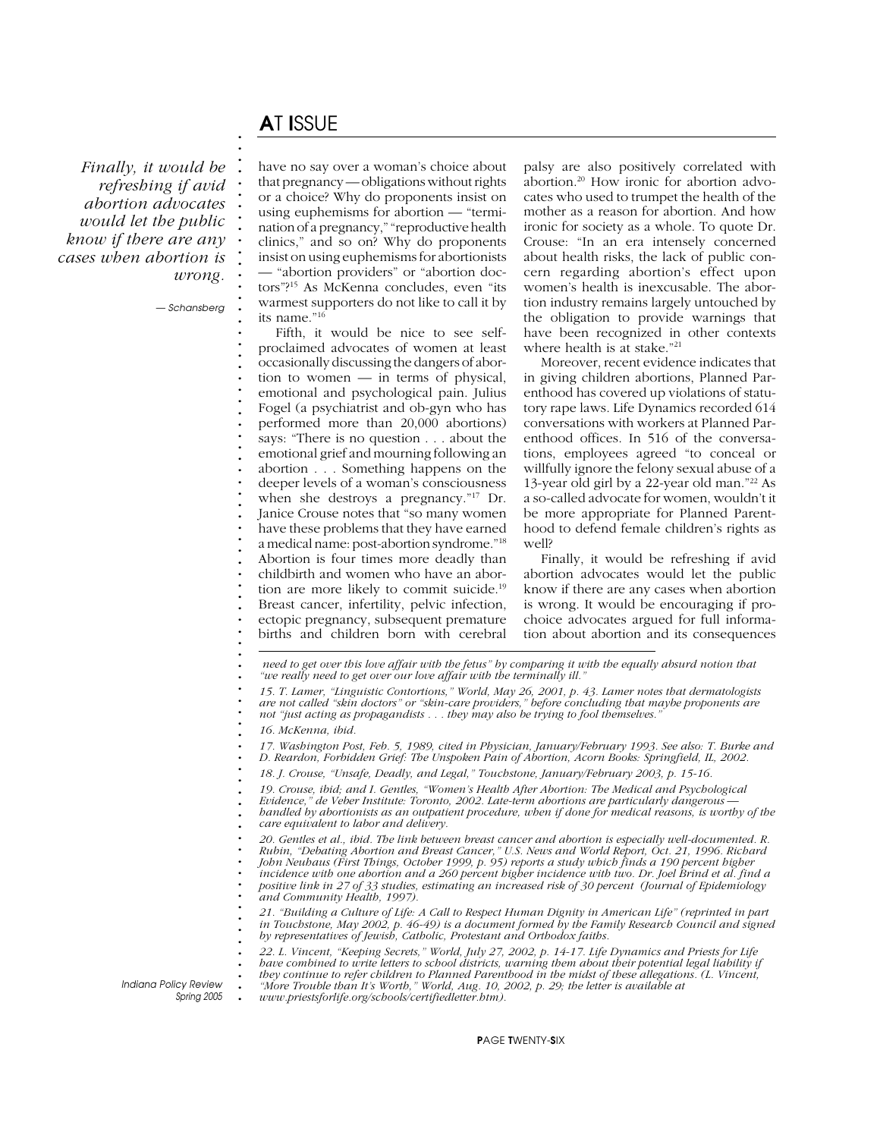# A*T* I*SSUE*

**. . . . . . . . . . . . . . . . . . . . . . . . . . . . . . . . . . . . . . . . . . . . . . . . . . . . . . . . . .**

*Finally, it would be refreshing if avid abortion advocates would let the public know if there are any cases when abortion is wrong.*

*— Schansberg*

have no say over a woman's choice about that pregnancy — obligations without rights or a choice? Why do proponents insist on using euphemisms for abortion — "termination of a pregnancy," "reproductive health clinics," and so on? Why do proponents insist on using euphemisms for abortionists — "abortion providers" or "abortion doctors"?15 As McKenna concludes, even "its warmest supporters do not like to call it by its name."16

Fifth, it would be nice to see selfproclaimed advocates of women at least occasionally discussing the dangers of abortion to women — in terms of physical, emotional and psychological pain. Julius Fogel (a psychiatrist and ob-gyn who has performed more than 20,000 abortions) says: "There is no question . . . about the emotional grief and mourning following an abortion . . . Something happens on the deeper levels of a woman's consciousness when she destroys a pregnancy."17 Dr. Janice Crouse notes that "so many women have these problems that they have earned a medical name: post-abortion syndrome."18 Abortion is four times more deadly than childbirth and women who have an abortion are more likely to commit suicide.19 Breast cancer, infertility, pelvic infection, ectopic pregnancy, subsequent premature

births and children born with cerebral

palsy are also positively correlated with abortion.20 How ironic for abortion advocates who used to trumpet the health of the mother as a reason for abortion. And how ironic for society as a whole. To quote Dr. Crouse: "In an era intensely concerned about health risks, the lack of public concern regarding abortion's effect upon women's health is inexcusable. The abortion industry remains largely untouched by the obligation to provide warnings that have been recognized in other contexts where health is at stake."21

Moreover, recent evidence indicates that in giving children abortions, Planned Parenthood has covered up violations of statutory rape laws. Life Dynamics recorded 614 conversations with workers at Planned Parenthood offices. In 516 of the conversations, employees agreed "to conceal or willfully ignore the felony sexual abuse of a 13-year old girl by a 22-year old man."22 As a so-called advocate for women, wouldn't it be more appropriate for Planned Parenthood to defend female children's rights as well?

Finally, it would be refreshing if avid abortion advocates would let the public know if there are any cases when abortion is wrong. It would be encouraging if prochoice advocates argued for full information about abortion and its consequences

 *need to get over this love affair with the fetus" by comparing it with the equally absurd notion that "we really need to get over our love affair with the terminally ill."*

*15. T. Lamer, "Linguistic Contortions," World, May 26, 2001, p. 43. Lamer notes that dermatologists are not called "skin doctors" or "skin-care providers," before concluding that maybe proponents are not "just acting as propagandists . . . they may also be trying to fool themselves."*

*16. McKenna, ibid.*

**. . . . . . . . . . . .**

**.** *Indiana Policy Review*

*Spring 2005*

*17. Washington Post, Feb. 5, 1989, cited in Physician, January/February 1993. See also: T. Burke and D. Reardon, Forbidden Grief: The Unspoken Pain of Abortion, Acorn Books: Springfield, IL, 2002.*

*18. J. Crouse, "Unsafe, Deadly, and Legal," Touchstone, January/February 2003, p. 15-16.*

*19. Crouse, ibid; and I. Gentles, "Women's Health After Abortion: The Medical and Psychological*

*Evidence," de Veber Institute: Toronto, 2002. Late-term abortions are particularly dangerous —*

**. . . .** *handled by abortionists as an outpatient procedure, when if done for medical reasons, is worthy of the care equivalent to labor and delivery.*

*20. Gentles et al., ibid. The link between breast cancer and abortion is especially well-documented. R. Rubin, "Debating Abortion and Breast Cancer," U.S. News and World Report, Oct. 21, 1996. Richard John Neuhaus (First Things, October 1999, p. 95) reports a study which finds a 190 percent higher incidence with one abortion and a 260 percent higher incidence with two. Dr. Joel Brind et al. find a positive link in 27 of 33 studies, estimating an increased risk of 30 percent (Journal of Epidemiology and Community Health, 1997).*

*21. "Building a Culture of Life: A Call to Respect Human Dignity in American Life" (reprinted in part in Touchstone, May 2002, p. 46-49) is a document formed by the Family Research Council and signed by representatives of Jewish, Catholic, Protestant and Orthodox faiths.*

*22. L. Vincent, "Keeping Secrets," World, July 27, 2002, p. 14-17. Life Dynamics and Priests for Life have combined to write letters to school districts, warning them about their potential legal liability if they continue to refer children to Planned Parenthood in the midst of these allegations. (L. Vincent, "More Trouble than It's Worth," World, Aug. 10, 2002, p. 29; the letter is available at*

**.** *www.priestsforlife.org/schools/certifiedletter.htm).*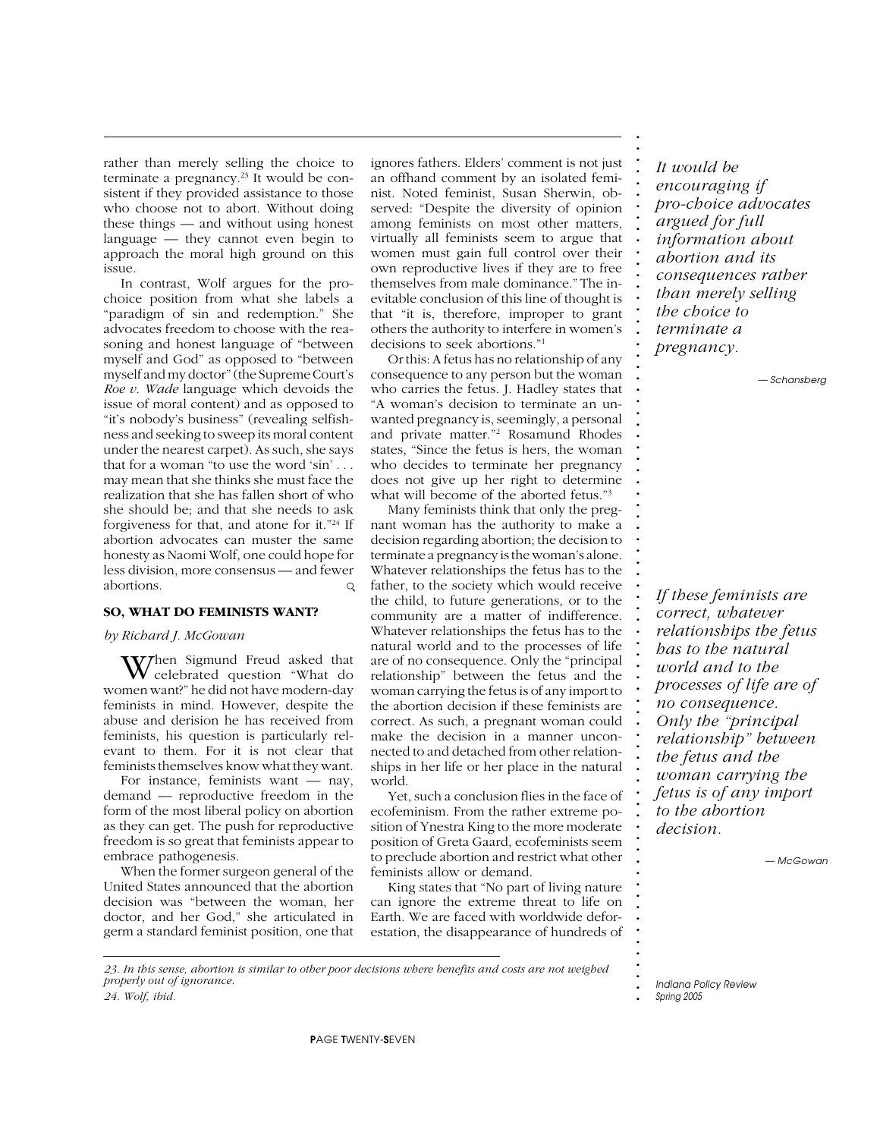rather than merely selling the choice to terminate a pregnancy.<sup>23</sup> It would be consistent if they provided assistance to those who choose not to abort. Without doing these things — and without using honest language — they cannot even begin to approach the moral high ground on this issue.

In contrast, Wolf argues for the prochoice position from what she labels a "paradigm of sin and redemption." She advocates freedom to choose with the reasoning and honest language of "between myself and God" as opposed to "between myself and my doctor" (the Supreme Court's *Roe v. Wade* language which devoids the issue of moral content) and as opposed to "it's nobody's business" (revealing selfishness and seeking to sweep its moral content under the nearest carpet). As such, she says that for a woman "to use the word 'sin' . . . may mean that she thinks she must face the realization that she has fallen short of who she should be; and that she needs to ask forgiveness for that, and atone for it."24 If abortion advocates can muster the same honesty as Naomi Wolf, one could hope for less division, more consensus — and fewer abortions.  $\circ$ 

#### **SO, WHAT DO FEMINISTS WANT?**

#### *by Richard J. McGowan*

 $W$ hen Sigmund Freud asked that celebrated question "What do women want?" he did not have modern-day feminists in mind. However, despite the abuse and derision he has received from feminists, his question is particularly relevant to them. For it is not clear that feminists themselves know what they want.

For instance, feminists want — nay, demand — reproductive freedom in the form of the most liberal policy on abortion as they can get. The push for reproductive freedom is so great that feminists appear to embrace pathogenesis.

When the former surgeon general of the United States announced that the abortion decision was "between the woman, her doctor, and her God," she articulated in germ a standard feminist position, one that

ignores fathers. Elders' comment is not just an offhand comment by an isolated feminist. Noted feminist, Susan Sherwin, observed: "Despite the diversity of opinion among feminists on most other matters, virtually all feminists seem to argue that women must gain full control over their own reproductive lives if they are to free themselves from male dominance." The inevitable conclusion of this line of thought is that "it is, therefore, improper to grant others the authority to interfere in women's decisions to seek abortions."1

Or this: A fetus has no relationship of any consequence to any person but the woman who carries the fetus. J. Hadley states that "A woman's decision to terminate an unwanted pregnancy is, seemingly, a personal and private matter."2 Rosamund Rhodes states, "Since the fetus is hers, the woman who decides to terminate her pregnancy does not give up her right to determine what will become of the aborted fetus."<sup>3</sup>

Many feminists think that only the pregnant woman has the authority to make a decision regarding abortion; the decision to terminate a pregnancy is the woman's alone. Whatever relationships the fetus has to the father, to the society which would receive the child, to future generations, or to the community are a matter of indifference. Whatever relationships the fetus has to the natural world and to the processes of life are of no consequence. Only the "principal relationship" between the fetus and the woman carrying the fetus is of any import to the abortion decision if these feminists are correct. As such, a pregnant woman could make the decision in a manner unconnected to and detached from other relationships in her life or her place in the natural world.

Yet, such a conclusion flies in the face of ecofeminism. From the rather extreme position of Ynestra King to the more moderate position of Greta Gaard, ecofeminists seem to preclude abortion and restrict what other feminists allow or demand.

King states that "No part of living nature can ignore the extreme threat to life on Earth. We are faced with worldwide deforestation, the disappearance of hundreds of

*It would be encouraging if pro-choice advocates argued for full information about abortion and its consequences rather than merely selling the choice to terminate a pregnancy.*

**. . . . . . . . . . . . . . . . . . . . . . . . . . . . . . . . . . . . . . . . . . . . . . . . . . . . . . . . . . . . . . . . . . . . . . . . . . .**

*— Schansberg*

*If these feminists are correct, whatever relationships the fetus has to the natural world and to the processes of life are of no consequence. Only the "principal relationship" between the fetus and the woman carrying the fetus is of any import to the abortion decision.*

*— McGowan*

*23. In this sense, abortion is similar to other poor decisions where benefits and costs are not weighed properly out of ignorance.*

*24. Wolf, ibid.*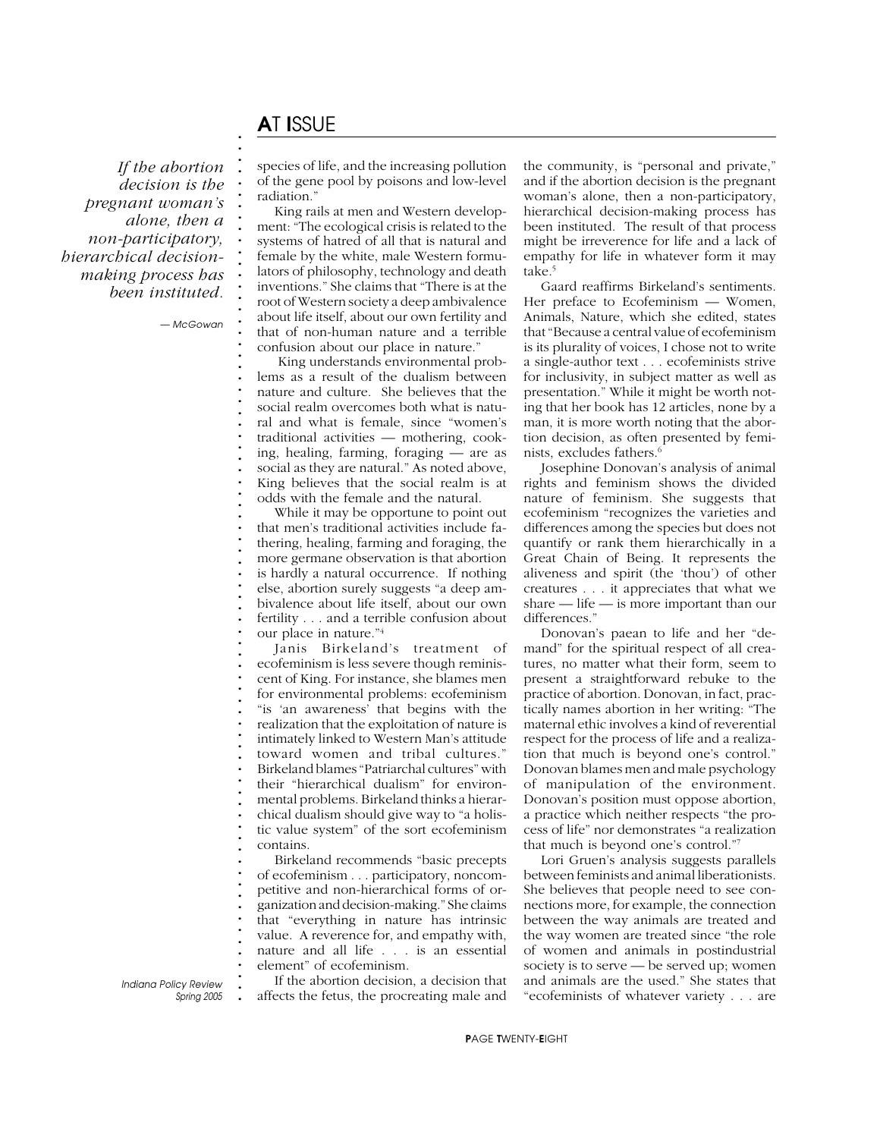# A*T* I*SSUE*

**. . . . . . . . . . . . . . . . . . . . . . . . . . . . . . . . . . . . . . . . . . . . . . . . . . . . . . . . . . . . . . . . . . . . . . . . . . .**

*If the abortion decision is the pregnant woman's alone, then a non-participatory, hierarchical decisionmaking process has been instituted.*

*— McGowan*

species of life, and the increasing pollution of the gene pool by poisons and low-level radiation."

King rails at men and Western development: "The ecological crisis is related to the systems of hatred of all that is natural and female by the white, male Western formulators of philosophy, technology and death inventions." She claims that "There is at the root of Western society a deep ambivalence about life itself, about our own fertility and that of non-human nature and a terrible confusion about our place in nature."

 King understands environmental problems as a result of the dualism between nature and culture. She believes that the social realm overcomes both what is natural and what is female, since "women's traditional activities — mothering, cooking, healing, farming, foraging — are as social as they are natural." As noted above, King believes that the social realm is at odds with the female and the natural.

While it may be opportune to point out that men's traditional activities include fathering, healing, farming and foraging, the more germane observation is that abortion is hardly a natural occurrence. If nothing else, abortion surely suggests "a deep ambivalence about life itself, about our own fertility . . . and a terrible confusion about our place in nature."4

Janis Birkeland's treatment of ecofeminism is less severe though reminiscent of King. For instance, she blames men for environmental problems: ecofeminism "is 'an awareness' that begins with the realization that the exploitation of nature is intimately linked to Western Man's attitude toward women and tribal cultures." Birkeland blames "Patriarchal cultures" with their "hierarchical dualism" for environmental problems. Birkeland thinks a hierarchical dualism should give way to "a holistic value system" of the sort ecofeminism contains.

Birkeland recommends "basic precepts of ecofeminism . . . participatory, noncompetitive and non-hierarchical forms of organization and decision-making." She claims that "everything in nature has intrinsic value. A reverence for, and empathy with, nature and all life . . . is an essential element" of ecofeminism.

**.** *Indiana Policy Review Spring 2005*

If the abortion decision, a decision that affects the fetus, the procreating male and the community, is "personal and private," and if the abortion decision is the pregnant woman's alone, then a non-participatory, hierarchical decision-making process has been instituted. The result of that process might be irreverence for life and a lack of empathy for life in whatever form it may take.<sup>5</sup>

Gaard reaffirms Birkeland's sentiments. Her preface to Ecofeminism — Women, Animals, Nature, which she edited, states that "Because a central value of ecofeminism is its plurality of voices, I chose not to write a single-author text . . . ecofeminists strive for inclusivity, in subject matter as well as presentation." While it might be worth noting that her book has 12 articles, none by a man, it is more worth noting that the abortion decision, as often presented by feminists, excludes fathers.<sup>6</sup>

Josephine Donovan's analysis of animal rights and feminism shows the divided nature of feminism. She suggests that ecofeminism "recognizes the varieties and differences among the species but does not quantify or rank them hierarchically in a Great Chain of Being. It represents the aliveness and spirit (the 'thou') of other creatures . . . it appreciates that what we share — life — is more important than our differences."

Donovan's paean to life and her "demand" for the spiritual respect of all creatures, no matter what their form, seem to present a straightforward rebuke to the practice of abortion. Donovan, in fact, practically names abortion in her writing: "The maternal ethic involves a kind of reverential respect for the process of life and a realization that much is beyond one's control." Donovan blames men and male psychology of manipulation of the environment. Donovan's position must oppose abortion, a practice which neither respects "the process of life" nor demonstrates "a realization that much is beyond one's control."7

Lori Gruen's analysis suggests parallels between feminists and animal liberationists. She believes that people need to see connections more, for example, the connection between the way animals are treated and the way women are treated since "the role of women and animals in postindustrial society is to serve — be served up; women and animals are the used." She states that "ecofeminists of whatever variety . . . are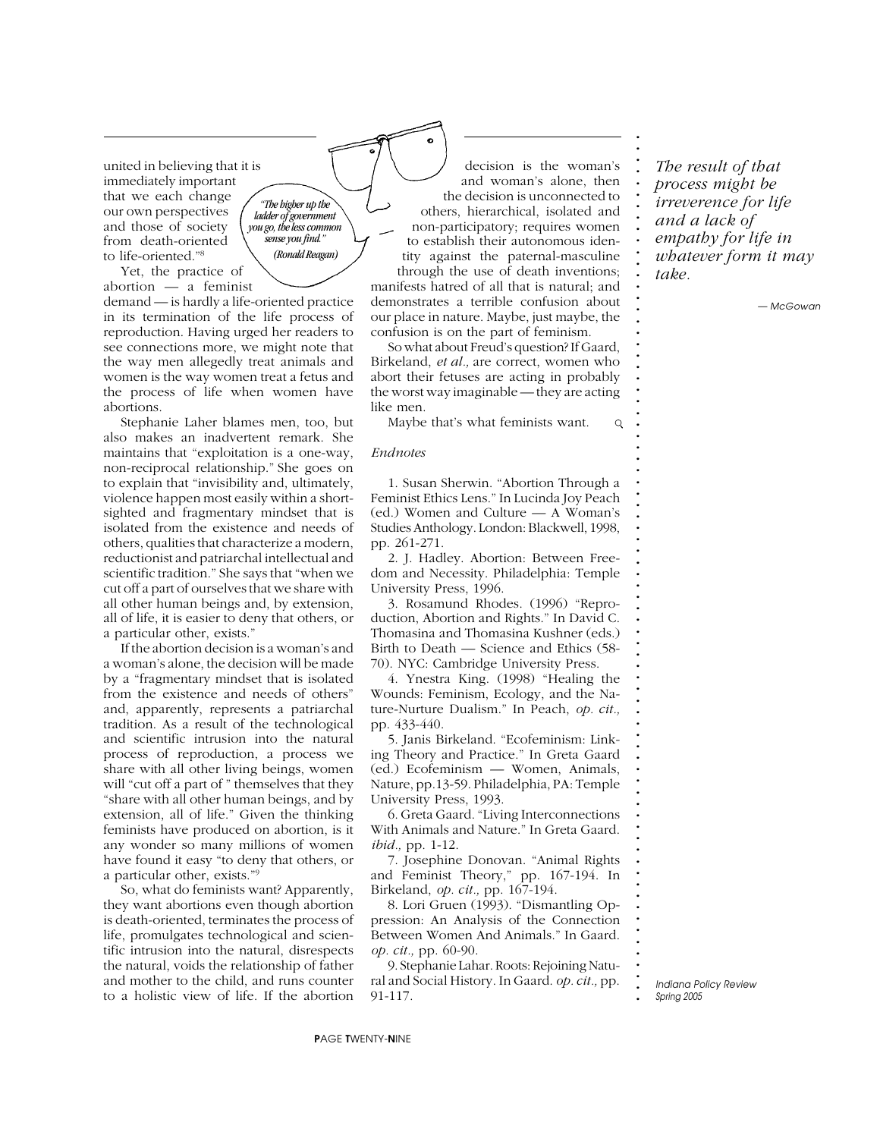united in believing that it is immediately important that we each change our own perspectives and those of society from death-oriented to life-oriented."8

*"The higher up the ladder of government you go, the less common sense you find." (Ronald Reagan)*

Yet, the practice of abortion — a feminist

demand — is hardly a life-oriented practice in its termination of the life process of reproduction. Having urged her readers to see connections more, we might note that the way men allegedly treat animals and women is the way women treat a fetus and the process of life when women have abortions.

Stephanie Laher blames men, too, but also makes an inadvertent remark. She maintains that "exploitation is a one-way, non-reciprocal relationship." She goes on to explain that "invisibility and, ultimately, violence happen most easily within a shortsighted and fragmentary mindset that is isolated from the existence and needs of others, qualities that characterize a modern, reductionist and patriarchal intellectual and scientific tradition." She says that "when we cut off a part of ourselves that we share with all other human beings and, by extension, all of life, it is easier to deny that others, or a particular other, exists."

If the abortion decision is a woman's and a woman's alone, the decision will be made by a "fragmentary mindset that is isolated from the existence and needs of others" and, apparently, represents a patriarchal tradition. As a result of the technological and scientific intrusion into the natural process of reproduction, a process we share with all other living beings, women will "cut off a part of " themselves that they "share with all other human beings, and by extension, all of life." Given the thinking feminists have produced on abortion, is it any wonder so many millions of women have found it easy "to deny that others, or a particular other, exists."9

So, what do feminists want? Apparently, they want abortions even though abortion is death-oriented, terminates the process of life, promulgates technological and scientific intrusion into the natural, disrespects the natural, voids the relationship of father and mother to the child, and runs counter to a holistic view of life. If the abortion

decision is the woman's and woman's alone, then the decision is unconnected to others, hierarchical, isolated and non-participatory; requires women to establish their autonomous identity against the paternal-masculine through the use of death inventions; manifests hatred of all that is natural; and demonstrates a terrible confusion about our place in nature. Maybe, just maybe, the confusion is on the part of feminism.

So what about Freud's question? If Gaard, Birkeland, *et al.,* are correct, women who abort their fetuses are acting in probably the worst way imaginable — they are acting like men.

Maybe that's what feminists want.  $\mathsf Q$ 

#### *Endnotes*

1. Susan Sherwin. "Abortion Through a Feminist Ethics Lens." In Lucinda Joy Peach (ed.) Women and Culture — A Woman's Studies Anthology. London: Blackwell, 1998, pp. 261-271.

2. J. Hadley. Abortion: Between Freedom and Necessity. Philadelphia: Temple University Press, 1996.

3. Rosamund Rhodes. (1996) "Reproduction, Abortion and Rights." In David C. Thomasina and Thomasina Kushner (eds.) Birth to Death — Science and Ethics (58- 70). NYC: Cambridge University Press.

4. Ynestra King. (1998) "Healing the Wounds: Feminism, Ecology, and the Nature-Nurture Dualism." In Peach, *op. cit.,* pp. 433-440.

5. Janis Birkeland. "Ecofeminism: Linking Theory and Practice." In Greta Gaard (ed.) Ecofeminism — Women, Animals, Nature, pp.13-59. Philadelphia, PA: Temple University Press, 1993.

6. Greta Gaard. "Living Interconnections With Animals and Nature." In Greta Gaard. *ibid.,* pp. 1-12.

7. Josephine Donovan. "Animal Rights and Feminist Theory," pp. 167-194. In Birkeland, *op. cit.,* pp. 167-194.

8. Lori Gruen (1993). "Dismantling Oppression: An Analysis of the Connection Between Women And Animals." In Gaard. *op. cit.,* pp. 60-90.

9. Stephanie Lahar. Roots: Rejoining Natural and Social History. In Gaard. *op. cit.,* pp. 91-117.

*whatever form it may take. — McGowan*

*The result of that process might be irreverence for life and a lack of empathy for life in*

**. . . . . . . . . . . . . . . . . . . . . . . . . . . . . . . . . . . . . . . . . . . . . . . . . . . . . . . . . . . . . . . . . . . . . . . . . . .**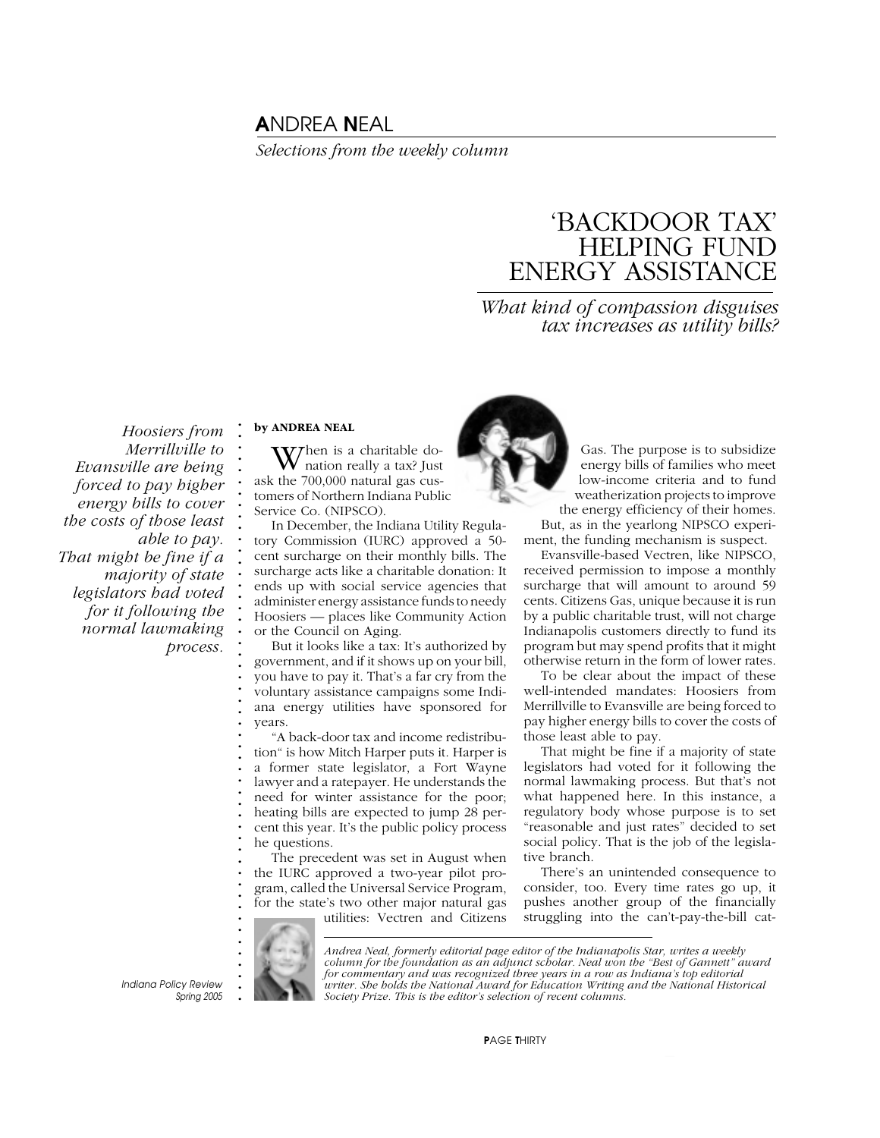# A*NDREA* N*EAL*

*Selections from the weekly column*

# 'BACKDOOR TAX' HELPING FUND ENERGY ASSISTANCE

### *What kind of compassion disguises tax increases as utility bills?*

*Hoosiers from Merrillville to Evansville are being forced to pay higher energy bills to cover the costs of those least able to pay. That might be fine if a majority of state legislators had voted for it following the normal lawmaking process.*

#### **. . by ANDREA NEAL**

**. . . . . . . . . . . . . . . . . . . . . . . . . . . . . . . . . . . . . . . . . .**

When is a charitable donation really a tax? Just ask the 700,000 natural gas customers of Northern Indiana Public Service Co. (NIPSCO).

In December, the Indiana Utility Regulatory Commission (IURC) approved a 50 cent surcharge on their monthly bills. The surcharge acts like a charitable donation: It ends up with social service agencies that administer energy assistance funds to needy Hoosiers — places like Community Action or the Council on Aging.

But it looks like a tax: It's authorized by government, and if it shows up on your bill, you have to pay it. That's a far cry from the voluntary assistance campaigns some Indiana energy utilities have sponsored for years.

"A back-door tax and income redistribution" is how Mitch Harper puts it. Harper is a former state legislator, a Fort Wayne lawyer and a ratepayer. He understands the need for winter assistance for the poor; heating bills are expected to jump 28 percent this year. It's the public policy process he questions.

The precedent was set in August when the IURC approved a two-year pilot program, called the Universal Service Program, for the state's two other major natural gas utilities: Vectren and Citizens



Gas. The purpose is to subsidize energy bills of families who meet low-income criteria and to fund weatherization projects to improve the energy efficiency of their homes.

But, as in the yearlong NIPSCO experiment, the funding mechanism is suspect.

Evansville-based Vectren, like NIPSCO, received permission to impose a monthly surcharge that will amount to around 59 cents. Citizens Gas, unique because it is run by a public charitable trust, will not charge Indianapolis customers directly to fund its program but may spend profits that it might otherwise return in the form of lower rates.

To be clear about the impact of these well-intended mandates: Hoosiers from Merrillville to Evansville are being forced to pay higher energy bills to cover the costs of those least able to pay.

That might be fine if a majority of state legislators had voted for it following the normal lawmaking process. But that's not what happened here. In this instance, a regulatory body whose purpose is to set "reasonable and just rates" decided to set social policy. That is the job of the legislative branch.

There's an unintended consequence to consider, too. Every time rates go up, it pushes another group of the financially struggling into the can't-pay-the-bill cat-

**. . . . . . .** *Indiana Policy Review*

*Spring 2005*

*Andrea Neal, formerly editorial page editor of the Indianapolis Star, writes a weekly column for the foundation as an adjunct scholar. Neal won the "Best of Gannett" award for commentary and was recognized three years in a row as Indiana's top editorial writer. She holds the National Award for Education Writing and the National Historical Society Prize. This is the editor's selection of recent columns.*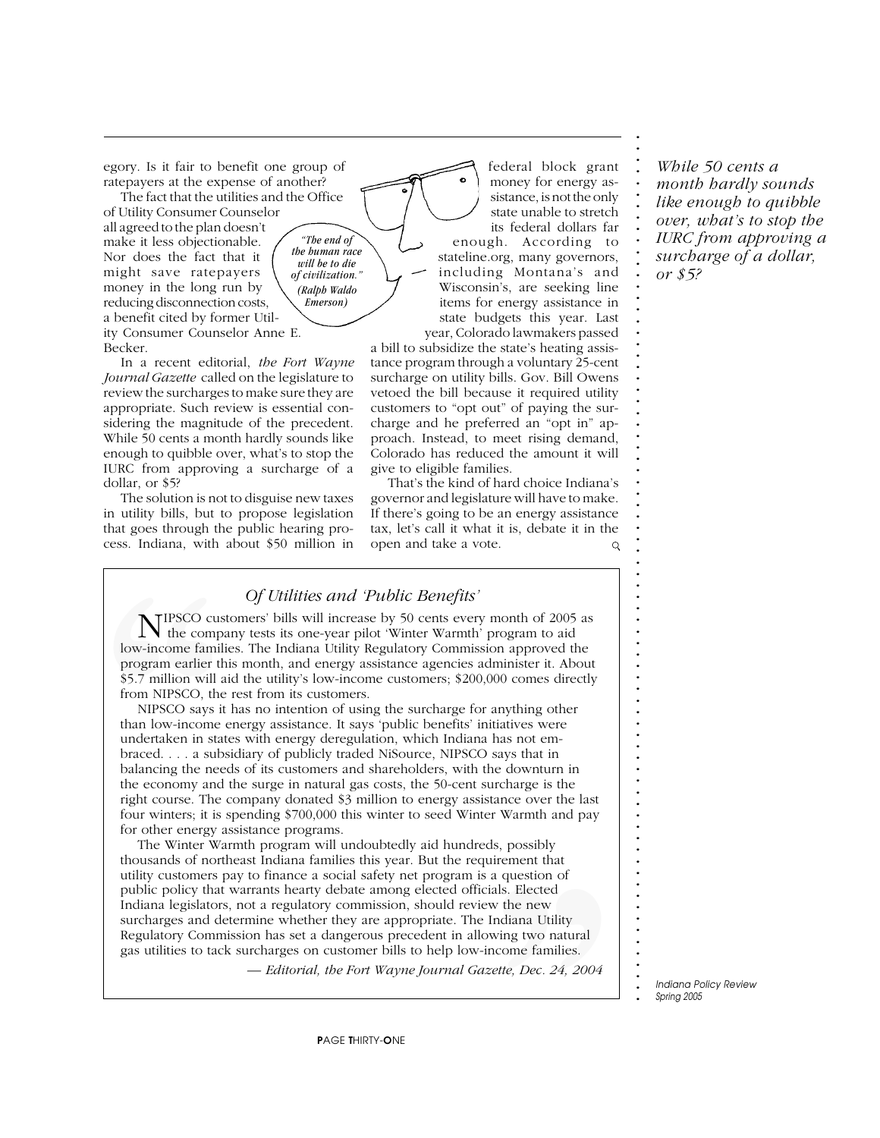egory. Is it fair to benefit one group of ratepayers at the expense of another?

The fact that the utilities and the Office of Utility Consumer Counselor all agreed to the plan doesn't make it less objectionable. Nor does the fact that it might save ratepayers money in the long run by reducing disconnection costs, a benefit cited by former Utility Consumer Counselor Anne E. Becker. *the human race of civilization."*

In a recent editorial, *the Fort Wayne Journal Gazette* called on the legislature to review the surcharges to make sure they are appropriate. Such review is essential considering the magnitude of the precedent. While 50 cents a month hardly sounds like enough to quibble over, what's to stop the IURC from approving a surcharge of a dollar, or \$5?

The solution is not to disguise new taxes in utility bills, but to propose legislation that goes through the public hearing process. Indiana, with about \$50 million in

federal block grant money for energy assistance, is not the only state unable to stretch its federal dollars far enough. According to stateline.org, many governors, including Montana's and Wisconsin's, are seeking line items for energy assistance in state budgets this year. Last year, Colorado lawmakers passed

a bill to subsidize the state's heating assistance program through a voluntary 25-cent surcharge on utility bills. Gov. Bill Owens vetoed the bill because it required utility customers to "opt out" of paying the surcharge and he preferred an "opt in" approach. Instead, to meet rising demand, Colorado has reduced the amount it will give to eligible families.

That's the kind of hard choice Indiana's governor and legislature will have to make. If there's going to be an energy assistance tax, let's call it what it is, debate it in the open and take a vote.  $\mathsf{Q}$ 

*While 50 cents a month hardly sounds like enough to quibble over, what's to stop the IURC from approving a surcharge of a dollar, or \$5?*

**. . . . . . . . . . . . . . . . . . . . . . . . . . . . . . . . . . . . . . . . . . . . . . . . . . . . . . . . . . . . . . . . . . . . . . . . . . .**

*Of Utilities and 'Public Benefits'*

*"The end of*

*will be to die*

*(Ralph Waldo Emerson)*

NIPSCO customers' bills will increase by 50 cents every month of 2005 as the company tests its one-year pilot 'Winter Warmth' program to aid low-income families. The Indiana Utility Regulatory Commission approved the program earlier this month, and energy assistance agencies administer it. About \$5.7 million will aid the utility's low-income customers; \$200,000 comes directly from NIPSCO, the rest from its customers.

From Million and Program earlier the \$5.7 million will ai<br>from NIPSCO, the<br>NIPSCO says it<br>than low-income  $\epsilon$ <br>undertaken in state<br>braced.... a subs<br>balancing the need<br>the economy and<br>right course. The c<br>four winters; it i **NEXECO CUS**<br>
IDENTIFIES<br>
IDENTIFIES<br>
IDENTIFIES<br>
STAT INCO SAYS IT<br>
IDENTIFIES<br>
STAT INCO SAYS IT<br>
IDENTIFIES<br>
UNIFIES<br>
UNIFIES<br>
UNIFIES<br>
IDENTIFIES<br>
IDENTIFIES<br>
THE COLONGER THE SURFER TO SURFER THE SURFER TO SURFER THE NIPSCO says it has no intention of using the surcharge for anything other than low-income energy assistance. It says 'public benefits' initiatives were undertaken in states with energy deregulation, which Indiana has not embraced. . . . a subsidiary of publicly traded NiSource, NIPSCO says that in balancing the needs of its customers and shareholders, with the downturn in the economy and the surge in natural gas costs, the 50-cent surcharge is the right course. The company donated \$3 million to energy assistance over the last four winters; it is spending \$700,000 this winter to seed Winter Warmth and pay for other energy assistance programs.

incement that<br>a question of<br>ials. Elected<br>w the new<br>Indiana Utility<br>wing two natural<br>ncome families.<br>zette, Dec. 24, 2004 The Winter Warmth program will undoubtedly aid hundreds, possibly thousands of northeast Indiana families this year. But the requirement that utility customers pay to finance a social safety net program is a question of public policy that warrants hearty debate among elected officials. Elected Indiana legislators, not a regulatory commission, should review the new surcharges and determine whether they are appropriate. The Indiana Utility Regulatory Commission has set a dangerous precedent in allowing two natural gas utilities to tack surcharges on customer bills to help low-income families.

*— Editorial, the Fort Wayne Journal Gazette, Dec. 24, 2004*